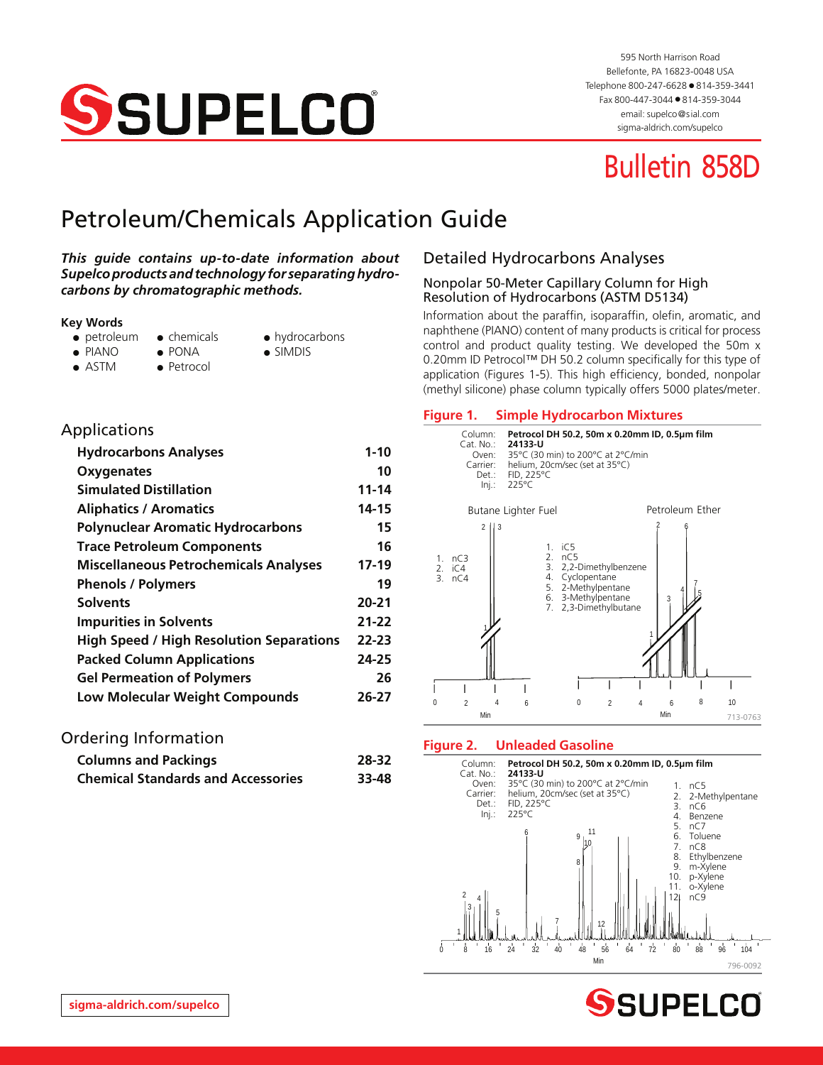

595 North Harrison Road Bellefonte, PA 16823-0048 USA Telephone 800-247-6628 ● 814-359-3441 Fax 800-447-3044 ● 814-359-3044 email: supelco@sial.com [sigma-aldrich.com/supelco](http://www.sigma-aldrich.com/supelco)

# Bulletin 858D

# Petroleum/Chemicals Application Guide

#### *This guide contains up-to-date information about Supelco products and technology for separating hydrocarbons by chromatographic methods.*

#### **Key Words**

- petroleum chemicals hydrocarbons
- PIANO PONA SIMDIS
	-
- ASTM Petrocol
- 
- 
- 
- 

# Detailed Hydrocarbons Analyses

#### Nonpolar 50-Meter Capillary Column for High Resolution of Hydrocarbons (ASTM D5134)

Information about the paraffin, isoparaffin, olefin, aromatic, and naphthene (PIANO) content of many products is critical for process control and product quality testing. We developed the 50m x 0.20mm ID Petrocol™ DH 50.2 column specifically for this type of application (Figures 1-5). This high efficiency, bonded, nonpolar (methyl silicone) phase column typically offers 5000 plates/meter.

| Applications                                    |           |
|-------------------------------------------------|-----------|
| <b>Hydrocarbons Analyses</b>                    | $1 - 10$  |
| Oxygenates                                      | 10        |
| <b>Simulated Distillation</b>                   | 11-14     |
| <b>Aliphatics / Aromatics</b>                   | 14-15     |
| <b>Polynuclear Aromatic Hydrocarbons</b>        | 15        |
| <b>Trace Petroleum Components</b>               | 16        |
| <b>Miscellaneous Petrochemicals Analyses</b>    | $17-19$   |
| <b>Phenols / Polymers</b>                       | 19        |
| <b>Solvents</b>                                 | $20 - 21$ |
| <b>Impurities in Solvents</b>                   | 21-22     |
| <b>High Speed / High Resolution Separations</b> | 22-23     |
| <b>Packed Column Applications</b>               | 24-25     |
| <b>Gel Permeation of Polymers</b>               | 26        |
| <b>Low Molecular Weight Compounds</b>           | 26-27     |

# Ordering Information

| <b>Columns and Packings</b>               | 28-32 |
|-------------------------------------------|-------|
| <b>Chemical Standards and Accessories</b> | 33-48 |

# **Figure 1. Simple Hydrocarbon Mixtures**



#### **Figure 2. Unleaded Gasoline**



SSUPELCO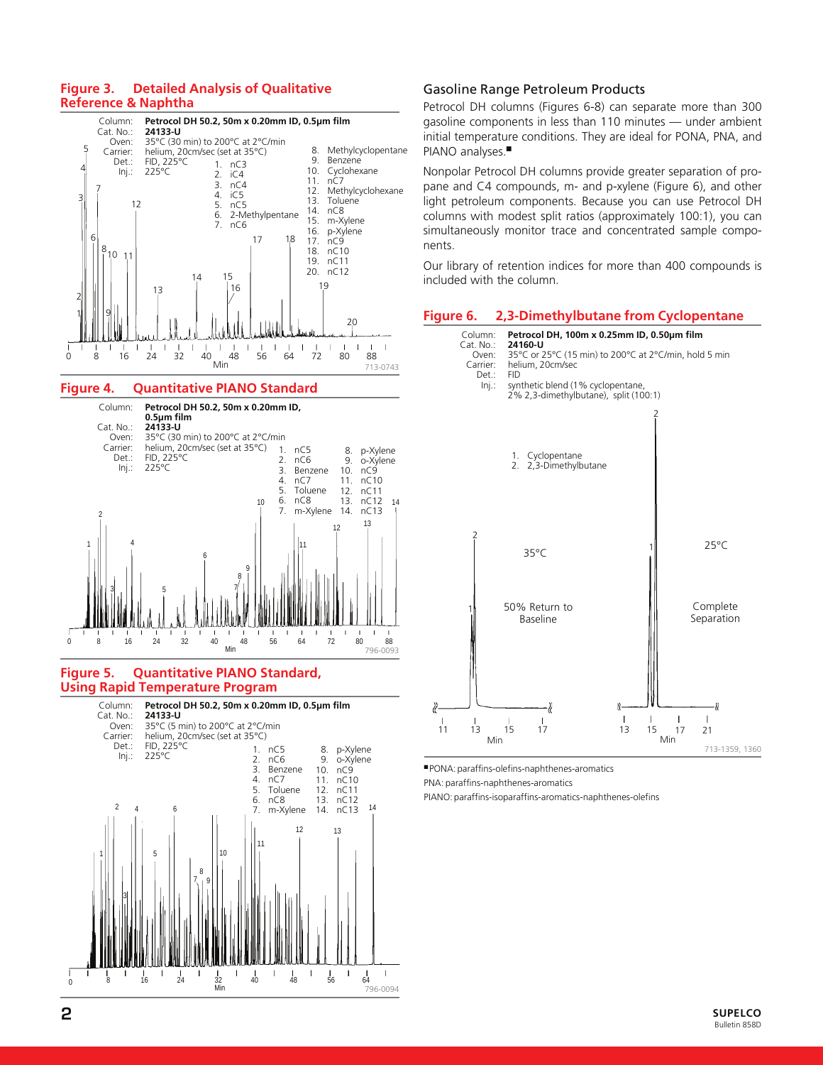#### **Figure 3. Detailed Analysis of Qualitative Reference & Naphtha**



#### **Figure 4. Quantitative PIANO Standard**



#### **Figure 5. Quantitative PIANO Standard, Using Rapid Temperature Program**



#### Gasoline Range Petroleum Products

Petrocol DH columns (Figures 6-8) can separate more than 300 gasoline components in less than 110 minutes — under ambient initial temperature conditions. They are ideal for PONA, PNA, and PIANO analyses.■

Nonpolar Petrocol DH columns provide greater separation of propane and C4 compounds, m- and p-xylene (Figure 6), and other light petroleum components. Because you can use Petrocol DH columns with modest split ratios (approximately 100:1), you can simultaneously monitor trace and concentrated sample components.

Our library of retention indices for more than 400 compounds is included with the column.

#### **Figure 6. 2,3-Dimethylbutane from Cyclopentane**



■ PONA: paraffins-olefins-naphthenes-aromatics

PNA: paraffins-naphthenes-aromatics

PIANO: paraffins-isoparaffins-aromatics-naphthenes-olefins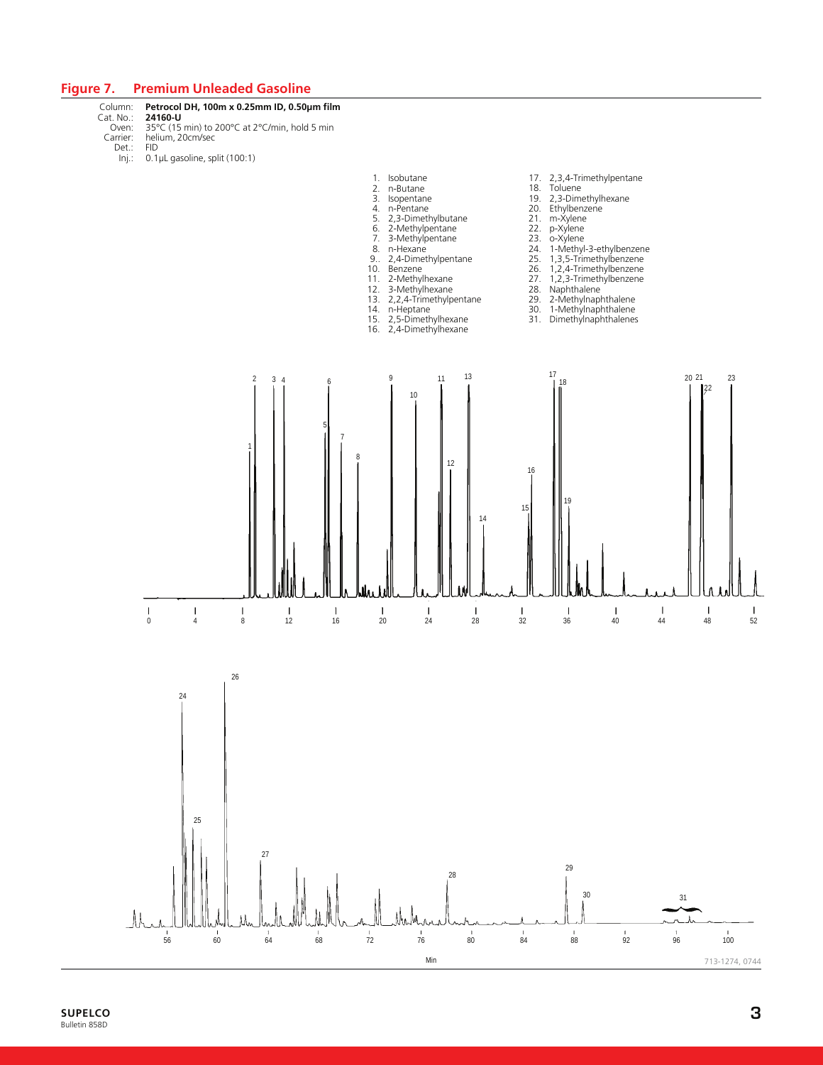#### **Figure 7. Premium Unleaded Gasoline**

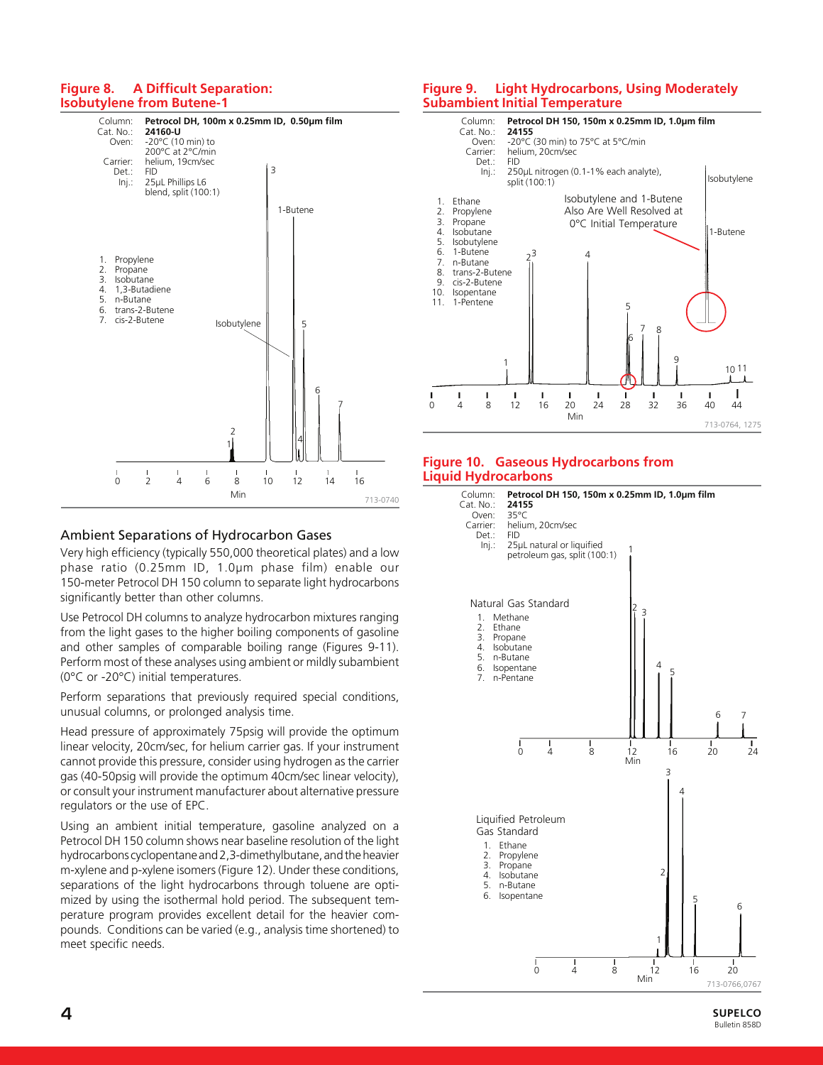#### **Figure 8. A Difficult Separation: Isobutylene from Butene-1**



#### Ambient Separations of Hydrocarbon Gases

Very high efficiency (typically 550,000 theoretical plates) and a low phase ratio (0.25mm ID, 1.0µm phase film) enable our 150-meter Petrocol DH 150 column to separate light hydrocarbons significantly better than other columns.

Use Petrocol DH columns to analyze hydrocarbon mixtures ranging from the light gases to the higher boiling components of gasoline and other samples of comparable boiling range (Figures 9-11). Perform most of these analyses using ambient or mildly subambient (0°C or -20°C) initial temperatures.

Perform separations that previously required special conditions, unusual columns, or prolonged analysis time.

Head pressure of approximately 75psig will provide the optimum linear velocity, 20cm/sec, for helium carrier gas. If your instrument cannot provide this pressure, consider using hydrogen as the carrier gas (40-50psig will provide the optimum 40cm/sec linear velocity), or consult your instrument manufacturer about alternative pressure regulators or the use of EPC.

Using an ambient initial temperature, gasoline analyzed on a Petrocol DH 150 column shows near baseline resolution of the light hydrocarbons cyclopentane and 2,3-dimethylbutane, and the heavier m-xylene and p-xylene isomers (Figure 12). Under these conditions, separations of the light hydrocarbons through toluene are optimized by using the isothermal hold period. The subsequent temperature program provides excellent detail for the heavier compounds. Conditions can be varied (e.g., analysis time shortened) to meet specific needs.

#### **Figure 9. Light Hydrocarbons, Using Moderately Subambient Initial Temperature**



#### **Figure 10. Gaseous Hydrocarbons from Liquid Hydrocarbons**

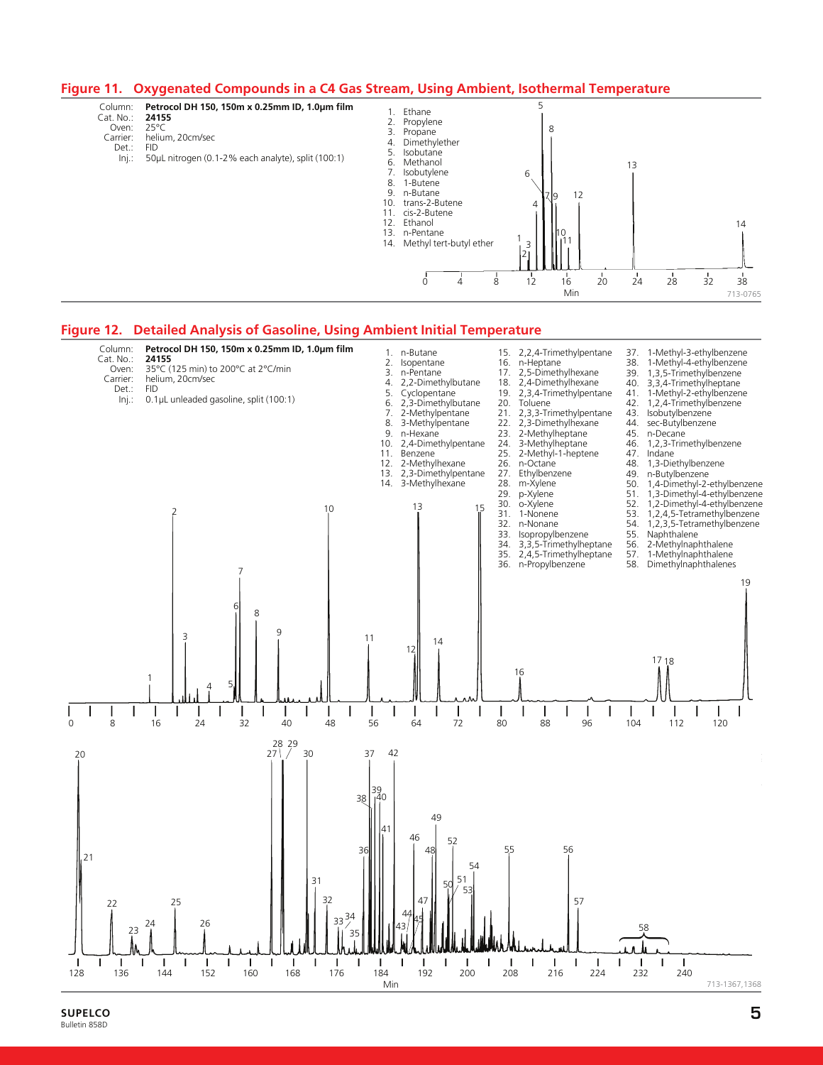#### **Figure 11. Oxygenated Compounds in a C4 Gas Stream, Using Ambient, Isothermal Temperature**

Column: **Petrocol DH 150, 150m x 0.25mm ID, 1.0µm film**

- Cat. No.: **2415**<br>Oven: 25°C Oven:<br>:Carrier
	- helium, 20cm/sec<br>FID Det.:
		- Inj.: 50µL nitrogen (0.1-2% each analyte), split (100:1)



#### **Figure 12. Detailed Analysis of Gasoline, Using Ambient Initial Temperature**



**SUPELCO 5** Bulletin 858D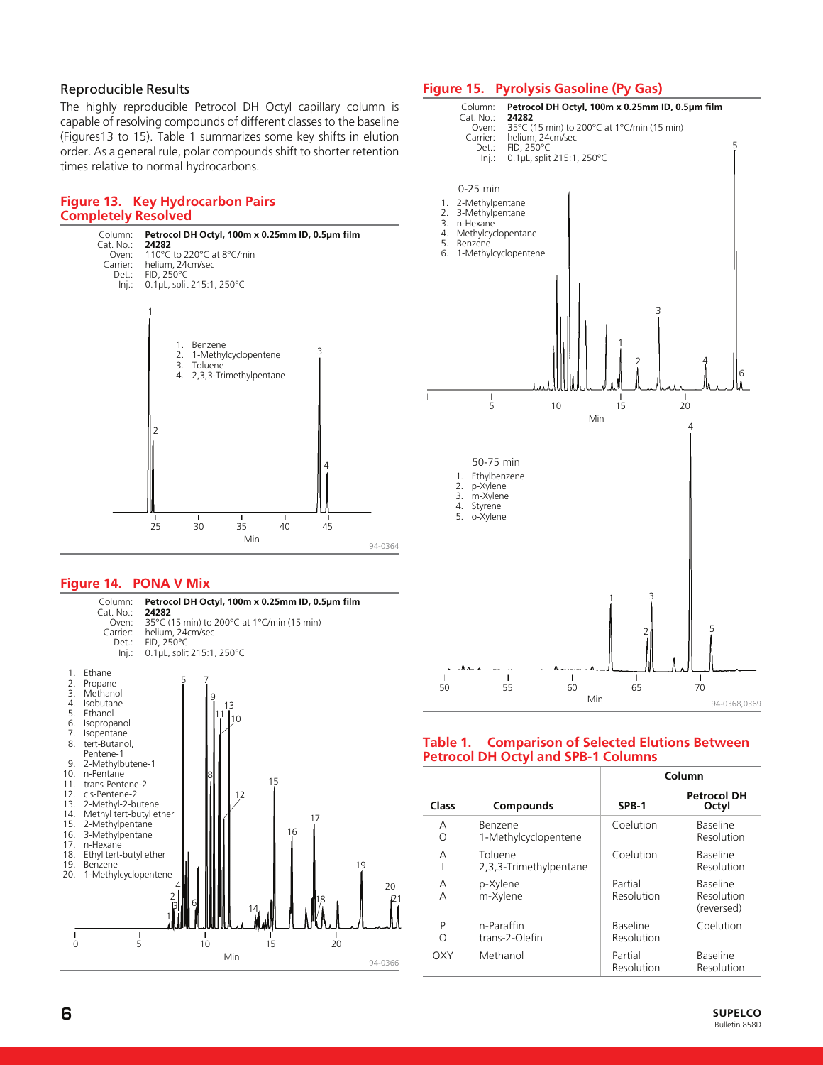#### Reproducible Results

The highly reproducible Petrocol DH Octyl capillary column is capable of resolving compounds of different classes to the baseline (Figures13 to 15). Table 1 summarizes some key shifts in elution order. As a general rule, polar compounds shift to shorter retention times relative to normal hydrocarbons.

#### **Figure 13. Key Hydrocarbon Pairs Completely Resolved**



#### **Figure 14. PONA V Mix**



#### **Figure 15. Pyrolysis Gasoline (Py Gas)**



#### **Table 1. Comparison of Selected Elutions Between Petrocol DH Octyl and SPB-1 Columns**

|         |        |                                   |                               | Column                                      |
|---------|--------|-----------------------------------|-------------------------------|---------------------------------------------|
|         | Class  | <b>Compounds</b>                  | SPB-1                         | <b>Petrocol DH</b><br>Octyl                 |
|         | А<br>Ο | Benzene<br>1-Methylcyclopentene   | Coelution                     | <b>Baseline</b><br>Resolution               |
|         | А      | Toluene<br>2,3,3-Trimethylpentane | Coelution                     | Baseline<br>Resolution                      |
| 20      | Α<br>А | p-Xylene<br>m-Xylene              | Partial<br>Resolution         | <b>Baseline</b><br>Resolution<br>(reversed) |
|         | P<br>Ω | n-Paraffin<br>trans-2-Olefin      | <b>Baseline</b><br>Resolution | Coelution                                   |
| 94-0366 | OXY    | Methanol                          | Partial<br>Resolution         | <b>Baseline</b><br>Resolution               |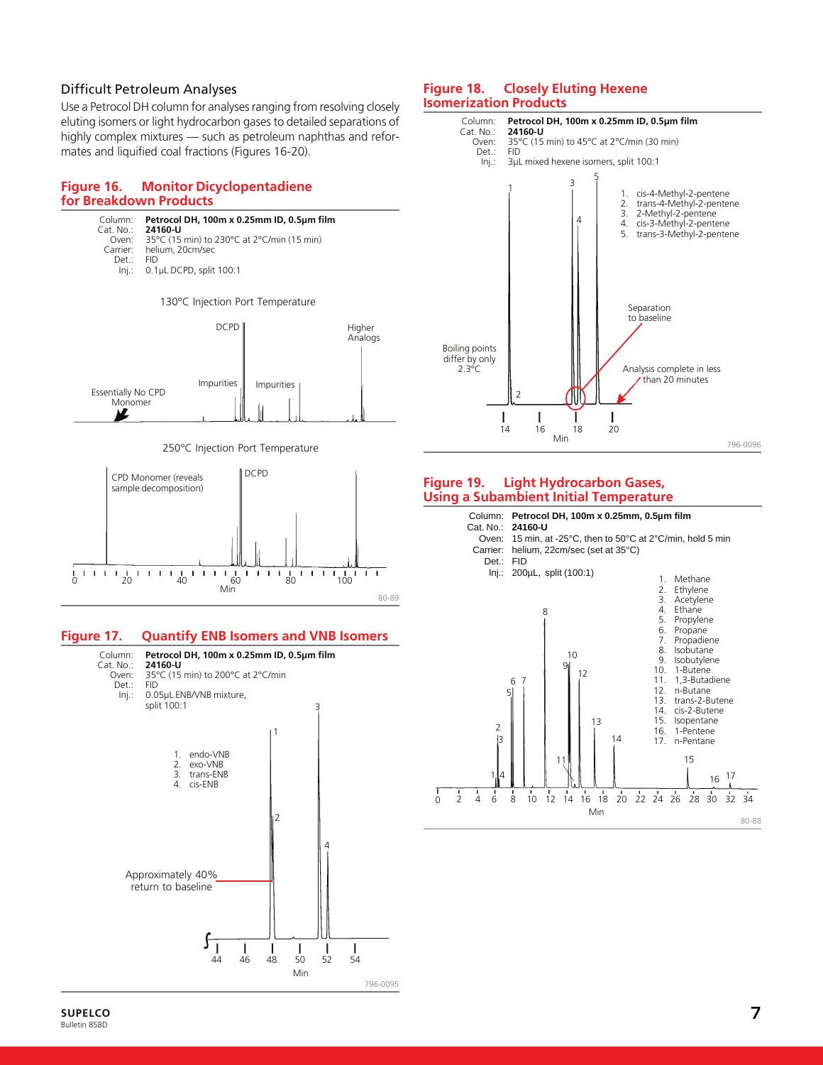# Difficult Petroleum Analyses

Use a Petrocol DH column for analyses ranging from resolving closely eluting isomers or light hydrocarbon gases to detailed separations of highly complex mixtures — such as petroleum naphthas and reformates and liquified coal fractions (Figures 16-20).

#### **Figure 16. Monitor Dicyclopentadiene for Breakdown Products**



796-0095

#### **SUPELCO 7** Bulletin 858D

#### **Figure 18. Closely Eluting Hexene Isomerization Products**



#### **Figure 19. Light Hydrocarbon Gases, Using a Subambient Initial Temperature**

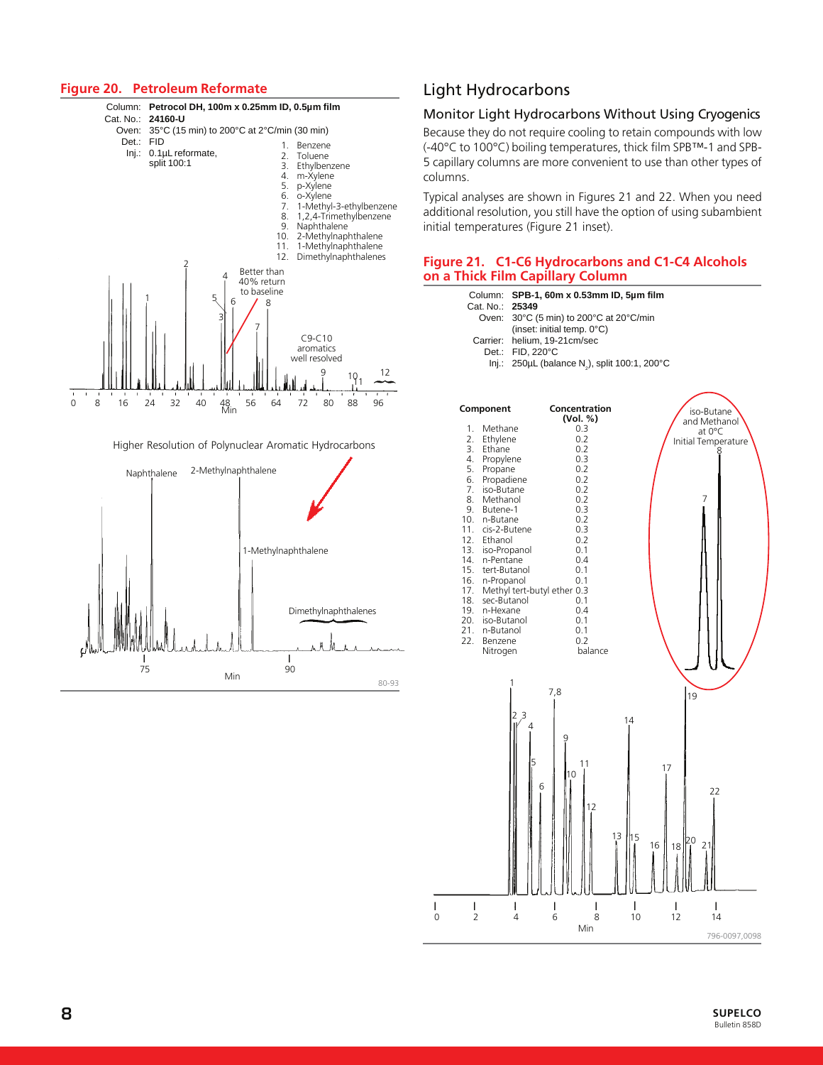#### **Figure 20. Petroleum Reformate**



#### Higher Resolution of Polynuclear Aromatic Hydrocarbons



# Light Hydrocarbons

#### Monitor Light Hydrocarbons Without Using Cryogenics

Because they do not require cooling to retain compounds with low (-40°C to 100°C) boiling temperatures, thick film SPB™-1 and SPB-5 capillary columns are more convenient to use than other types of columns.

Typical analyses are shown in Figures 21 and 22. When you need additional resolution, you still have the option of using subambient initial temperatures (Figure 21 inset).

#### **Figure 21. C1-C6 Hydrocarbons and C1-C4 Alcohols on a Thick Film Capillary Column**

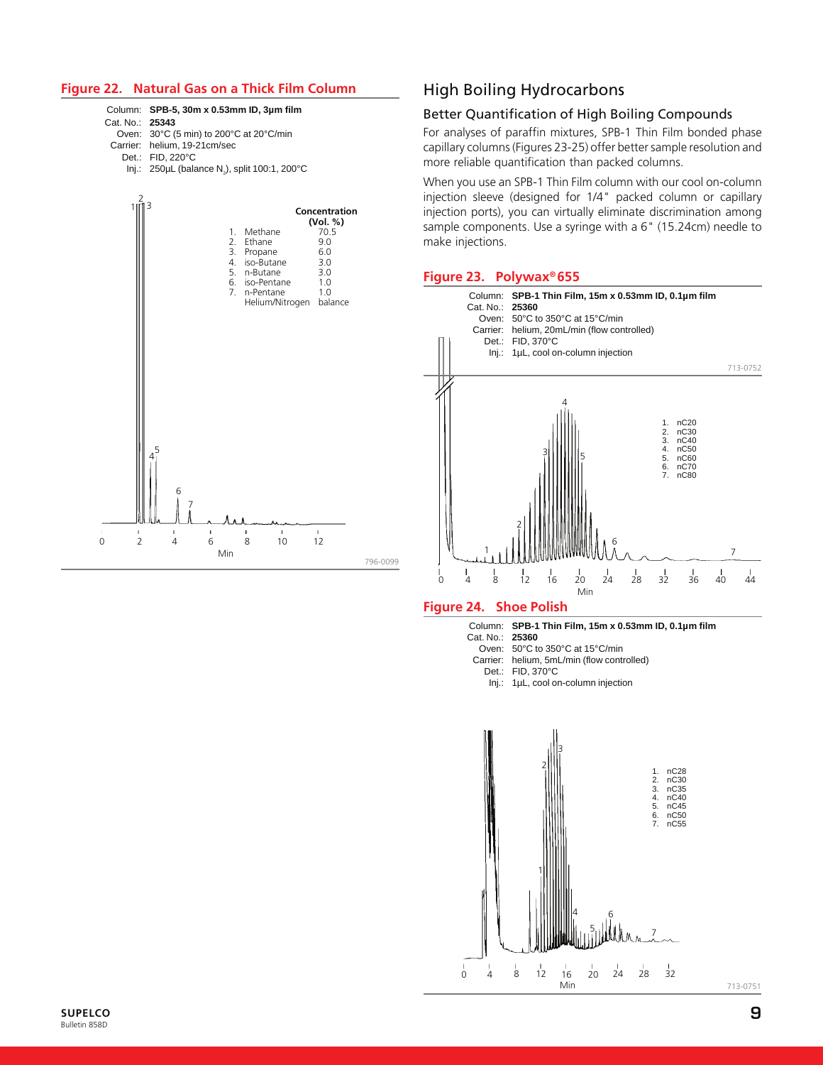#### **Figure 22. Natural Gas on a Thick Film Column**

#### Column: **SPB-5, 30m x 0.53mm ID, 3µm film**

Cat. No.: **25343**

Oven: 30°C (5 min) to 200°C at 20°C/min

- Carrier: helium, 19-21cm/sec
	- Det.: FID, 220°C
		- lnj.: 250µL (balance N $_{\textrm{\tiny{2}}}$ ), split 100:1, 200°C



# High Boiling Hydrocarbons

#### Better Quantification of High Boiling Compounds

For analyses of paraffin mixtures, SPB-1 Thin Film bonded phase capillary columns (Figures 23-25) offer better sample resolution and more reliable quantification than packed columns.

When you use an SPB-1 Thin Film column with our cool on-column injection sleeve (designed for 1/4" packed column or capillary injection ports), you can virtually eliminate discrimination among sample components. Use a syringe with a 6" (15.24cm) needle to make injections.

#### **Figure 23. Polywax® 655**



# **Figure 24. Shoe Polish**

Column: **SPB-1 Thin Film, 15m x 0.53mm ID, 0.1µm film**

Cat. No.: **25360**

- Oven: 50°C to 350°C at 15°C/min
- Carrier: helium, 5mL/min (flow controlled)
	- Det.: FID, 370°C
	- Inj.: 1µL, cool on-column injection



713-0751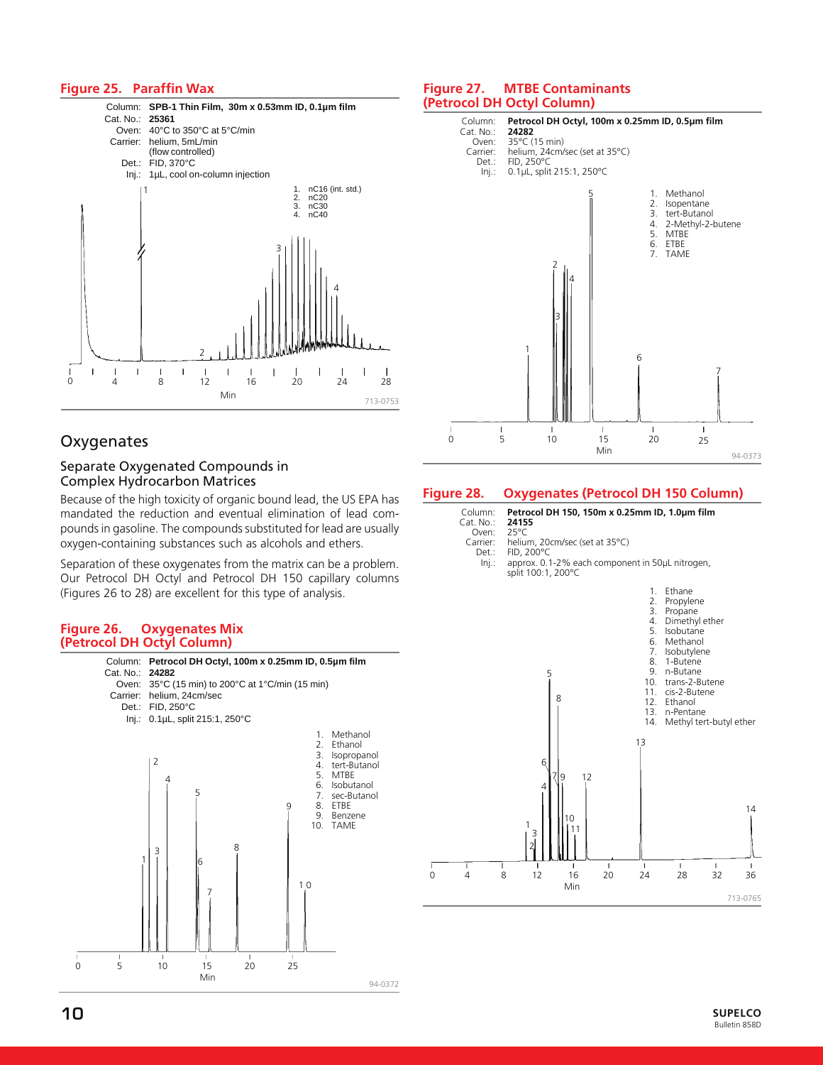#### **Figure 25. Paraffin Wax**



# **Oxygenates**

# Separate Oxygenated Compounds in Complex Hydrocarbon Matrices

Because of the high toxicity of organic bound lead, the US EPA has mandated the reduction and eventual elimination of lead compounds in gasoline. The compounds substituted for lead are usually oxygen-containing substances such as alcohols and ethers.

Separation of these oxygenates from the matrix can be a problem. Our Petrocol DH Octyl and Petrocol DH 150 capillary columns (Figures 26 to 28) are excellent for this type of analysis.

#### **Figure 26. Oxygenates Mix (Petrocol DH Octyl Column)**



#### **Figure 27. MTBE Contaminants (Petrocol DH Octyl Column)**



#### **Figure 28. Oxygenates (Petrocol DH 150 Column)**

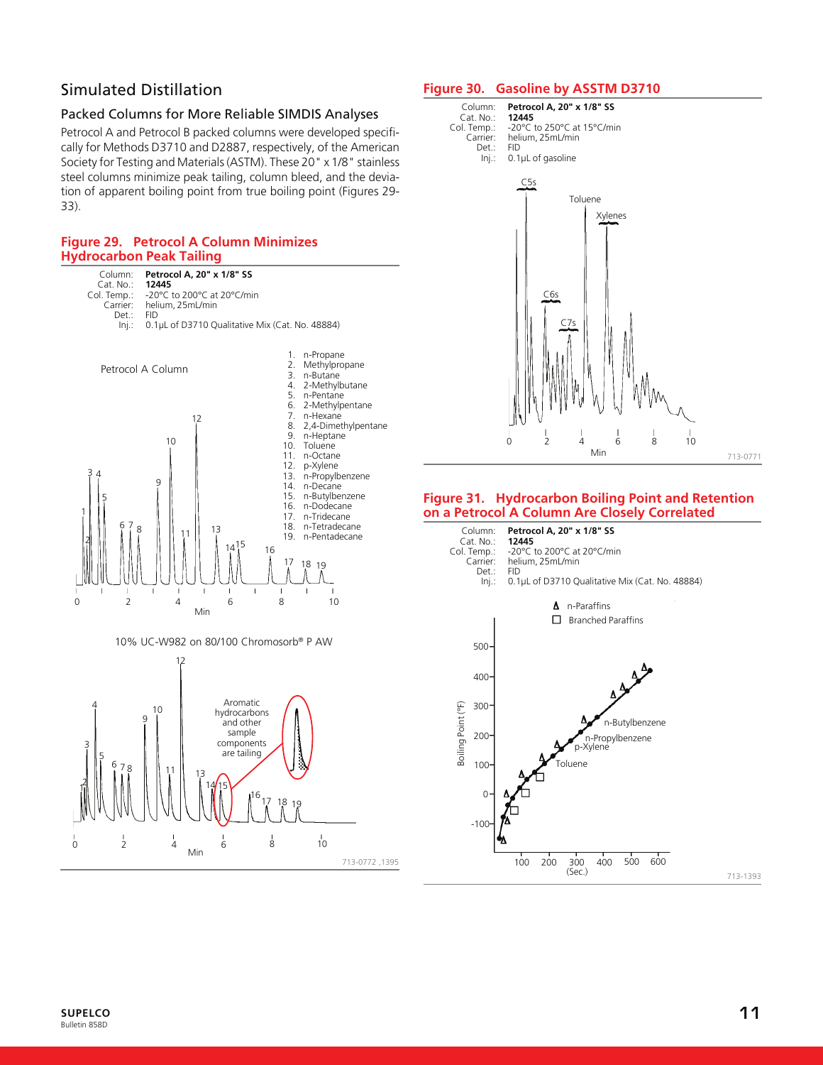# Simulated Distillation

### Packed Columns for More Reliable SIMDIS Analyses

Petrocol A and Petrocol B packed columns were developed specifically for Methods D3710 and D2887, respectively, of the American Society for Testing and Materials (ASTM). These 20" x 1/8" stainless steel columns minimize peak tailing, column bleed, and the deviation of apparent boiling point from true boiling point (Figures 29- 33).

# **Figure 29. Petrocol A Column Minimizes Hydrocarbon Peak Tailing**



#### **Figure 30. Gasoline by ASSTM D3710**



#### **Figure 31. Hydrocarbon Boiling Point and Retention on a Petrocol A Column Are Closely Correlated**

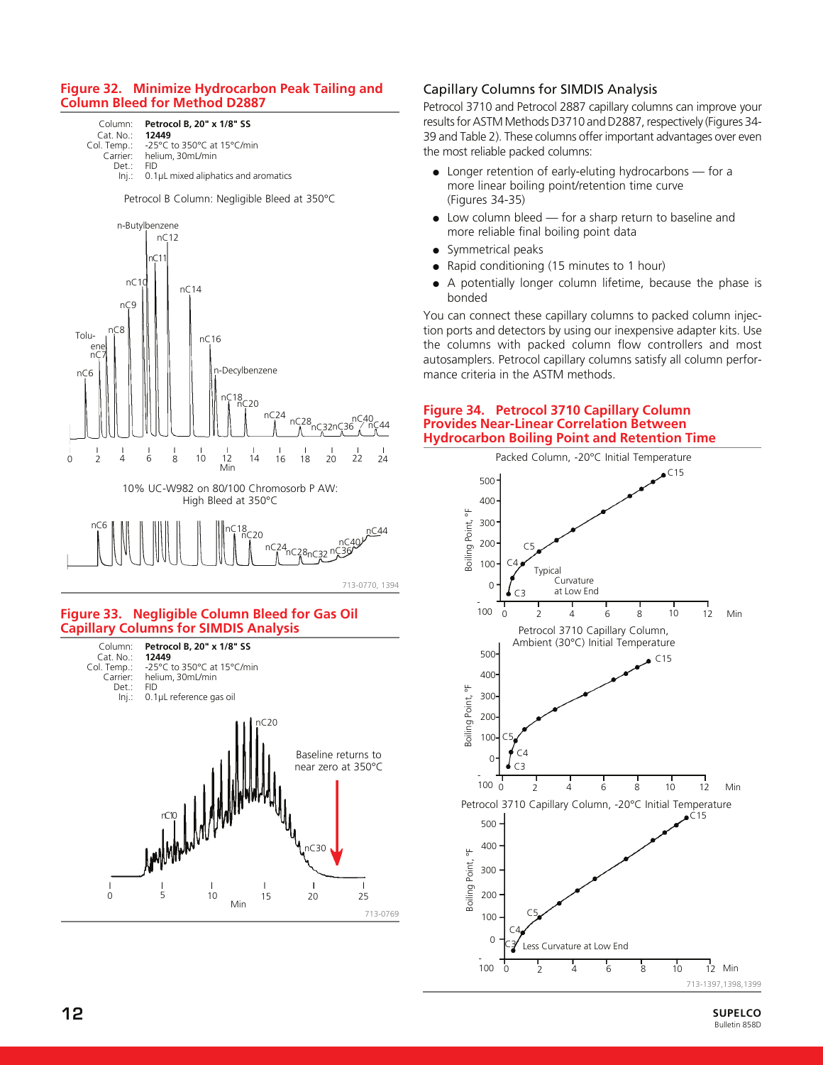#### **Figure 32. Minimize Hydrocarbon Peak Tailing and Column Bleed for Method D2887**

Column: **Petrocol B, 20" x 1/8" SS** Cat. No.:<br>Col. Temp.: Temp.: -25°C to 350°C at 15°C/min<br>Carrier: helium, 30mL/min helium, 30mL/min<br>FID Det.: Inj.: 0.1µL mixed aliphatics and aromatics

Petrocol B Column: Negligible Bleed at 350°C



713-0770, 1394

#### **Figure 33. Negligible Column Bleed for Gas Oil Capillary Columns for SIMDIS Analysis**



# Capillary Columns for SIMDIS Analysis

Petrocol 3710 and Petrocol 2887 capillary columns can improve your results for ASTM Methods D3710 and D2887, respectively (Figures 34- 39 and Table 2). These columns offer important advantages over even the most reliable packed columns:

- Longer retention of early-eluting hydrocarbons for a more linear boiling point/retention time curve (Figures 34-35)
- Low column bleed for a sharp return to baseline and more reliable final boiling point data
- Symmetrical peaks
- Rapid conditioning (15 minutes to 1 hour)
- A potentially longer column lifetime, because the phase is bonded

You can connect these capillary columns to packed column injection ports and detectors by using our inexpensive adapter kits. Use the columns with packed column flow controllers and most autosamplers. Petrocol capillary columns satisfy all column performance criteria in the ASTM methods.

#### **Figure 34. Petrocol 3710 Capillary Column Provides Near-Linear Correlation Between Hydrocarbon Boiling Point and Retention Time**

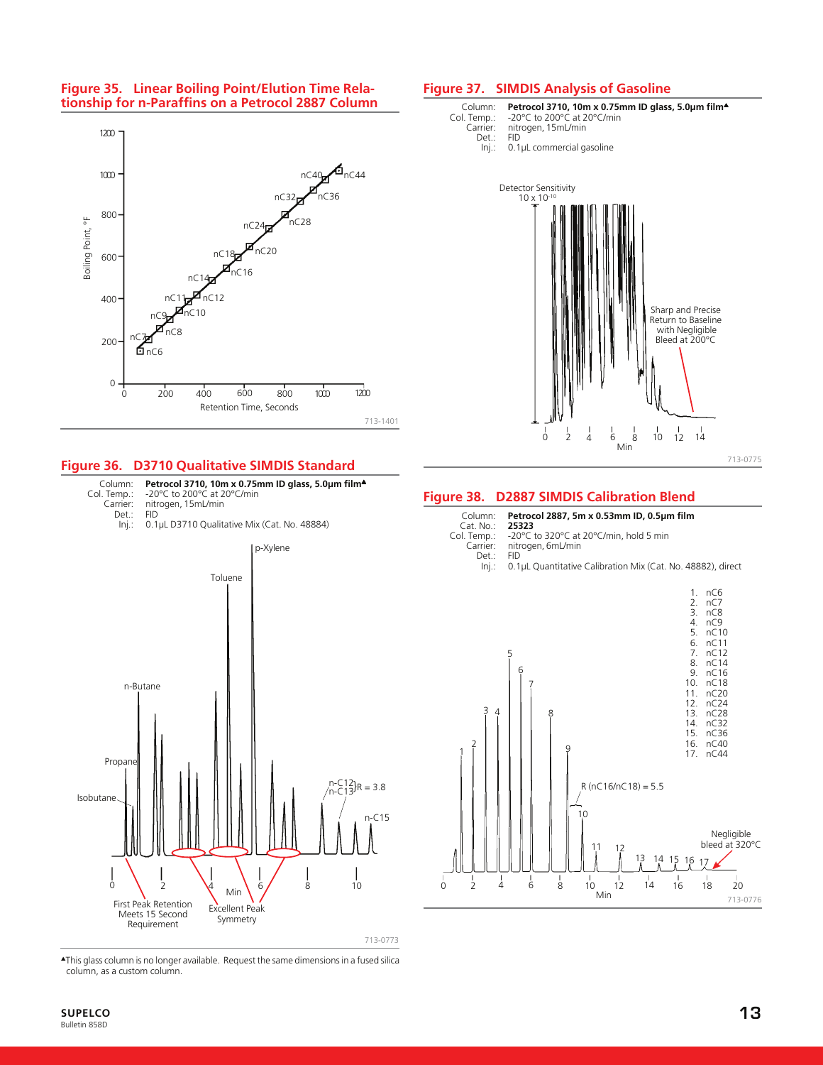



#### **Figure 36. D3710 Qualitative SIMDIS Standard**





▲This glass column is no longer available. Request the same dimensions in a fused silica column, as a custom column.

# **SUPELCO 13**

#### **Figure 37. SIMDIS Analysis of Gasoline**





#### **Figure 38. D2887 SIMDIS Calibration Blend**

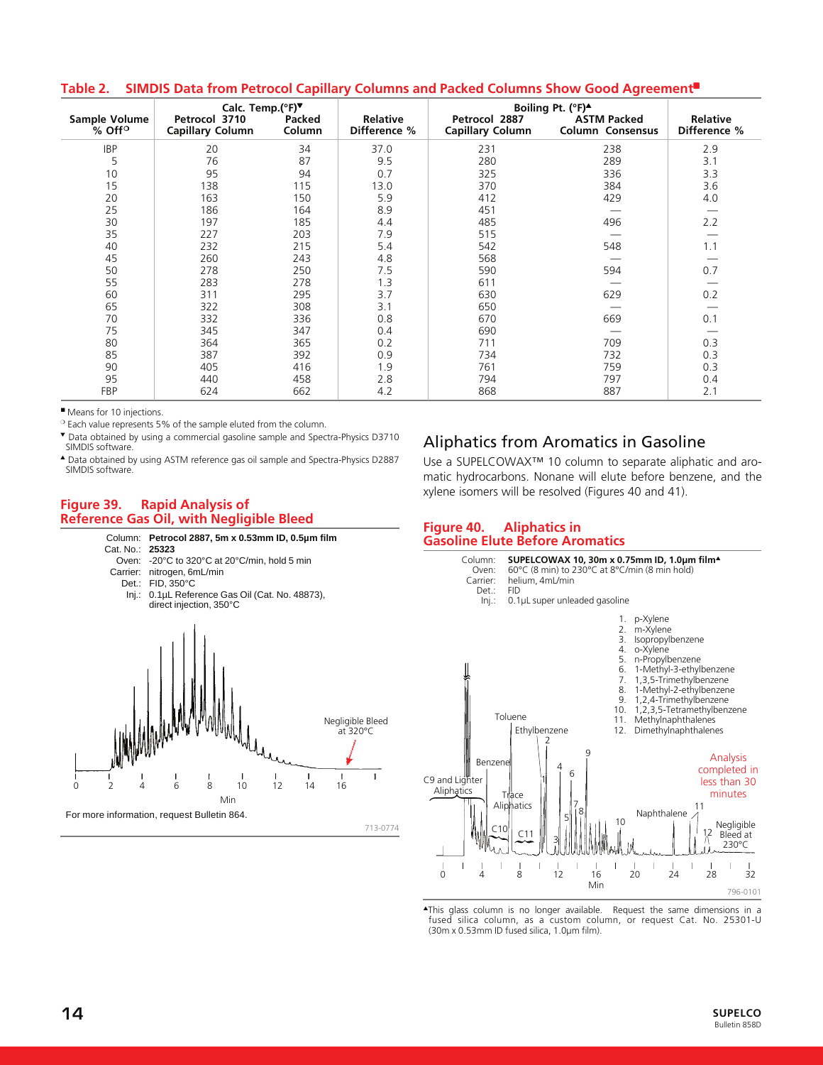#### **Table 2. SIMDIS Data from Petrocol Capillary Columns and Packed Columns Show Good Agreement**■

|                                  | Calc. Temp.(°F)                          |                  |                                 |                                          | Boiling Pt. (°F) <sup>4</sup>                 |                                 |
|----------------------------------|------------------------------------------|------------------|---------------------------------|------------------------------------------|-----------------------------------------------|---------------------------------|
| Sample Volume<br>$%$ Off $\circ$ | Petrocol 3710<br><b>Capillary Column</b> | Packed<br>Column | <b>Relative</b><br>Difference % | Petrocol 2887<br><b>Capillary Column</b> | <b>ASTM Packed</b><br><b>Column Consensus</b> | <b>Relative</b><br>Difference % |
| <b>IBP</b>                       | 20                                       | 34               | 37.0                            | 231                                      | 238                                           | 2.9                             |
| 5                                | 76                                       | 87               | 9.5                             | 280                                      | 289                                           | 3.1                             |
| 10                               | 95                                       | 94               | 0.7                             | 325                                      | 336                                           | 3.3                             |
| 15                               | 138                                      | 115              | 13.0                            | 370                                      | 384                                           | 3.6                             |
| 20                               | 163                                      | 150              | 5.9                             | 412                                      | 429                                           | 4.0                             |
| 25                               | 186                                      | 164              | 8.9                             | 451                                      |                                               |                                 |
| 30                               | 197                                      | 185              | 4.4                             | 485                                      | 496                                           | 2.2                             |
| 35                               | 227                                      | 203              | 7.9                             | 515                                      |                                               |                                 |
| 40                               | 232                                      | 215              | 5.4                             | 542                                      | 548                                           | 1.1                             |
| 45                               | 260                                      | 243              | 4.8                             | 568                                      |                                               |                                 |
| 50                               | 278                                      | 250              | 7.5                             | 590                                      | 594                                           | 0.7                             |
| 55                               | 283                                      | 278              | 1.3                             | 611                                      |                                               |                                 |
| 60                               | 311                                      | 295              | 3.7                             | 630                                      | 629                                           | 0.2                             |
| 65                               | 322                                      | 308              | 3.1                             | 650                                      |                                               |                                 |
| 70                               | 332                                      | 336              | 0.8                             | 670                                      | 669                                           | 0.1                             |
| 75                               | 345                                      | 347              | 0.4                             | 690                                      |                                               |                                 |
| 80                               | 364                                      | 365              | 0.2                             | 711                                      | 709                                           | 0.3                             |
| 85                               | 387                                      | 392              | 0.9                             | 734                                      | 732                                           | 0.3                             |
| 90                               | 405                                      | 416              | 1.9                             | 761                                      | 759                                           | 0.3                             |
| 95                               | 440                                      | 458              | 2.8                             | 794                                      | 797                                           | 0.4                             |
| FBP                              | 624                                      | 662              | 4.2                             | 868                                      | 887                                           | 2.1                             |

■ Means for 10 injections.

❍ Each value represents 5% of the sample eluted from the column.

▼ Data obtained by using a commercial gasoline sample and Spectra-Physics D3710 SIMDIS software.

▲ Data obtained by using ASTM reference gas oil sample and Spectra-Physics D2887 SIMDIS software.

#### **Figure 39. Rapid Analysis of Reference Gas Oil, with Negligible Bleed**





# Aliphatics from Aromatics in Gasoline

Use a SUPELCOWAX™ 10 column to separate aliphatic and aromatic hydrocarbons. Nonane will elute before benzene, and the xylene isomers will be resolved (Figures 40 and 41).

#### **Figure 40. Aliphatics in Gasoline Elute Before Aromatics**



▲This glass column is no longer available. Request the same dimensions in a fused silica column, as a custom column, or request Cat. No. 25301-U (30m x 0.53mm ID fused silica, 1.0µm film).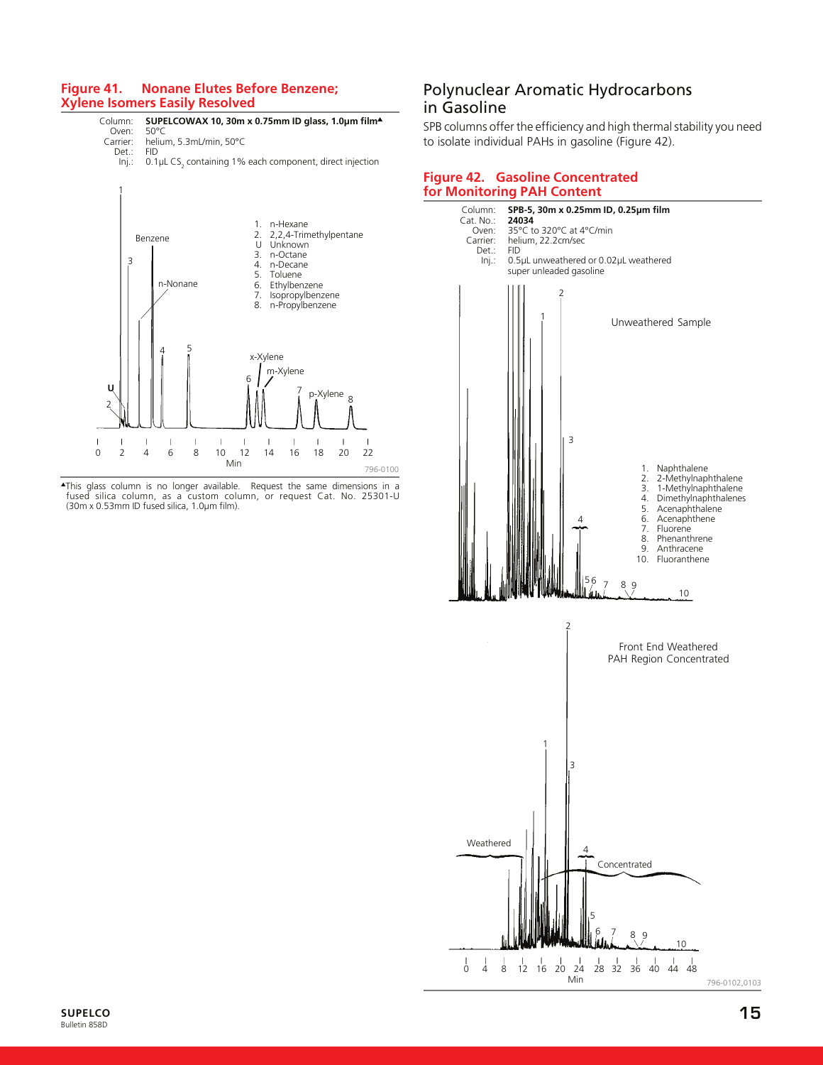#### **Figure 41. Nonane Elutes Before Benzene; Xylene Isomers Easily Resolved**



▲This glass column is no longer available. Request the same dimensions in a fused silica column, as a custom column, or request Cat. No. 25301-U (30m x 0.53mm ID fused silica, 1.0µm film).

# Polynuclear Aromatic Hydrocarbons in Gasoline

SPB columns offer the efficiency and high thermal stability you need to isolate individual PAHs in gasoline (Figure 42).

#### **Figure 42. Gasoline Concentrated for Monitoring PAH Content**

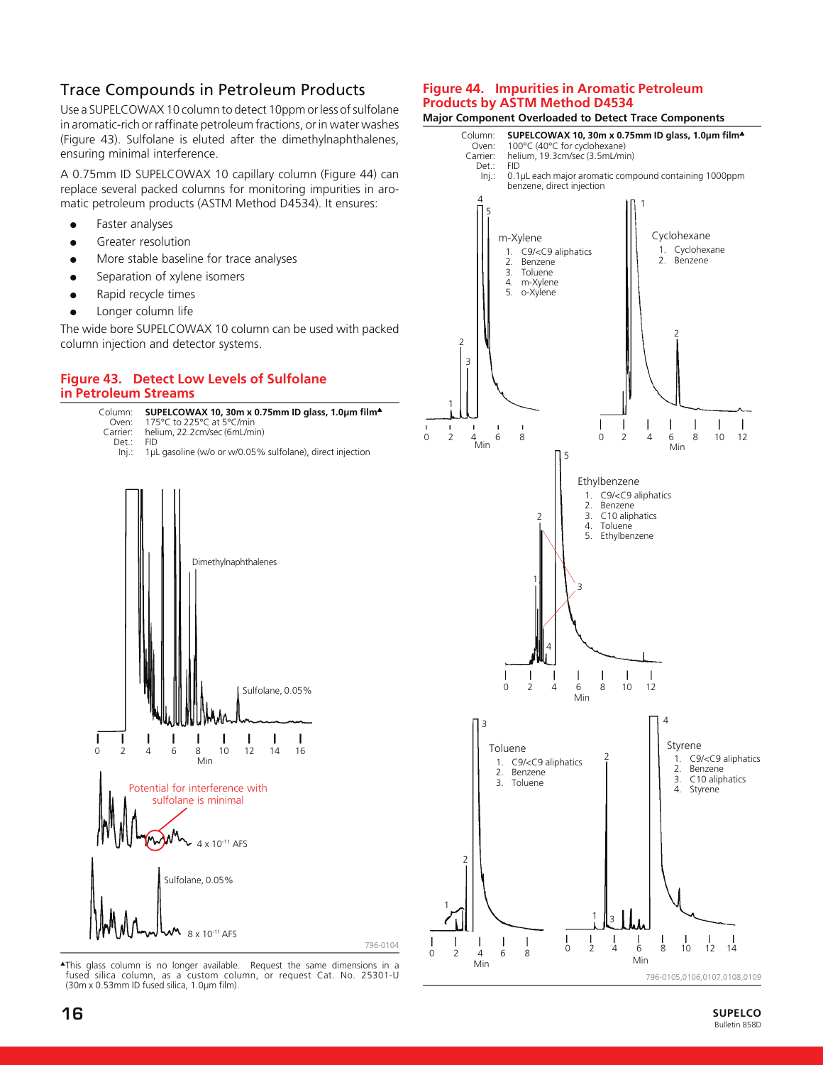# Trace Compounds in Petroleum Products

Use a SUPELCOWAX 10 column to detect 10ppm or less of sulfolane in aromatic-rich or raffinate petroleum fractions, or in water washes (Figure 43). Sulfolane is eluted after the dimethylnaphthalenes, ensuring minimal interference.

A 0.75mm ID SUPELCOWAX 10 capillary column (Figure 44) can replace several packed columns for monitoring impurities in aromatic petroleum products (ASTM Method D4534). It ensures:

- Faster analyses
- Greater resolution
- More stable baseline for trace analyses
- Separation of xylene isomers
- Rapid recycle times
- Longer column life

The wide bore SUPELCOWAX 10 column can be used with packed column injection and detector systems.

#### **Figure 43. Detect Low Levels of Sulfolane in Petroleum Streams**



▲This glass column is no longer available. Request the same dimensions in a fused silica column, as a custom column, or request Cat. No. 25301-U (30m x 0.53mm ID fused silica, 1.0µm film).

#### **Figure 44. Impurities in Aromatic Petroleum Products by ASTM Method D4534**



**SUPELCO** Bulletin 858D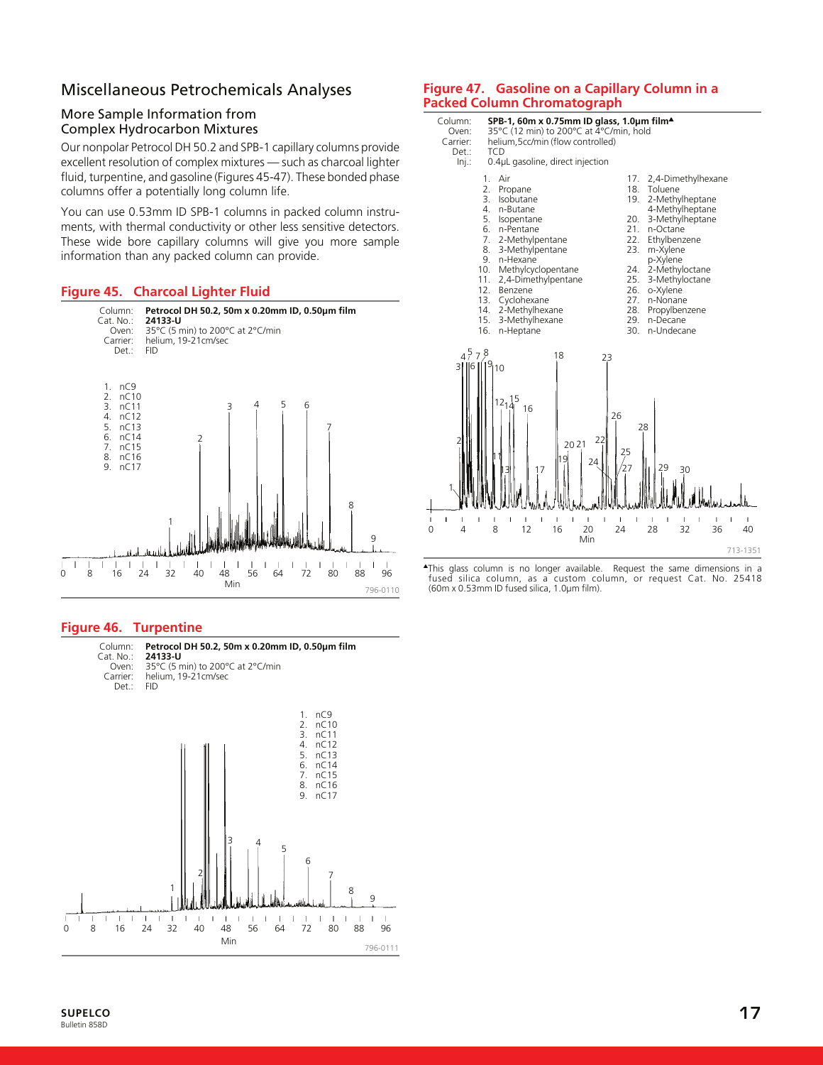# Miscellaneous Petrochemicals Analyses

# More Sample Information from Complex Hydrocarbon Mixtures

Our nonpolar Petrocol DH 50.2 and SPB-1 capillary columns provide excellent resolution of complex mixtures — such as charcoal lighter fluid, turpentine, and gasoline (Figures 45-47). These bonded phase columns offer a potentially long column life.

You can use 0.53mm ID SPB-1 columns in packed column instruments, with thermal conductivity or other less sensitive detectors. These wide bore capillary columns will give you more sample information than any packed column can provide.

# **Figure 45. Charcoal Lighter Fluid**



#### **Figure 46. Turpentine**



### **Figure 47. Gasoline on a Capillary Column in a Packed Column Chromatograph**

| Column:<br>Oven:<br>Carrier:<br>Det.:<br>Inj.:                                             | SPB-1, 60m x 0.75mm ID glass, 1.0µm film <sup>4</sup><br>35°C (12 min) to 200°C at 4°C/min, hold<br>helium, 5cc/min (flow controlled)<br><b>TCD</b><br>0.4µL gasoline, direct injection                                                              |                                                                                                                                                                                                                                                                                                                                                  |  |
|--------------------------------------------------------------------------------------------|------------------------------------------------------------------------------------------------------------------------------------------------------------------------------------------------------------------------------------------------------|--------------------------------------------------------------------------------------------------------------------------------------------------------------------------------------------------------------------------------------------------------------------------------------------------------------------------------------------------|--|
| $1_{-}$<br>2.<br>3.<br>4.<br>5.<br>6.<br>7.<br>8.<br>9.<br>10.<br>11.<br>12.<br>13.<br>16. | Air<br>Propane<br>Isobutane<br>n-Butane<br>Isopentane<br>n-Pentane<br>2-Methylpentane<br>3-Methylpentane<br>n-Hexane<br>Methylcyclopentane<br>2,4-Dimethylpentane<br>Benzene<br>Cyclohexane<br>14. 2-Methylhexane<br>15. 3-Methylhexane<br>n-Heptane | 17.<br>2,4-Dimethylhexane<br>18.<br>Toluene<br>19.<br>2-Methylheptane<br>4-Methylheptane<br>3-Methylheptane<br>20.<br>21.<br>n-Octane<br>22.<br>Ethylbenzene<br>23.<br>m-Xylene<br>p-Xylene<br>2-Methyloctane<br>24.<br>25.<br>3-Methyloctane<br>26.<br>o-Xylene<br>27.<br>n-Nonane<br>28. Propylbenzene<br>29.<br>n-Decane<br>30.<br>n-Undecane |  |
| $4^{5}7^{8}$<br>$\overline{\mathsf{3}}$<br>16<br>$\overline{2}$                            | 18<br>23<br>$19_{110}$<br>15<br>$12_{14}$<br>16<br>22<br>2021<br>19<br>24<br>7                                                                                                                                                                       | 26<br>28<br>25<br>29<br>30                                                                                                                                                                                                                                                                                                                       |  |
| ı<br>$\mathsf{I}$<br>ı<br>$\overline{4}$<br>0                                              | T<br>Ī<br>ı<br>ı<br>ı<br>ı<br>ı<br>ı<br>8<br>12<br>16<br>20<br>Min                                                                                                                                                                                   | $\mathbf{I}$<br>ı<br>ı<br>I<br>т<br>24<br>32<br>36<br>40<br>28<br>713-1351                                                                                                                                                                                                                                                                       |  |

▲This glass column is no longer available. Request the same dimensions in a fused silica column, as a custom column, or request Cat. No. 25418 (60m x 0.53mm ID fused silica, 1.0µm film).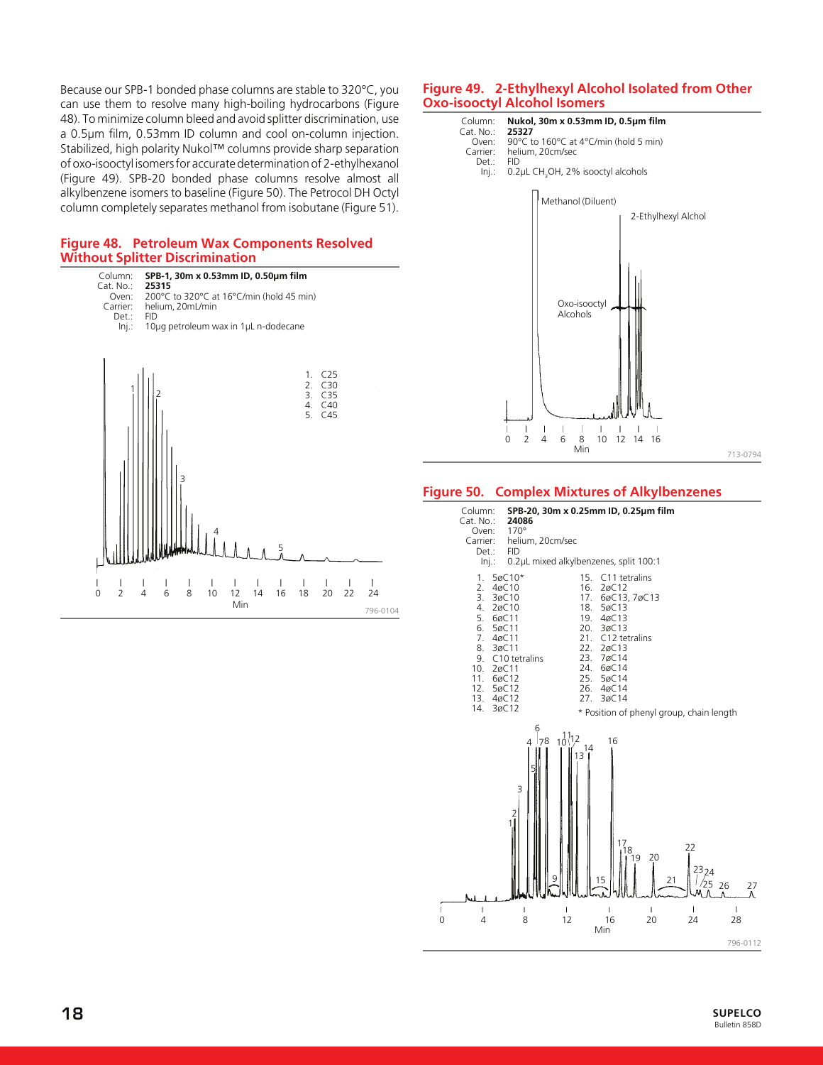Because our SPB-1 bonded phase columns are stable to 320°C, you can use them to resolve many high-boiling hydrocarbons (Figure 48). To minimize column bleed and avoid splitter discrimination, use a 0.5µm film, 0.53mm ID column and cool on-column injection. Stabilized, high polarity Nukol™ columns provide sharp separation of oxo-isooctyl isomers for accurate determination of 2-ethylhexanol (Figure 49). SPB-20 bonded phase columns resolve almost all alkylbenzene isomers to baseline (Figure 50). The Petrocol DH Octyl column completely separates methanol from isobutane (Figure 51).

#### **Figure 48. Petroleum Wax Components Resolved Without Splitter Discrimination**



796-0104

#### **Figure 49. 2-Ethylhexyl Alcohol Isolated from Other Oxo-isooctyl Alcohol Isomers**



#### **Figure 50. Complex Mixtures of Alkylbenzenes**

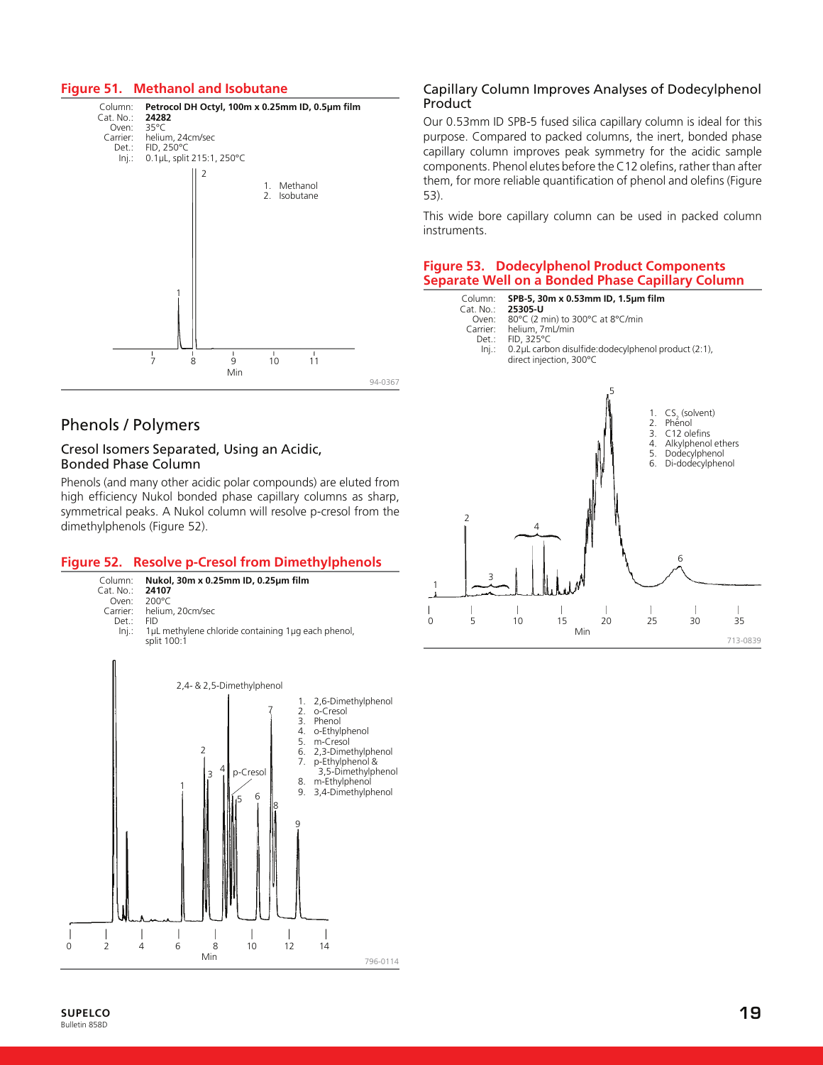### **Figure 51. Methanol and Isobutane**



# Phenols / Polymers

#### Cresol Isomers Separated, Using an Acidic, Bonded Phase Column

Phenols (and many other acidic polar compounds) are eluted from high efficiency Nukol bonded phase capillary columns as sharp, symmetrical peaks. A Nukol column will resolve p-cresol from the dimethylphenols (Figure 52).

#### **Figure 52. Resolve p-Cresol from Dimethylphenols**



# Capillary Column Improves Analyses of Dodecylphenol Product

Our 0.53mm ID SPB-5 fused silica capillary column is ideal for this purpose. Compared to packed columns, the inert, bonded phase capillary column improves peak symmetry for the acidic sample components. Phenol elutes before the C12 olefins, rather than after them, for more reliable quantification of phenol and olefins (Figure 53).

This wide bore capillary column can be used in packed column instruments.

# **Figure 53. Dodecylphenol Product Components Separate Well on a Bonded Phase Capillary Column**

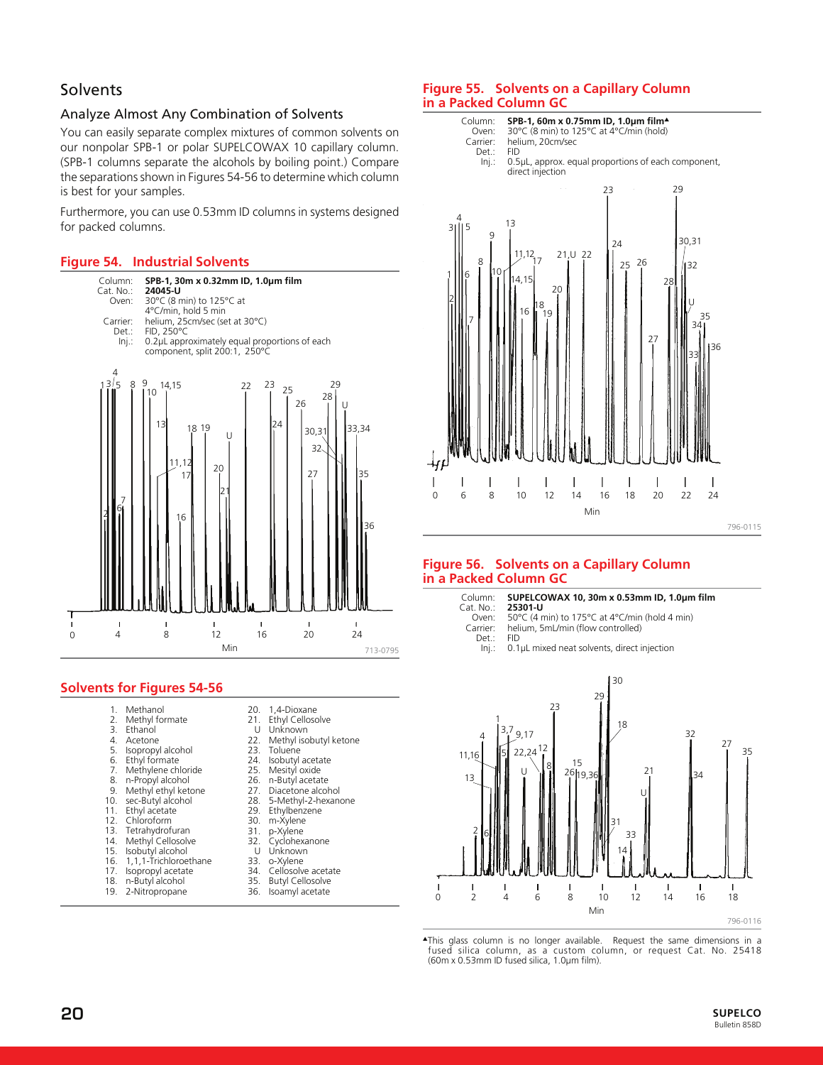# **Solvents**

# Analyze Almost Any Combination of Solvents

You can easily separate complex mixtures of common solvents on our nonpolar SPB-1 or polar SUPELCOWAX 10 capillary column. (SPB-1 columns separate the alcohols by boiling point.) Compare the separations shown in Figures 54-56 to determine which column is best for your samples.

Furthermore, you can use 0.53mm ID columns in systems designed for packed columns.

# **Figure 54. Industrial Solvents**



# **Solvents for Figures 54-56**

| 1.  | Methanol                  | 20. | 1,4-Dioxane             |
|-----|---------------------------|-----|-------------------------|
|     | 2. Methyl formate         | 21. | Ethyl Cellosolve        |
| 3.  | Ethanol                   | U   | Unknown                 |
|     | 4. Acetone                | 22. | Methyl isobutyl ketone  |
| 5.  | Isopropyl alcohol         | 23. | Toluene                 |
| 6.  | Ethyl formate             |     | 24. Isobutyl acetate    |
|     | 7. Methylene chloride     |     | 25. Mesityl oxide       |
|     | 8. n-Propyl alcohol       |     | 26. n-Butyl acetate     |
|     | 9. Methyl ethyl ketone    |     | 27. Diacetone alcohol   |
|     | 10. sec-Butyl alcohol     |     | 28. 5-Methyl-2-hexanone |
|     | 11. Ethyl acetate         | 29. | Ethylbenzene            |
|     | 12. Chloroform            | 30. | m-Xylene                |
|     | 13. Tetrahydrofuran       | 31. | p-Xylene                |
| 14. | Methyl Cellosolve         | 32. | Cyclohexanone           |
| 15. | Isobutyl alcohol          | U   | Unknown                 |
|     | 16. 1,1,1-Trichloroethane | 33. | o-Xylene                |
|     | 17. Isopropyl acetate     |     | 34. Cellosolve acetate  |
|     | 18. n-Butyl alcohol       |     | 35. Butyl Cellosolve    |
| 19. | 2-Nitropropane            | 36. | Isoamyl acetate         |

# **Figure 55. Solvents on a Capillary Column in a Packed Column GC**



# **Figure 56. Solvents on a Capillary Column in a Packed Column GC**





▲This glass column is no longer available. Request the same dimensions in a fused silica column, as a custom column, or request Cat. No. 25418 (60m x 0.53mm ID fused silica, 1.0µm film).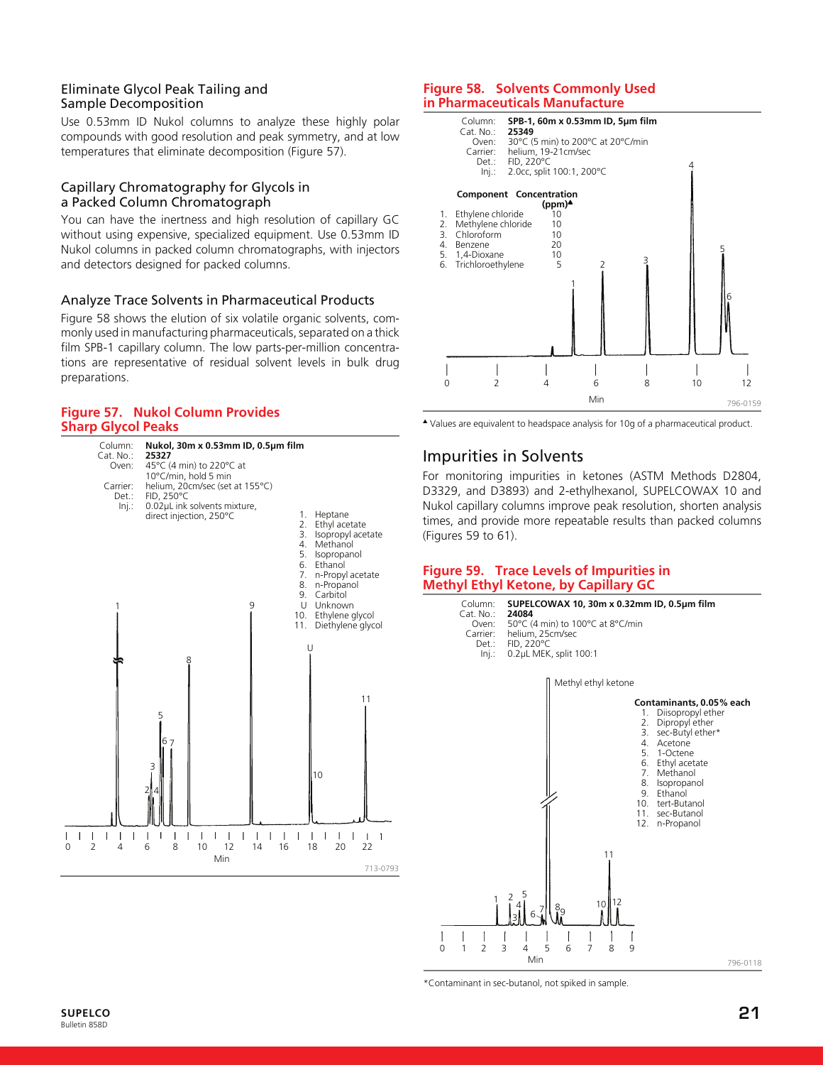# Eliminate Glycol Peak Tailing and Sample Decomposition

Use 0.53mm ID Nukol columns to analyze these highly polar compounds with good resolution and peak symmetry, and at low temperatures that eliminate decomposition (Figure 57).

#### Capillary Chromatography for Glycols in a Packed Column Chromatograph

You can have the inertness and high resolution of capillary GC without using expensive, specialized equipment. Use 0.53mm ID Nukol columns in packed column chromatographs, with injectors and detectors designed for packed columns.

#### Analyze Trace Solvents in Pharmaceutical Products

Figure 58 shows the elution of six volatile organic solvents, commonly used in manufacturing pharmaceuticals, separated on a thick film SPB-1 capillary column. The low parts-per-million concentrations are representative of residual solvent levels in bulk drug preparations.

#### **Figure 57. Nukol Column Provides Sharp Glycol Peaks**



#### **Figure 58. Solvents Commonly Used in Pharmaceuticals Manufacture**



▲ Values are equivalent to headspace analysis for 10g of a pharmaceutical product.

# Impurities in Solvents

For monitoring impurities in ketones (ASTM Methods D2804, D3329, and D3893) and 2-ethylhexanol, SUPELCOWAX 10 and Nukol capillary columns improve peak resolution, shorten analysis times, and provide more repeatable results than packed columns (Figures 59 to 61).

#### **Figure 59. Trace Levels of Impurities in Methyl Ethyl Ketone, by Capillary GC**



\*Contaminant in sec-butanol, not spiked in sample.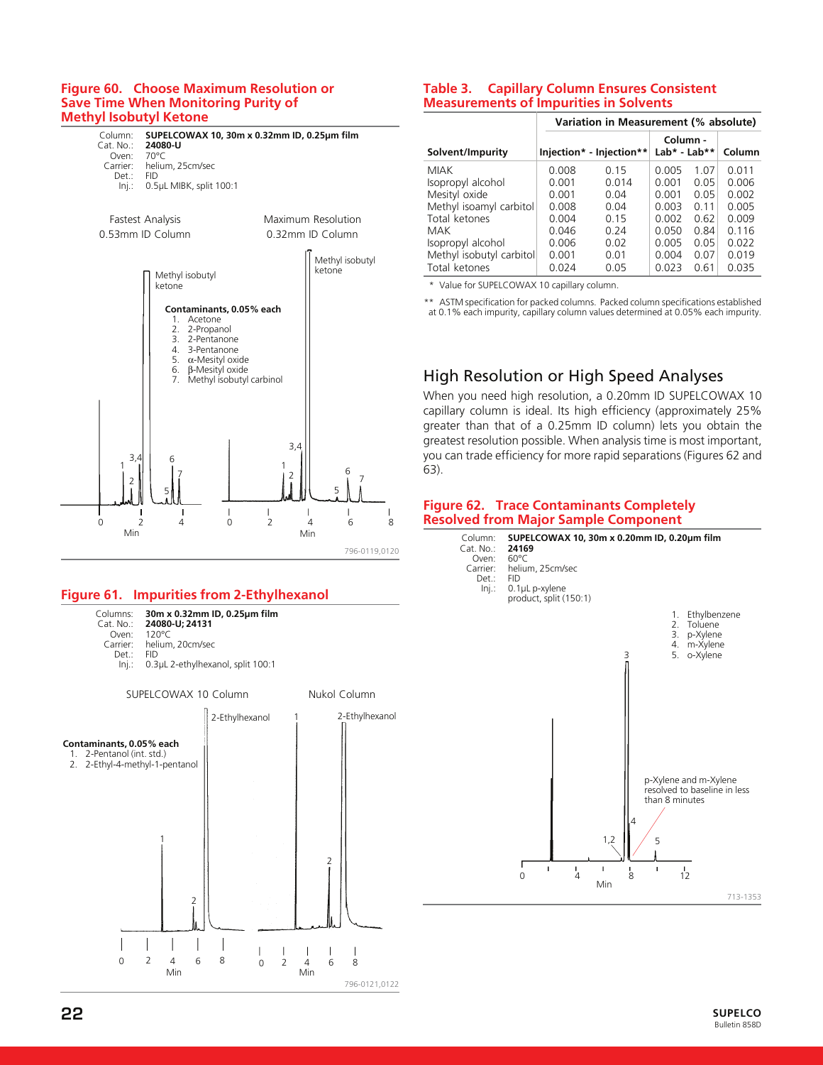#### **Figure 60. Choose Maximum Resolution or Save Time When Monitoring Purity of Methyl Isobutyl Ketone**



# **Figure 61. Impurities from 2-Ethylhexanol**



# **Table 3. Capillary Column Ensures Consistent Measurements of Impurities in Solvents**

|                          | Variation in Measurement (% absolute) |                          |                          |      |        |
|--------------------------|---------------------------------------|--------------------------|--------------------------|------|--------|
| Solvent/Impurity         |                                       | Injection* - Injection** | Column -<br>Lab* - Lab** |      | Column |
| <b>MIAK</b>              | 0.008                                 | 0.15                     | 0.005                    | 1.07 | 0.011  |
| Isopropyl alcohol        | 0.001                                 | 0.014                    | 0.001                    | 0.05 | 0.006  |
| Mesityl oxide            | 0.001                                 | 0.04                     | 0.001                    | 0.05 | 0.002  |
| Methyl isoamyl carbitol  | 0.008                                 | 0.04                     | 0.003                    | 0.11 | 0.005  |
| Total ketones            | 0.004                                 | 0.15                     | 0.002                    | 0.62 | 0.009  |
| MAK                      | 0.046                                 | 0.24                     | 0.050                    | 0.84 | 0.116  |
| Isopropyl alcohol        | 0.006                                 | 0.02                     | 0.005                    | 0.05 | 0.022  |
| Methyl isobutyl carbitol | 0.001                                 | 0.01                     | 0.004                    | 0.07 | 0.019  |
| Total ketones            | 0.024                                 | 0.05                     | 0.023                    | 0.61 | 0.035  |

\* Value for SUPELCOWAX 10 capillary column.

\*\* ASTM specification for packed columns. Packed column specifications established at 0.1% each impurity, capillary column values determined at 0.05% each impurity.

# High Resolution or High Speed Analyses

When you need high resolution, a 0.20mm ID SUPELCOWAX 10 capillary column is ideal. Its high efficiency (approximately 25% greater than that of a 0.25mm ID column) lets you obtain the greatest resolution possible. When analysis time is most important, you can trade efficiency for more rapid separations (Figures 62 and 63).

#### **Figure 62. Trace Contaminants Completely Resolved from Major Sample Component**

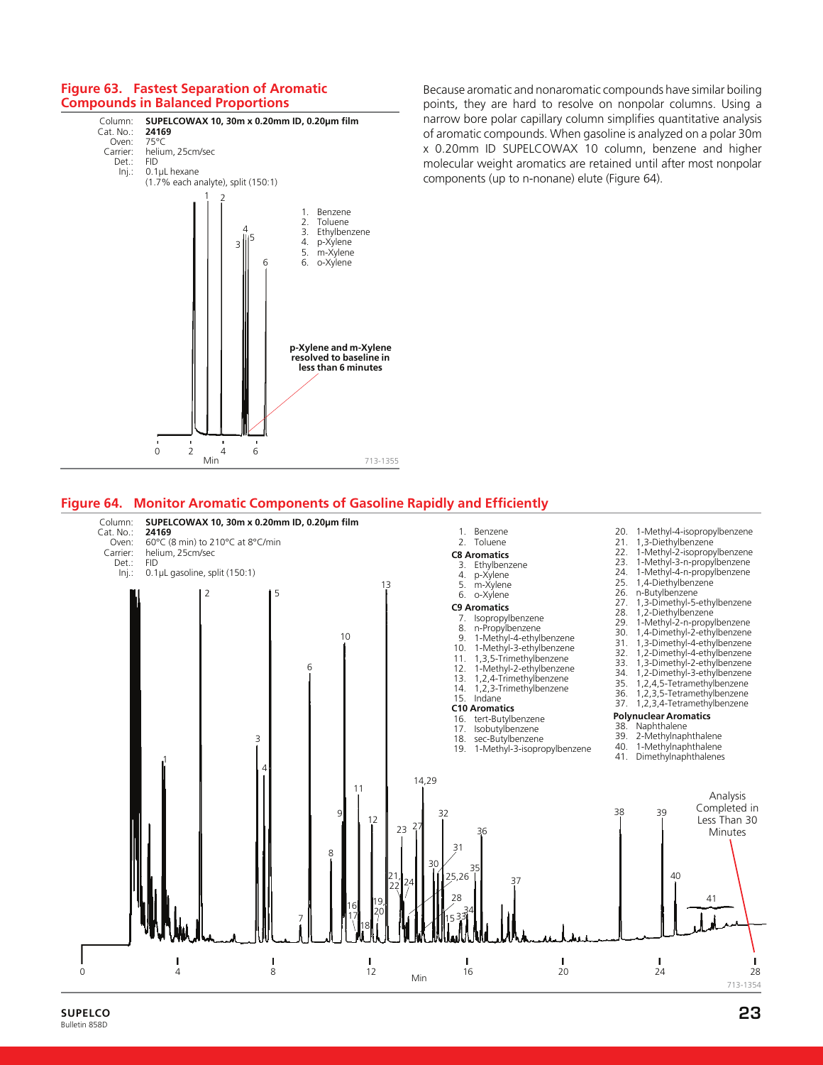#### **Figure 63. Fastest Separation of Aromatic Compounds in Balanced Proportions**



Because aromatic and nonaromatic compounds have similar boiling points, they are hard to resolve on nonpolar columns. Using a narrow bore polar capillary column simplifies quantitative analysis of aromatic compounds. When gasoline is analyzed on a polar 30m x 0.20mm ID SUPELCOWAX 10 column, benzene and higher molecular weight aromatics are retained until after most nonpolar components (up to n-nonane) elute (Figure 64).

#### **Figure 64. Monitor Aromatic Components of Gasoline Rapidly and Efficiently**

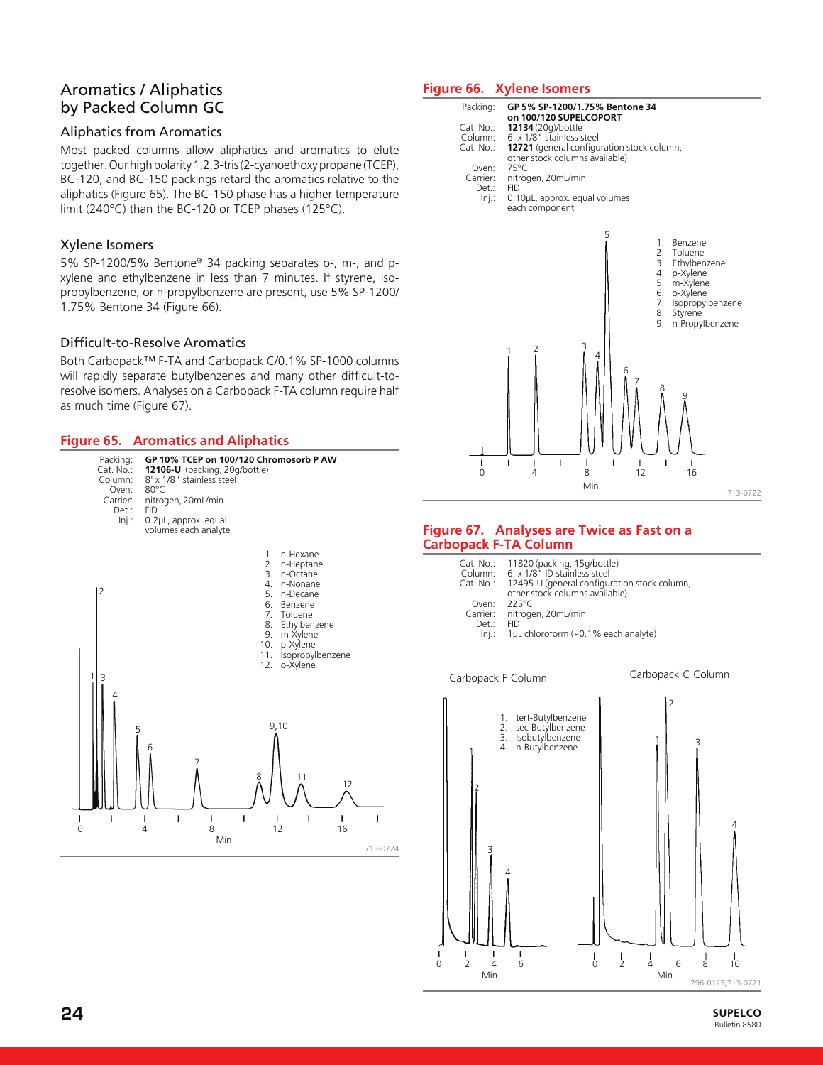# Aromatics / Aliphatics by Packed Column GC

#### Aliphatics from Aromatics

Most packed columns allow aliphatics and aromatics to elute together. Our high polarity 1,2,3-tris (2-cyanoethoxy propane (TCEP), BC-120, and BC-150 packings retard the aromatics relative to the aliphatics (Figure 65). The BC-150 phase has a higher temperature limit (240°C) than the BC-120 or TCEP phases (125°C).

# Xylene Isomers

5% SP-1200/5% Bentone® 34 packing separates o-, m-, and pxylene and ethylbenzene in less than 7 minutes. If styrene, isopropylbenzene, or n-propylbenzene are present, use 5% SP-1200/ 1.75% Bentone 34 (Figure 66).

# Difficult-to-Resolve Aromatics

Both Carbopack™ F-TA and Carbopack C/0.1% SP-1000 columns will rapidly separate butylbenzenes and many other difficult-toresolve isomers. Analyses on a Carbopack F-TA column require half as much time (Figure 67).

#### **Figure 65. Aromatics and Aliphatics**



# **Figure 66. Xylene Isomers**



#### **Figure 67. Analyses are Twice as Fast on a Carbopack F-TA Column**

| Cat. No.:<br>Column:<br>$Cat. No.$ : | 11820 (packing, 15g/bottle)<br>6' x 1/8" ID stainless steel<br>12495-U (general configuration stock column,<br>other stock columns available) |
|--------------------------------------|-----------------------------------------------------------------------------------------------------------------------------------------------|
| Oven:                                | $225^{\circ}$ C                                                                                                                               |
| Carrier:                             | nitrogen, 20mL/min                                                                                                                            |
| Det.:                                | FID                                                                                                                                           |
| Ini.:                                | 1µL chloroform (~0.1% each analyte)                                                                                                           |

Carbopack F Column Carbopack C Column

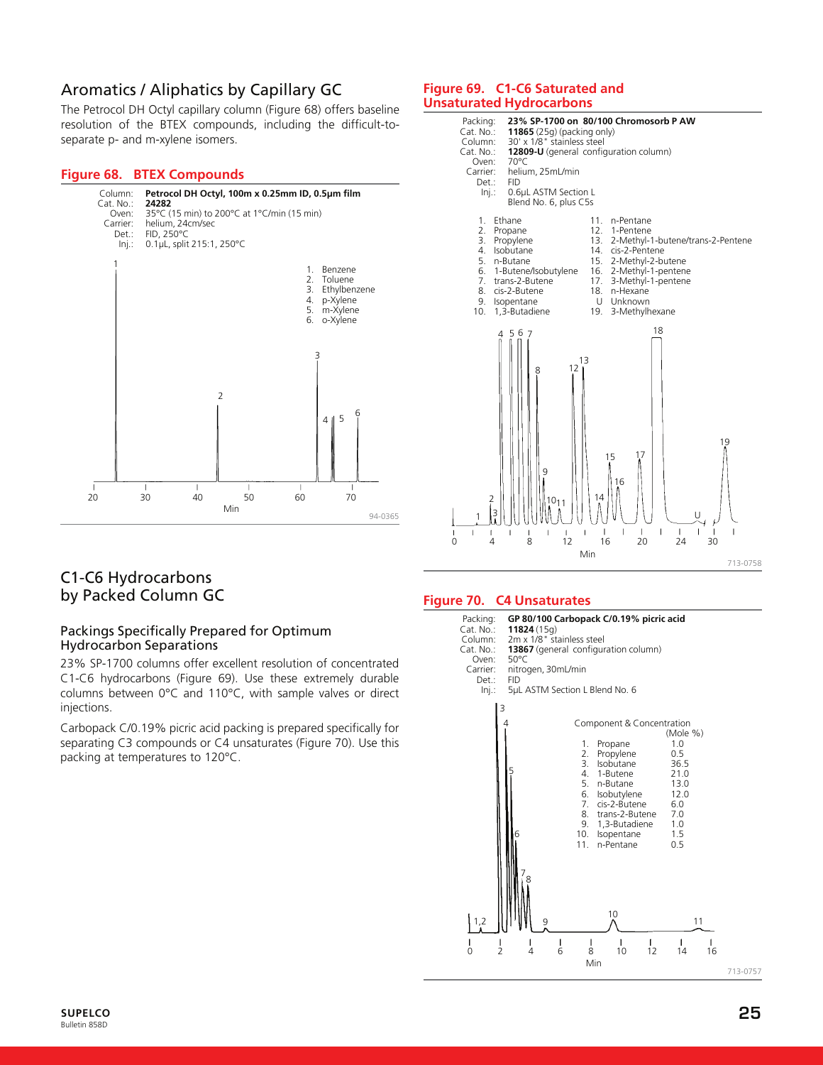# Aromatics / Aliphatics by Capillary GC

The Petrocol DH Octyl capillary column (Figure 68) offers baseline resolution of the BTEX compounds, including the difficult-toseparate p- and m-xylene isomers.

#### **Figure 68. BTEX Compounds**



# C1-C6 Hydrocarbons by Packed Column GC

#### Packings Specifically Prepared for Optimum Hydrocarbon Separations

23% SP-1700 columns offer excellent resolution of concentrated C1-C6 hydrocarbons (Figure 69). Use these extremely durable columns between 0°C and 110°C, with sample valves or direct injections.

Carbopack C/0.19% picric acid packing is prepared specifically for separating C3 compounds or C4 unsaturates (Figure 70). Use this packing at temperatures to 120°C.

#### **Figure 69. C1-C6 Saturated and Unsaturated Hydrocarbons**



#### **Figure 70. C4 Unsaturates**

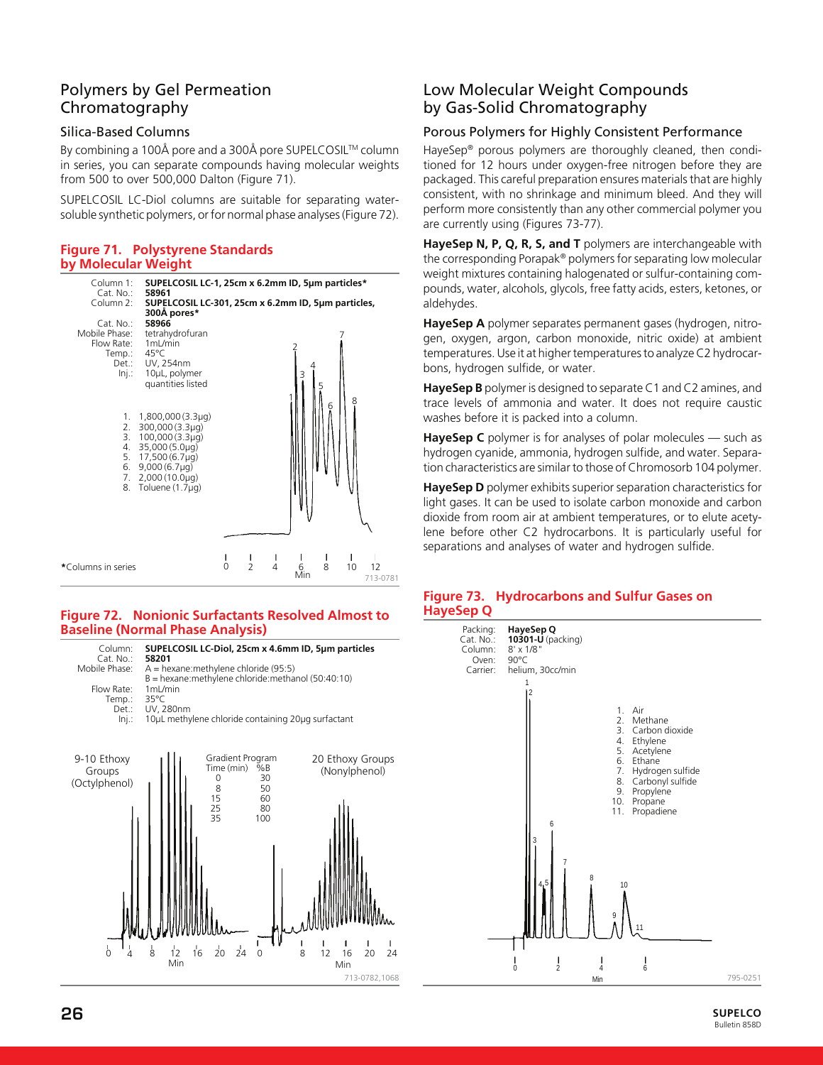# Polymers by Gel Permeation Chromatography

# Silica-Based Columns

By combining a 100Å pore and a 300Å pore SUPELCOSIL™ column in series, you can separate compounds having molecular weights from 500 to over 500,000 Dalton (Figure 71).

SUPELCOSIL LC-Diol columns are suitable for separating watersoluble synthetic polymers, or for normal phase analyses (Figure 72).

#### **Figure 71. Polystyrene Standards by Molecular Weight**



#### **Figure 72. Nonionic Surfactants Resolved Almost to Baseline (Normal Phase Analysis)**



# Low Molecular Weight Compounds by Gas-Solid Chromatography

# Porous Polymers for Highly Consistent Performance

HayeSep® porous polymers are thoroughly cleaned, then conditioned for 12 hours under oxygen-free nitrogen before they are packaged. This careful preparation ensures materials that are highly consistent, with no shrinkage and minimum bleed. And they will perform more consistently than any other commercial polymer you are currently using (Figures 73-77).

**HayeSep N, P, Q, R, S, and T** polymers are interchangeable with the corresponding Porapak® polymers for separating low molecular weight mixtures containing halogenated or sulfur-containing compounds, water, alcohols, glycols, free fatty acids, esters, ketones, or aldehydes.

**HayeSep A** polymer separates permanent gases (hydrogen, nitrogen, oxygen, argon, carbon monoxide, nitric oxide) at ambient temperatures. Use it at higher temperatures to analyze C2 hydrocarbons, hydrogen sulfide, or water.

**HayeSep B** polymer is designed to separate C1 and C2 amines, and trace levels of ammonia and water. It does not require caustic washes before it is packed into a column.

**HayeSep C** polymer is for analyses of polar molecules — such as hydrogen cyanide, ammonia, hydrogen sulfide, and water. Separation characteristics are similar to those of Chromosorb 104 polymer.

**HayeSep D** polymer exhibits superior separation characteristics for light gases. It can be used to isolate carbon monoxide and carbon dioxide from room air at ambient temperatures, or to elute acetylene before other C2 hydrocarbons. It is particularly useful for separations and analyses of water and hydrogen sulfide.

#### **Figure 73. Hydrocarbons and Sulfur Gases on HayeSep Q**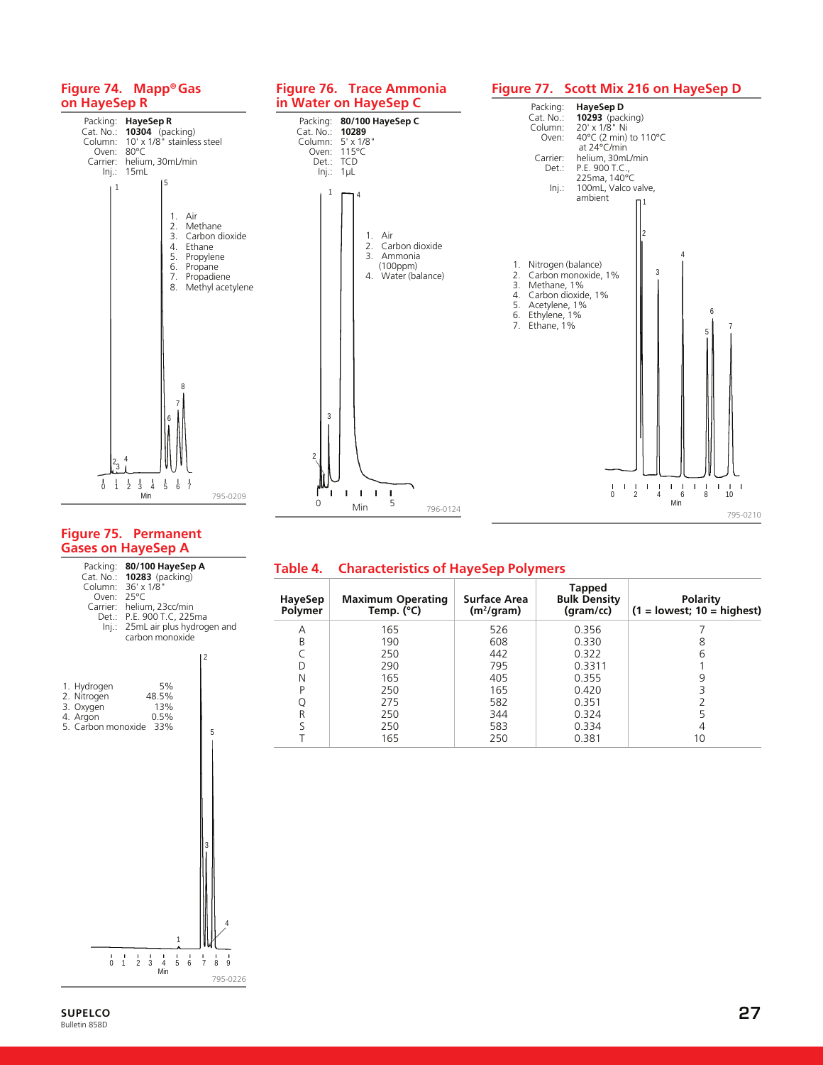

#### **Figure 75. Permanent Gases on HayeSep A**

Packing: **80/100 HayeSep A** Cat. No.: **10283** (packing) Column: 36' x 1/8" Oven: 25°C Carrier: helium, 23cc/min

# **Table 4. Characteristics of HayeSep Polymers**

| HayeSep<br>Polymer | <b>Maximum Operating</b><br>Temp. $(^{\circ}C)$ | Surface Area<br>$(m^2/\text{gram})$ | Tapped<br><b>Bulk Density</b><br>(gram/cc) | Polarity<br>$(1 =$ lowest; $10 =$ highest) |
|--------------------|-------------------------------------------------|-------------------------------------|--------------------------------------------|--------------------------------------------|
| Α                  | 165                                             | 526                                 | 0.356                                      |                                            |
| B                  | 190                                             | 608                                 | 0.330                                      | 8                                          |
|                    | 250                                             | 442                                 | 0.322                                      | 6                                          |
| D                  | 290                                             | 795                                 | 0.3311                                     |                                            |
| Ν                  | 165                                             | 405                                 | 0.355                                      | 9                                          |
| D                  | 250                                             | 165                                 | 0.420                                      |                                            |
|                    | 275                                             | 582                                 | 0.351                                      |                                            |
| R                  | 250                                             | 344                                 | 0.324                                      | 5                                          |
|                    | 250                                             | 583                                 | 0.334                                      |                                            |
|                    | 165                                             | 250                                 | 0.381                                      | 10                                         |

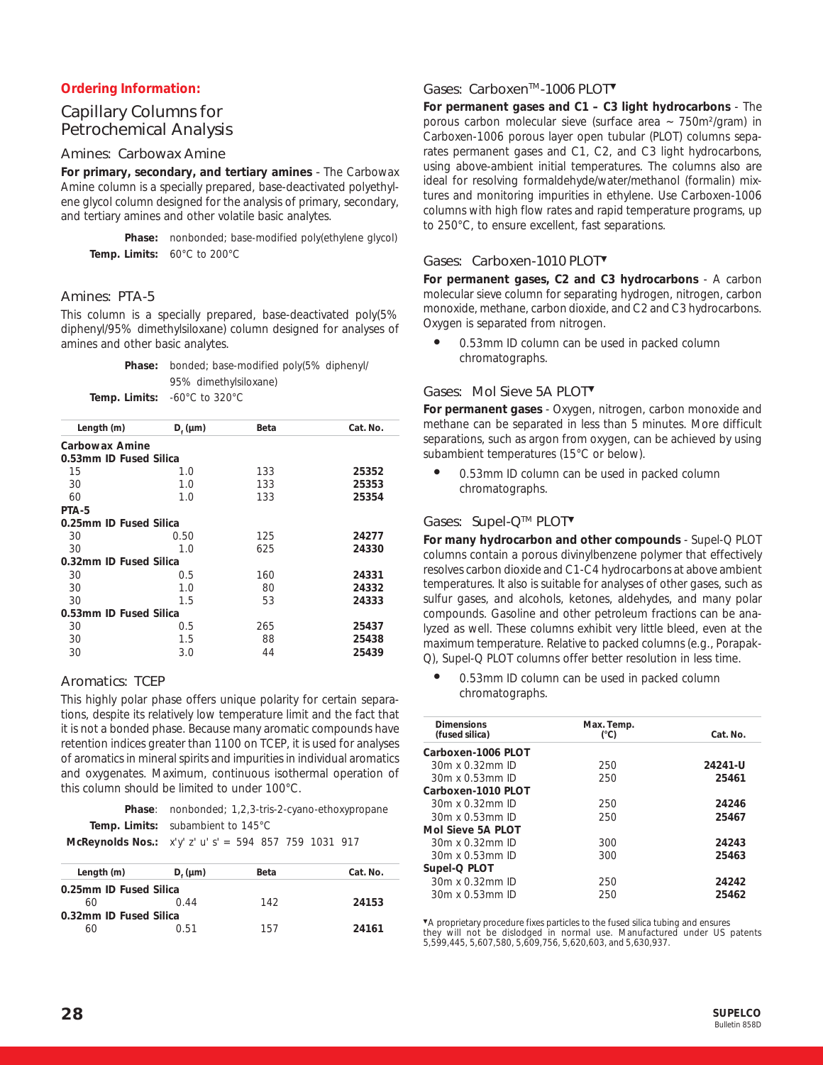# **Ordering Information:**

# Capillary Columns for Petrochemical Analysis

# Amines: Carbowax Amine

**For primary, secondary, and tertiary amines** *-* The Carbowax Amine column is a specially prepared, base-deactivated polyethylene glycol column designed for the analysis of primary, secondary, and tertiary amines and other volatile basic analytes.

**Phase:** nonbonded; base-modified poly(ethylene glycol) **Temp. Limits:** 60°C to 200°C

### Amines: PTA-5

This column is a specially prepared, base-deactivated poly(5% diphenyl/95% dimethylsiloxane) column designed for analyses of amines and other basic analytes.

| <b>Phase:</b> bonded; base-modified poly(5% diphenyl/    |
|----------------------------------------------------------|
| 95% dimethylsiloxane)                                    |
| <b>Temp. Limits:</b> $-60^{\circ}$ C to 320 $^{\circ}$ C |

| Length (m)             | $D_f$ (µm) | Beta | Cat. No. |
|------------------------|------------|------|----------|
| Carbowax Amine         |            |      |          |
| 0.53mm ID Fused Silica |            |      |          |
| 15                     | 1.0        | 133  | 25352    |
| 30                     | 1.0        | 133  | 25353    |
| 60                     | 1.0        | 133  | 25354    |
| PTA-5                  |            |      |          |
| 0.25mm ID Fused Silica |            |      |          |
| 30                     | 0.50       | 125  | 24277    |
| 30                     | 1 N        | 625  | 24330    |
| 0.32mm ID Fused Silica |            |      |          |
| 30                     | 0.5        | 160  | 24331    |
| 30                     | 1.0        | 80   | 24332    |
| 30                     | 1.5        | 53   | 24333    |
| 0.53mm ID Fused Silica |            |      |          |
| 30                     | 0.5        | 265  | 25437    |
| 30                     | 1.5        | 88   | 25438    |
| 30                     | 3.0        | 44   | 25439    |
|                        |            |      |          |

#### Aromatics: TCEP

This highly polar phase offers unique polarity for certain separations, despite its relatively low temperature limit and the fact that it is not a bonded phase. Because many aromatic compounds have retention indices greater than 1100 on TCEP, it is used for analyses of aromatics in mineral spirits and impurities in individual aromatics and oxygenates. Maximum, continuous isothermal operation of this column should be limited to under 100°C.

| <b>Phase:</b> nonbonded: 1,2,3-tris-2-cyano-ethoxypropane |
|-----------------------------------------------------------|
| <b>Temp. Limits:</b> subambient to 145°C                  |
| McReynolds Nos.: $x'y' z' u' s' = 594 857 759 1031 917$   |

| Length (m)             | $D_{\epsilon}$ (µm) | Beta | Cat. No. |  |
|------------------------|---------------------|------|----------|--|
| 0.25mm ID Fused Silica |                     |      |          |  |
| 60                     | O 44                | 142  | 24153    |  |
| 0.32mm ID Fused Silica |                     |      |          |  |
|                        | በ 51                | 157  | 24161    |  |

# Gases: Carboxen<sup>™</sup>-1006 PLOT<sup>▼</sup>

**For permanent gases and C1 – C3 light hydrocarbons** - The porous carbon molecular sieve (surface area ~ 750m²/gram) in Carboxen-1006 porous layer open tubular (PLOT) columns separates permanent gases and C1, C2, and C3 light hydrocarbons, using above-ambient initial temperatures. The columns also are ideal for resolving formaldehyde/water/methanol (formalin) mixtures and monitoring impurities in ethylene. Use Carboxen-1006 columns with high flow rates and rapid temperature programs, up to 250°C, to ensure excellent, fast separations.

### Gases: Carboxen-1010 PLOT▼

**For permanent gases, C2 and C3 hydrocarbons** - A carbon molecular sieve column for separating hydrogen, nitrogen, carbon monoxide, methane, carbon dioxide, and C2 and C3 hydrocarbons. Oxygen is separated from nitrogen.

0.53mm ID column can be used in packed column chromatographs.

#### Gases: Mol Sieve 5A PLOT▼

**For permanent gases** - Oxygen, nitrogen, carbon monoxide and methane can be separated in less than 5 minutes. More difficult separations, such as argon from oxygen, can be achieved by using subambient temperatures (15°C or below).

● 0.53mm ID column can be used in packed column chromatographs.

# Gases: Supel-QTM PLOT▼

**For many hydrocarbon and other compounds** - Supel-Q PLOT columns contain a porous divinylbenzene polymer that effectively resolves carbon dioxide and C1-C4 hydrocarbons at above ambient temperatures. It also is suitable for analyses of other gases, such as sulfur gases, and alcohols, ketones, aldehydes, and many polar compounds. Gasoline and other petroleum fractions can be analyzed as well. These columns exhibit very little bleed, even at the maximum temperature. Relative to packed columns (e.g., Porapak-Q), Supel-Q PLOT columns offer better resolution in less time.

● 0.53mm ID column can be used in packed column chromatographs.

| <b>Dimensions</b><br>(fused silica) | Max. Temp.<br>$(^{\circ}C)$ | Cat. No. |
|-------------------------------------|-----------------------------|----------|
| Carboxen-1006 PLOT                  |                             |          |
| 30m x 0.32mm ID                     | 250                         | 24241-U  |
| $30m \times 0.53mm$ ID              | 250                         | 25461    |
| Carboxen-1010 PLOT                  |                             |          |
| 30m x 0.32mm ID                     | 250                         | 24246    |
| $30m \times 0.53mm$ ID              | 250                         | 25467    |
| Mol Sieve 5A PLOT                   |                             |          |
| 30m x 0.32mm ID                     | 300                         | 24243    |
| $30m \times 0.53mm$ ID              | 300                         | 25463    |
| Supel-Q PLOT                        |                             |          |
| $30m \times 0.32mm$ ID              | 250                         | 24242    |
| $30m \times 0.53mm$ ID              | 250                         | 25462    |
|                                     |                             |          |

▼A proprietary procedure fixes particles to the fused silica tubing and ensures they will not be dislodged in normal use. Manufactured under US patents 5,599,445, 5,607,580, 5,609,756, 5,620,603, and 5,630,937.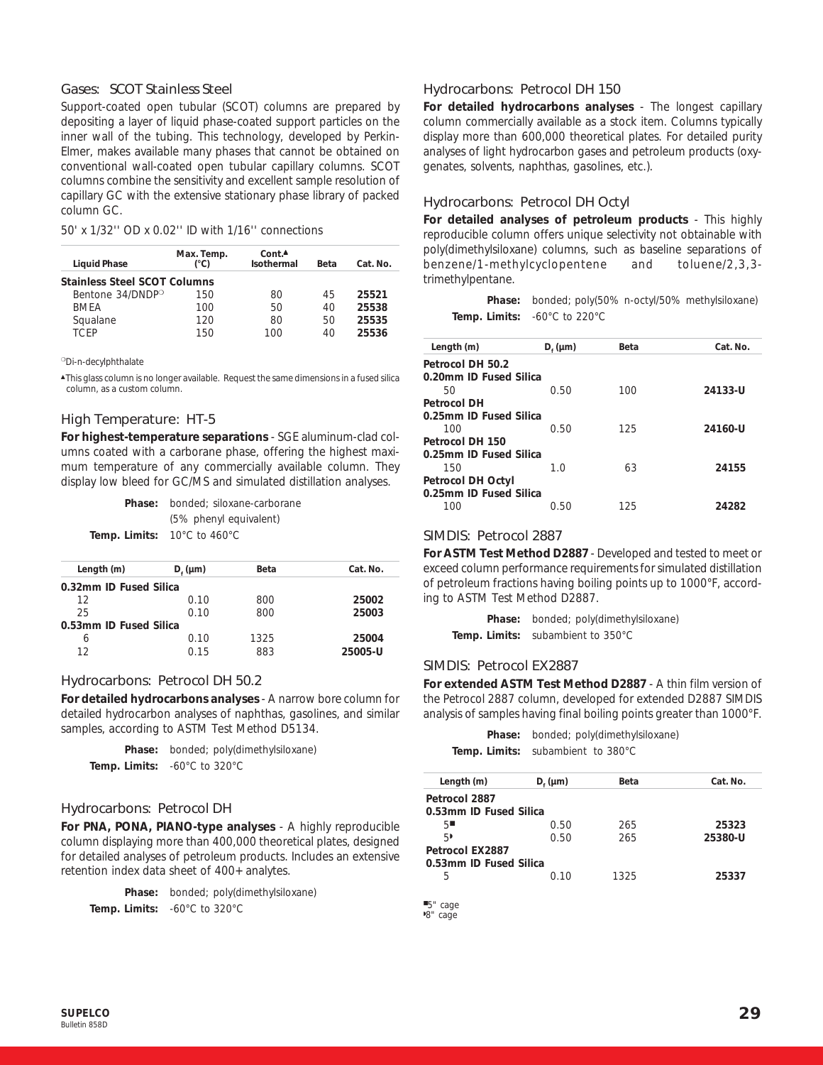#### Gases: SCOT Stainless Steel

Support-coated open tubular (SCOT) columns are prepared by depositing a layer of liquid phase-coated support particles on the inner wall of the tubing. This technology, developed by Perkin-Elmer, makes available many phases that cannot be obtained on conventional wall-coated open tubular capillary columns. SCOT columns combine the sensitivity and excellent sample resolution of capillary GC with the extensive stationary phase library of packed column GC.

50' x 1/32'' OD x 0.02'' ID with 1/16'' connections

| <b>Liquid Phase</b>                 | Max. Temp.<br>(°C) | Cont.<br>Isothermal | Beta | Cat. No. |
|-------------------------------------|--------------------|---------------------|------|----------|
| <b>Stainless Steel SCOT Columns</b> |                    |                     |      |          |
| Bentone 34/DNDP <sup>o</sup>        | 150                | 80                  | 45   | 25521    |
| <b>BMFA</b>                         | 100                | 50                  | 40   | 25538    |
| Squalane                            | 120                | 80                  | 50   | 25535    |
| TCFP                                | 150                | 100                 | 40   | 25536    |

❍Di-n-decylphthalate

▲This glass column is no longer available. Request the same dimensions in a fused silica column, as a custom column.

#### High Temperature: HT-5

**For highest-temperature separations** - SGE aluminum-clad columns coated with a carborane phase, offering the highest maximum temperature of any commercially available column. They display low bleed for GC/MS and simulated distillation analyses.

| <b>Phase:</b> bonded: siloxane-carborane               |
|--------------------------------------------------------|
| (5% phenyl equivalent)                                 |
| <b>Temp. Limits:</b> $10^{\circ}$ C to $460^{\circ}$ C |

| Cat. No. |
|----------|
|          |
| 25002    |
| 25003    |
|          |
| 25004    |
| 25005-U  |
|          |

#### Hydrocarbons: Petrocol DH 50.2

**For detailed hydrocarbons analyses** - A narrow bore column for detailed hydrocarbon analyses of naphthas, gasolines, and similar samples, according to ASTM Test Method D5134.

**Phase:** bonded; poly(dimethylsiloxane) **Temp. Limits:** -60°C to 320°C

#### Hydrocarbons: Petrocol DH

**For PNA, PONA, PIANO-type analyses** - A highly reproducible column displaying more than 400,000 theoretical plates, designed for detailed analyses of petroleum products. Includes an extensive retention index data sheet of 400+ analytes.

|               | <b>Phase:</b> bonded; poly(dimethylsiloxane) |
|---------------|----------------------------------------------|
| Temp. Limits: | -60°C to 320°C                               |

#### Hydrocarbons: Petrocol DH 150

**For detailed hydrocarbons analyses** - The longest capillary column commercially available as a stock item. Columns typically display more than 600,000 theoretical plates. For detailed purity analyses of light hydrocarbon gases and petroleum products (oxygenates, solvents, naphthas, gasolines, etc.).

#### Hydrocarbons: Petrocol DH Octyl

**For detailed analyses of petroleum products** - This highly reproducible column offers unique selectivity not obtainable with poly(dimethylsiloxane) columns, such as baseline separations of benzene/1-methylcyclopentene and toluene/2,3,3 trimethylpentane.

**Phase:** bonded; poly(50% n-octyl/50% methylsiloxane) **Temp. Limits:** -60°C to 220°C

| Length (m)             | $D_{\epsilon}$ (µm) | Beta | Cat. No. |
|------------------------|---------------------|------|----------|
| Petrocol DH 50.2       |                     |      |          |
| 0.20mm ID Fused Silica |                     |      |          |
| 50                     | 0.50                | 100  | 24133-U  |
| Petrocol DH            |                     |      |          |
| 0.25mm ID Fused Silica |                     |      |          |
| 100                    | 0.50                | 125  | 24160-U  |
| Petrocol DH 150        |                     |      |          |
| 0.25mm ID Fused Silica |                     |      |          |
| 150                    | 1.0                 | 63   | 24155    |
| Petrocol DH Octyl      |                     |      |          |
| 0.25mm ID Fused Silica |                     |      |          |
| 100                    | 0.50                | 125  | 24282    |
|                        |                     |      |          |

#### SIMDIS: Petrocol 2887

**For ASTM Test Method D2887** - Developed and tested to meet or exceed column performance requirements for simulated distillation of petroleum fractions having boiling points up to 1000°F, according to ASTM Test Method D2887.

**Phase:** bonded; poly(dimethylsiloxane) **Temp. Limits:** subambient to 350°C

#### SIMDIS: Petrocol EX2887

**For extended ASTM Test Method D2887** - A thin film version of the Petrocol 2887 column, developed for extended D2887 SIMDIS analysis of samples having final boiling points greater than 1000°F.

|  | <b>Phase:</b> bonded; poly(dimethylsiloxane) |
|--|----------------------------------------------|
|  | Temp. Limits: subambient to 380°C            |

| Length (m)             | $D_{\epsilon}$ (µm) | Beta | Cat. No. |
|------------------------|---------------------|------|----------|
| Petrocol 2887          |                     |      |          |
| 0.53mm ID Fused Silica |                     |      |          |
| 5                      | 0.50                | 265  | 25323    |
| 5,                     | 0.50                | 265  | 25380-U  |
| Petrocol EX2887        |                     |      |          |
| 0.53mm ID Fused Silica |                     |      |          |
| 5                      | 0. IO               | 1325 | 25337    |
|                        |                     |      |          |

■5" cage

◗ 8" cage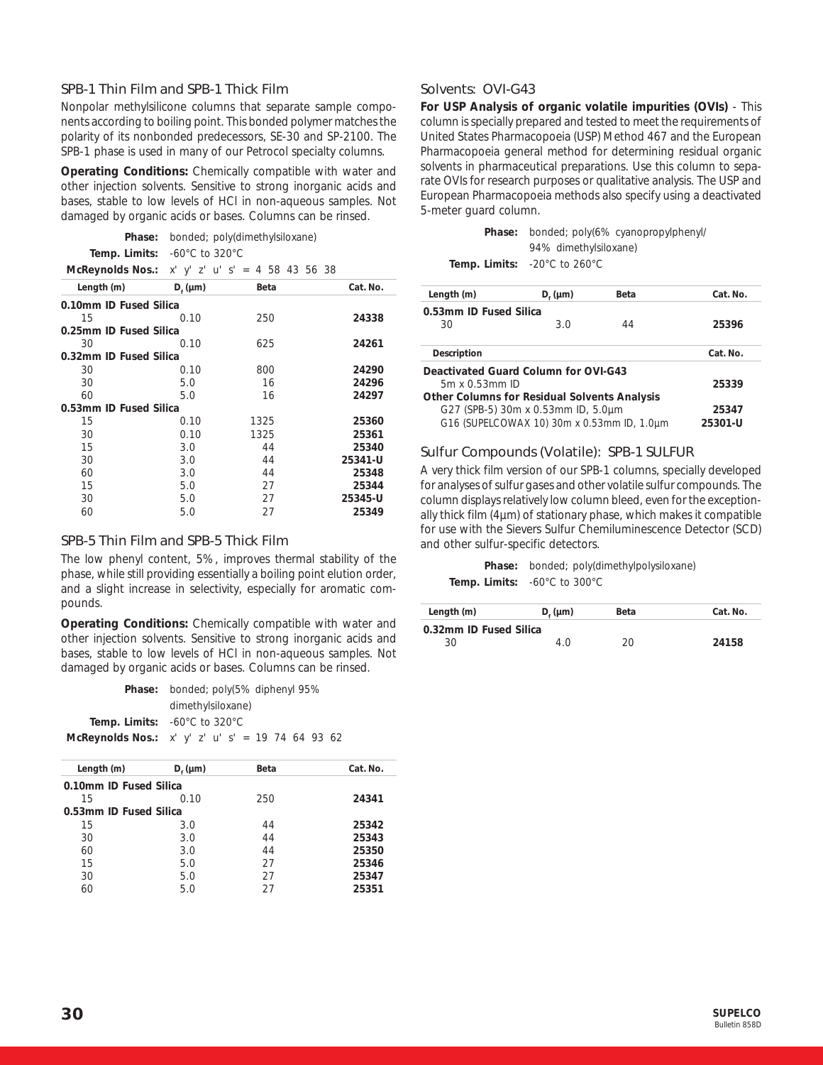### SPB-1 Thin Film and SPB-1 Thick Film

Nonpolar methylsilicone columns that separate sample components according to boiling point. This bonded polymer matches the polarity of its nonbonded predecessors, SE-30 and SP-2100. The SPB-1 phase is used in many of our Petrocol specialty columns.

**Operating Conditions:** Chemically compatible with water and other injection solvents. Sensitive to strong inorganic acids and bases, stable to low levels of HCl in non-aqueous samples. Not damaged by organic acids or bases. Columns can be rinsed.

| <b>Phase:</b> bonded: poly(dimethylsiloxane)                     |
|------------------------------------------------------------------|
| <b>Temp. Limits:</b> $-60^{\circ}$ C to 320 $^{\circ}$ C         |
| <b>McReynolds Nos.:</b> $x'$ $y'$ $z'$ $u'$ $s' = 4$ 58 43 56 38 |

| $D_f$ (µm)             | Beta | Cat. No. |  |
|------------------------|------|----------|--|
| 0.10mm ID Fused Silica |      |          |  |
| 0.10                   | 250  | 24338    |  |
| 0.25mm ID Fused Silica |      |          |  |
| 0.10                   | 625  | 24261    |  |
| 0.32mm ID Fused Silica |      |          |  |
| 0.10                   | 800  | 24290    |  |
| 5.0                    | 16   | 24296    |  |
| 5.0                    | 16   | 24297    |  |
| 0.53mm ID Fused Silica |      |          |  |
| 0.10                   | 1325 | 25360    |  |
| 0.10                   | 1325 | 25361    |  |
| 3.0                    | 44   | 25340    |  |
| 3.0                    | 44   | 25341-U  |  |
| 3.0                    | 44   | 25348    |  |
| 5.0                    | 27   | 25344    |  |
| 5.0                    | 27   | 25345-U  |  |
| 5.0                    | 27   | 25349    |  |
|                        |      |          |  |

#### SPB-5 Thin Film and SPB-5 Thick Film

The low phenyl content, 5%, improves thermal stability of the phase, while still providing essentially a boiling point elution order, and a slight increase in selectivity, especially for aromatic compounds.

**Operating Conditions:** Chemically compatible with water and other injection solvents. Sensitive to strong inorganic acids and bases, stable to low levels of HCl in non-aqueous samples. Not damaged by organic acids or bases. Columns can be rinsed.

| <b>Phase:</b> bonded; poly(5% diphenyl 95%                        |
|-------------------------------------------------------------------|
| dimethylsiloxane)                                                 |
| <b>Temp. Limits:</b> $-60^{\circ}$ C to 320 $^{\circ}$ C          |
| <b>McReynolds Nos.:</b> $x'$ $y'$ $z'$ $u'$ $s' = 19$ 74 64 93 62 |

| Length (m)             | $D_{r}$ (µm) | Beta | Cat. No. |
|------------------------|--------------|------|----------|
| 0.10mm ID Fused Silica |              |      |          |
| 15                     | 0.10         | 250  | 24341    |
| 0.53mm ID Fused Silica |              |      |          |
| 15                     | 3.0          | 44   | 25342    |
| 30                     | 3.0          | 44   | 25343    |
| 60                     | 3.0          | 44   | 25350    |
| 15                     | 5.0          | 27   | 25346    |
| 30                     | 5.0          | 27   | 25347    |
| 60                     | 5.0          | 27   | 25351    |
|                        |              |      |          |

# Solvents: OVI-G43

**For USP Analysis of organic volatile impurities (OVIs)** - This column is specially prepared and tested to meet the requirements of United States Pharmacopoeia (USP) Method 467 and the European Pharmacopoeia general method for determining residual organic solvents in pharmaceutical preparations. Use this column to separate OVIs for research purposes or qualitative analysis. The USP and European Pharmacopoeia methods also specify using a deactivated 5-meter guard column.

> **Phase:** bonded; poly(6% cyanopropylphenyl/ 94% dimethylsiloxane)

**Temp. Limits:** -20°C to 260°C

| Length (m)                                          | $D_{\epsilon}$ (µm)                        | Beta | Cat. No. |
|-----------------------------------------------------|--------------------------------------------|------|----------|
| 0.53mm ID Fused Silica                              |                                            |      |          |
| 30                                                  | 3.0                                        | 44   | 25396    |
| Description                                         |                                            |      | Cat. No. |
| Deactivated Guard Column for OVI-G43                |                                            |      |          |
| $5m \times 0.53mm$ ID                               |                                            |      | 25339    |
| <b>Other Columns for Residual Solvents Analysis</b> |                                            |      |          |
|                                                     | G27 (SPB-5) 30m x 0.53mm ID, 5.0µm         |      | 25347    |
|                                                     | G16 (SUPELCOWAX 10) 30m x 0.53mm ID, 1.0um |      | 25301-U  |

#### Sulfur Compounds (Volatile): SPB-1 SULFUR

A very thick film version of our SPB-1 columns, specially developed for analyses of sulfur gases and other volatile sulfur compounds. The column displays relatively low column bleed, even for the exceptionally thick film (4µm) of stationary phase, which makes it compatible for use with the Sievers Sulfur Chemiluminescence Detector (SCD) and other sulfur-specific detectors.

**Phase:** bonded; poly(dimethylpolysiloxane) **Temp. Limits:** -60°C to 300°C

| Length (m)             | $D_{\epsilon}$ (µm) | Beta | Cat. No. |
|------------------------|---------------------|------|----------|
| 0.32mm ID Fused Silica |                     |      |          |
| 30                     | 4 N                 | 20.  | 24158    |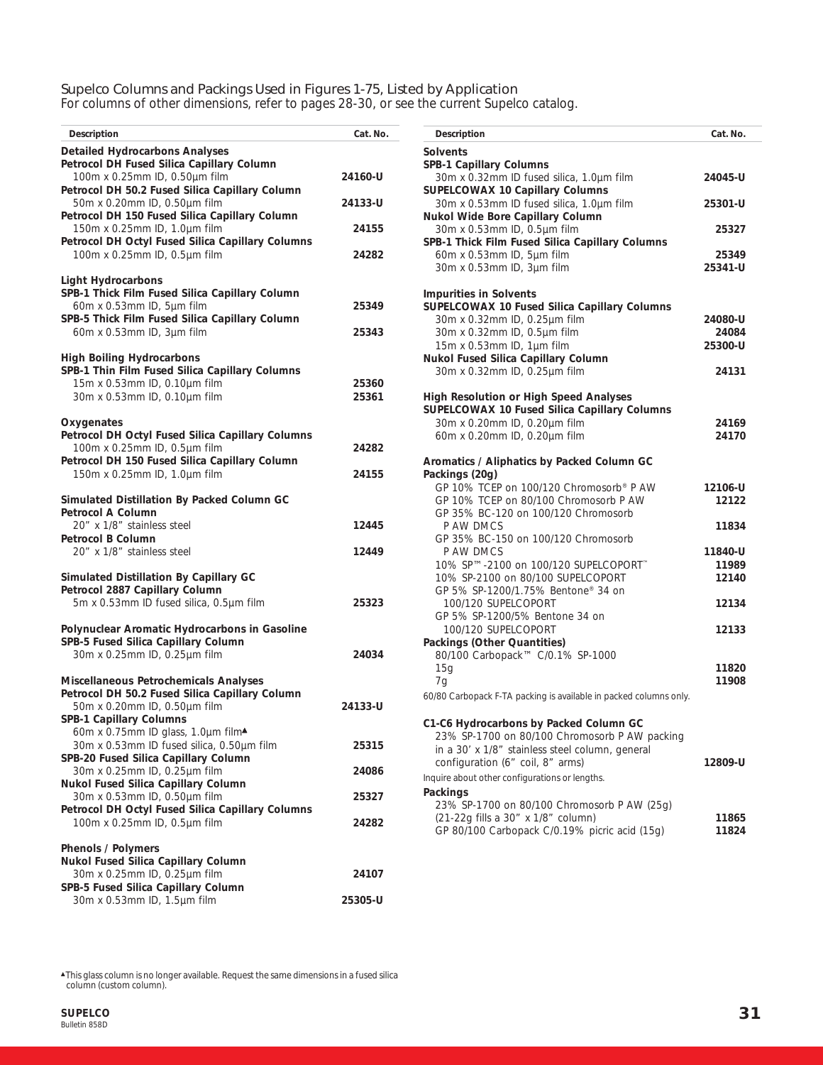# Supelco Columns and Packings Used in Figures 1-75, Listed by Application

For columns of other dimensions, refer to pages 28-30, or see the current Supelco catalog.

| Description                                                                                                                                                                             | Cat. No.           |
|-----------------------------------------------------------------------------------------------------------------------------------------------------------------------------------------|--------------------|
| <b>Detailed Hydrocarbons Analyses</b><br>Petrocol DH Fused Silica Capillary Column                                                                                                      |                    |
| 100m x 0.25mm ID, 0.50µm film<br>Petrocol DH 50.2 Fused Silica Capillary Column<br>50m x 0.20mm ID, 0.50µm film                                                                         | 24160-U<br>24133-U |
| Petrocol DH 150 Fused Silica Capillary Column<br>150m x 0.25mm ID, 1.0µm film<br>Petrocol DH Octyl Fused Silica Capillary Columns                                                       | 24155              |
| 100m x 0.25mm ID, 0.5µm film                                                                                                                                                            | 24282              |
| <b>Light Hydrocarbons</b><br>SPB-1 Thick Film Fused Silica Capillary Column<br>60m x 0.53mm ID, 5µm film<br>SPB-5 Thick Film Fused Silica Capillary Column<br>60m x 0.53mm ID, 3µm film | 25349<br>25343     |
| <b>High Boiling Hydrocarbons</b><br>SPB-1 Thin Film Fused Silica Capillary Columns<br>15m x 0.53mm ID, 0.10µm film<br>30m x 0.53mm ID, 0.10um film                                      | 25360<br>25361     |
| Oxygenates<br>Petrocol DH Octyl Fused Silica Capillary Columns<br>100m x 0.25mm ID, 0.5µm film<br>Petrocol DH 150 Fused Silica Capillary Column                                         | 24282              |
| 150m x 0.25mm ID, 1.0µm film<br>Simulated Distillation By Packed Column GC                                                                                                              | 24155              |
| <b>Petrocol A Column</b><br>20" x 1/8" stainless steel<br><b>Petrocol B Column</b>                                                                                                      | 12445              |
| 20" x 1/8" stainless steel                                                                                                                                                              | 12449              |
| Simulated Distillation By Capillary GC<br>Petrocol 2887 Capillary Column<br>5m x 0.53mm ID fused silica, 0.5µm film                                                                     | 25323              |
| Polynuclear Aromatic Hydrocarbons in Gasoline<br>SPB-5 Fused Silica Capillary Column<br>30m x 0.25mm ID, 0.25µm film                                                                    | 24034              |
| Miscellaneous Petrochemicals Analyses<br>Petrocol DH 50.2 Fused Silica Capillary Column<br>50m x 0.20mm ID, 0.50µm film<br>SPB-1 Capillary Columns                                      | 24133-U            |
| 60m x 0.75mm ID glass, 1.0µm film▲<br>30m x 0.53mm ID fused silica, 0.50µm film<br>SPB-20 Fused Silica Capillary Column                                                                 | 25315              |
| 30m x 0.25mm ID, 0.25µm film<br>Nukol Fused Silica Capillary Column                                                                                                                     | 24086              |
| 30m x 0.53mm ID, 0.50µm film<br>Petrocol DH Octyl Fused Silica Capillary Columns                                                                                                        | 25327              |
| 100m x 0.25mm ID, 0.5µm film                                                                                                                                                            | 24282              |
| <b>Phenols / Polymers</b><br>Nukol Fused Silica Capillary Column<br>30m x 0.25mm ID, 0.25µm film<br>SPB-5 Fused Silica Capillary Column                                                 | 24107              |
| 30m x 0.53mm ID, 1.5µm film                                                                                                                                                             | 25305-U            |

| Description                                                                        | Cat. No. |
|------------------------------------------------------------------------------------|----------|
| <b>Solvents</b>                                                                    |          |
| <b>SPB-1 Capillary Columns</b>                                                     |          |
| 30m x 0.32mm ID fused silica, 1.0µm film<br><b>SUPELCOWAX 10 Capillary Columns</b> | 24045-U  |
| 30m x 0.53mm ID fused silica, 1.0µm film                                           | 25301-U  |
| Nukol Wide Bore Capillary Column                                                   |          |
| 30m x 0.53mm ID, 0.5µm film                                                        | 25327    |
| SPB-1 Thick Film Fused Silica Capillary Columns                                    |          |
| 60m x 0.53mm ID, 5µm film                                                          | 25349    |
| 30m x 0.53mm ID, 3µm film                                                          | 25341-U  |
| <b>Impurities in Solvents</b>                                                      |          |
| SUPELCOWAX 10 Fused Silica Capillary Columns                                       |          |
| 30m x 0.32mm ID, 0.25µm film                                                       | 24080-U  |
| 30m x 0.32mm ID, 0.5µm film                                                        | 24084    |
| 15m x 0.53mm ID, 1µm film                                                          | 25300-U  |
| Nukol Fused Silica Capillary Column                                                |          |
| 30m x 0.32mm ID, 0.25µm film                                                       | 24131    |
| <b>High Resolution or High Speed Analyses</b>                                      |          |
| SUPELCOWAX 10 Fused Silica Capillary Columns                                       |          |
| 30m x 0.20mm ID, 0.20µm film                                                       | 24169    |
| 60m x 0.20mm ID, 0.20µm film                                                       | 24170    |
| Aromatics / Aliphatics by Packed Column GC                                         |          |
| Packings (20g)                                                                     |          |
| GP 10% TCEP on 100/120 Chromosorb® P AW                                            | 12106-U  |
| GP 10% TCEP on 80/100 Chromosorb P AW                                              | 12122    |
| GP 35% BC-120 on 100/120 Chromosorb                                                |          |
| P AW DMCS                                                                          | 11834    |
| GP 35% BC-150 on 100/120 Chromosorb<br>P AW DMCS                                   | 11840-U  |
| 10% SP™-2100 on 100/120 SUPELCOPORT™                                               | 11989    |
| 10% SP-2100 on 80/100 SUPELCOPORT                                                  | 12140    |
| GP 5% SP-1200/1.75% Bentone® 34 on                                                 |          |
| 100/120 SUPELCOPORT                                                                | 12134    |
| GP 5% SP-1200/5% Bentone 34 on                                                     |          |
| 100/120 SUPELCOPORT                                                                | 12133    |
| Packings (Other Quantities)<br>80/100 Carbopack™ C/0.1% SP-1000                    |          |
| 15g                                                                                | 11820    |
| 7g                                                                                 | 11908    |
| 60/80 Carbopack F-TA packing is available in packed columns only.                  |          |
|                                                                                    |          |
| C1-C6 Hydrocarbons by Packed Column GC                                             |          |
| 23% SP-1700 on 80/100 Chromosorb P AW packing                                      |          |
| in a 30' x 1/8" stainless steel column, general                                    |          |
| configuration (6" coil, 8" arms)                                                   | 12809-U  |
| Inquire about other configurations or lengths.                                     |          |
| Packings<br>23% SP-1700 on 80/100 Chromosorb P AW (25g)                            |          |
| (21-22g fills a 30" x 1/8" column)                                                 | 11865    |
| GP 80/100 Carbopack C/0.19% picric acid (15g)                                      | 11824    |

▲This glass column is no longer available. Request the same dimensions in a fused silica column (custom column).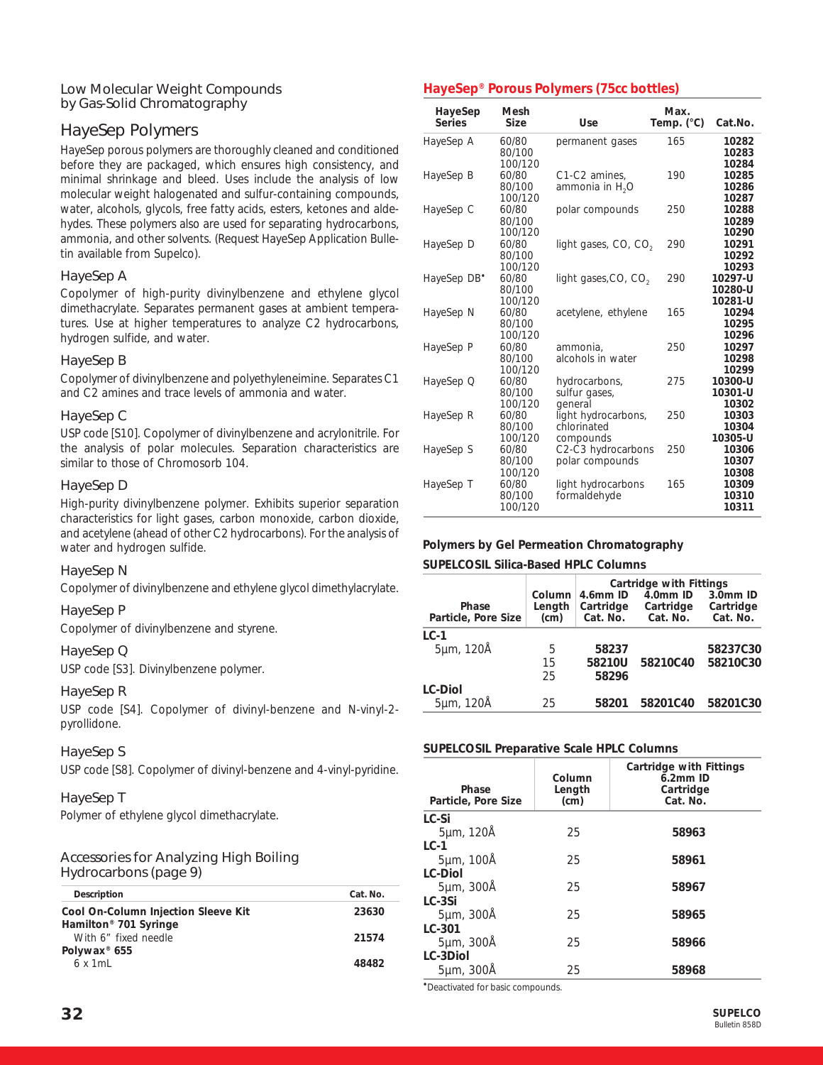# Low Molecular Weight Compounds by Gas-Solid Chromatography

# HayeSep Polymers

HayeSep porous polymers are thoroughly cleaned and conditioned before they are packaged, which ensures high consistency, and minimal shrinkage and bleed. Uses include the analysis of low molecular weight halogenated and sulfur-containing compounds, water, alcohols, glycols, free fatty acids, esters, ketones and aldehydes. These polymers also are used for separating hydrocarbons, ammonia, and other solvents. (Request HayeSep Application Bulletin available from Supelco).

# HayeSep A

Copolymer of high-purity divinylbenzene and ethylene glycol dimethacrylate. Separates permanent gases at ambient temperatures. Use at higher temperatures to analyze C2 hydrocarbons, hydrogen sulfide, and water.

# HayeSep B

Copolymer of divinylbenzene and polyethyleneimine. Separates C1 and C2 amines and trace levels of ammonia and water.

# HayeSep C

USP code [S10]. Copolymer of divinylbenzene and acrylonitrile. For the analysis of polar molecules. Separation characteristics are similar to those of Chromosorb 104.

# HayeSep D

High-purity divinylbenzene polymer. Exhibits superior separation characteristics for light gases, carbon monoxide, carbon dioxide, and acetylene (ahead of other C2 hydrocarbons). For the analysis of water and hydrogen sulfide.

# HayeSep N

Copolymer of divinylbenzene and ethylene glycol dimethylacrylate.

# HayeSep P

Copolymer of divinylbenzene and styrene.

# HayeSep Q

USP code [S3]. Divinylbenzene polymer.

# HayeSep R

USP code [S4]. Copolymer of divinyl-benzene and N-vinyl-2 pyrollidone.

# HayeSep S

USP code [S8]. Copolymer of divinyl-benzene and 4-vinyl-pyridine.

# HayeSep T

Polymer of ethylene glycol dimethacrylate.

# Accessories for Analyzing High Boiling Hydrocarbons (page 9)

| Description                                               | Cat. No. |
|-----------------------------------------------------------|----------|
| Cool On-Column Injection Sleeve Kit                       | 23630    |
| Hamilton <sup>®</sup> 701 Syringe<br>With 6" fixed needle | 21574    |
| Polywax <sup>®</sup> 655<br>6x1ml                         | 48482    |

# **HayeSep® Porous Polymers (75cc bottles)**

| HayeSep<br><b>Series</b> | Mesh<br><b>Size</b>        | Use                                             | Max.<br>Temp. $(^{\circ}C)$ | Cat.No.                       |
|--------------------------|----------------------------|-------------------------------------------------|-----------------------------|-------------------------------|
| HayeSep A                | 60/80<br>80/100<br>100/120 | permanent gases                                 | 165                         | 10282<br>10283<br>10284       |
| HayeSep B                | 60/80<br>80/100<br>100/120 | C1-C2 amines,<br>ammonia in H <sub>2</sub> O    | 190                         | 10285<br>10286<br>10287       |
| HayeSep C                | 60/80<br>80/100<br>100/120 | polar compounds                                 | 250                         | 10288<br>10289<br>10290       |
| HayeSep D                | 60/80<br>80/100<br>100/120 | light gases, CO, CO <sub>2</sub>                | 290                         | 10291<br>10292<br>10293       |
| HayeSep DB <sup>*</sup>  | 60/80<br>80/100<br>100/120 | light gases, CO, CO <sub>2</sub>                | 290                         | 10297-U<br>10280-U<br>10281-U |
| HayeSep N                | 60/80<br>80/100<br>100/120 | acetylene, ethylene                             | 165                         | 10294<br>10295<br>10296       |
| HayeSep P                | 60/80<br>80/100<br>100/120 | ammonia.<br>alcohols in water                   | 250                         | 10297<br>10298<br>10299       |
| HayeSep Q                | 60/80<br>80/100<br>100/120 | hydrocarbons,<br>sulfur gases,<br>qeneral       | 275                         | 10300-U<br>10301-U<br>10302   |
| HayeSep R                | 60/80<br>80/100<br>100/120 | light hydrocarbons,<br>chlorinated<br>compounds | 250                         | 10303<br>10304<br>10305-U     |
| HayeSep S                | 60/80<br>80/100<br>100/120 | C2-C3 hydrocarbons<br>polar compounds           | 250                         | 10306<br>10307<br>10308       |
| HayeSep T                | 60/80<br>80/100<br>100/120 | light hydrocarbons<br>formaldehyde              | 165                         | 10309<br>10310<br>10311       |

#### **Polymers by Gel Permeation Chromatography**

#### **SUPELCOSIL Silica-Based HPLC Columns**

| Cartridge with Fittings      |                          |                                   |                                   |                                   |
|------------------------------|--------------------------|-----------------------------------|-----------------------------------|-----------------------------------|
| Phase<br>Particle, Pore Size | Column<br>Length<br>(cm) | 4.6mm ID<br>Cartridge<br>Cat. No. | 4.0mm ID<br>Cartridge<br>Cat. No. | 3.0mm ID<br>Cartridge<br>Cat. No. |
| $LC-1$                       |                          |                                   |                                   |                                   |
| 5µm, 120Å                    | 5                        | 58237                             |                                   | 58237C30                          |
|                              | 15                       | 58210U                            | 58210C40                          | 58210C30                          |
|                              | 25                       | 58296                             |                                   |                                   |
| <b>LC-Diol</b>               |                          |                                   |                                   |                                   |
| 5µm, 120Å                    | 25                       | 58201                             | 58201C40                          | 58201C30                          |

#### **SUPELCOSIL Preparative Scale HPLC Columns**

| Phase<br>Particle, Pore Size | Column<br>Length<br>(cm) | Cartridge with Fittings<br>$6.2$ mm ID<br>Cartridge<br>Cat. No. |
|------------------------------|--------------------------|-----------------------------------------------------------------|
| LC-Si                        |                          |                                                                 |
| 5µm, 120Å                    | 25                       | 58963                                                           |
| $LC-1$                       |                          |                                                                 |
| 5µm, 100Å                    | 25                       | 58961                                                           |
| <b>LC-Diol</b>               |                          |                                                                 |
| 5µm, 300Å                    | 25                       | 58967                                                           |
| $LC-3Si$                     |                          |                                                                 |
| 5µm, 300Å                    | 25                       | 58965                                                           |
| LC-301                       |                          |                                                                 |
| 5µm, 300Å                    | 25                       | 58966                                                           |
| LC-3Diol                     |                          |                                                                 |
| 5µm, 300Å                    | 25                       | 58968                                                           |

•Deactivated for basic compounds.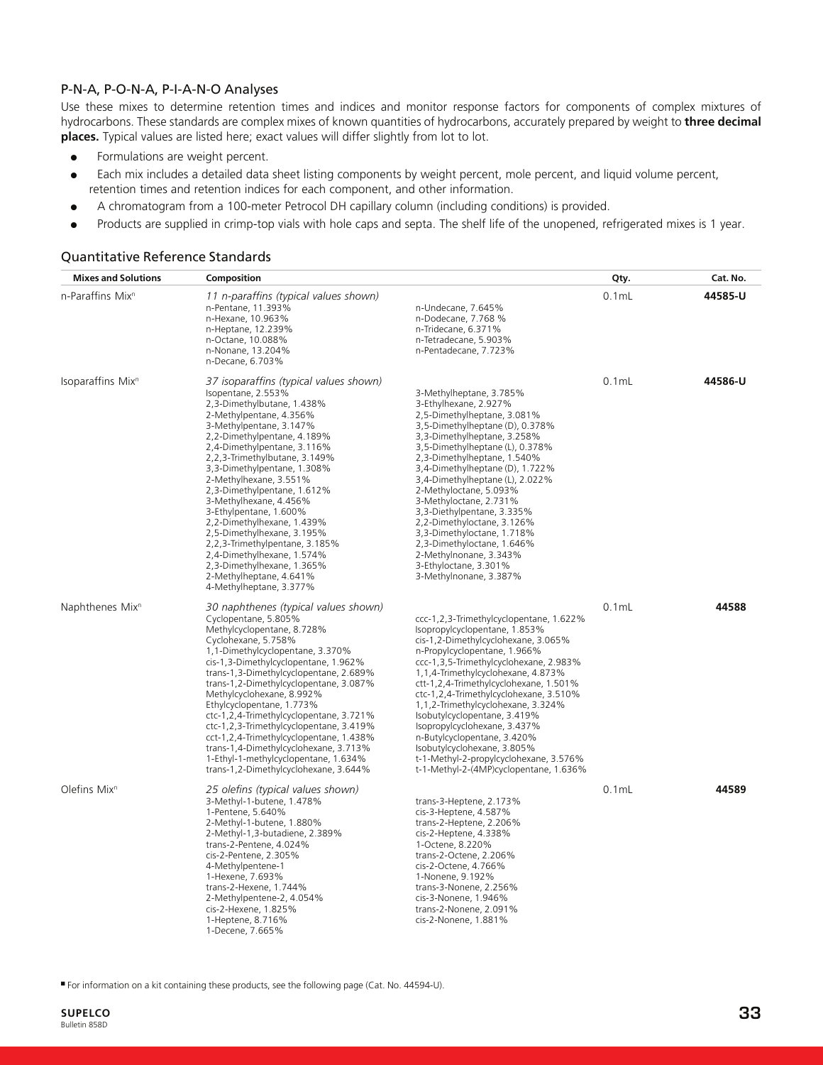# P-N-A, P-O-N-A, P-I-A-N-O Analyses

Use these mixes to determine retention times and indices and monitor response factors for components of complex mixtures of hydrocarbons. These standards are complex mixes of known quantities of hydrocarbons, accurately prepared by weight to **three decimal places.** Typical values are listed here; exact values will differ slightly from lot to lot.

- Formulations are weight percent.
- Each mix includes a detailed data sheet listing components by weight percent, mole percent, and liquid volume percent, retention times and retention indices for each component, and other information.
- A chromatogram from a 100-meter Petrocol DH capillary column (including conditions) is provided.
- Products are supplied in crimp-top vials with hole caps and septa. The shelf life of the unopened, refrigerated mixes is 1 year.

| <b>Mixes and Solutions</b>    | Composition                                                                                                                                                                                                                                                                                                                                                                                                                                                                                                                                                                                                 |                                                                                                                                                                                                                                                                                                                                                                                                                                                                                                                                                                             | Qty.     | Cat. No. |
|-------------------------------|-------------------------------------------------------------------------------------------------------------------------------------------------------------------------------------------------------------------------------------------------------------------------------------------------------------------------------------------------------------------------------------------------------------------------------------------------------------------------------------------------------------------------------------------------------------------------------------------------------------|-----------------------------------------------------------------------------------------------------------------------------------------------------------------------------------------------------------------------------------------------------------------------------------------------------------------------------------------------------------------------------------------------------------------------------------------------------------------------------------------------------------------------------------------------------------------------------|----------|----------|
| n-Paraffins Mix <sup>n</sup>  | 11 n-paraffins (typical values shown)<br>n-Pentane, 11.393%<br>n-Hexane, 10.963%<br>n-Heptane, 12.239%<br>n-Octane, 10.088%<br>n-Nonane, 13.204%<br>n-Decane, 6.703%                                                                                                                                                                                                                                                                                                                                                                                                                                        | n-Undecane, 7.645%<br>n-Dodecane, 7.768 %<br>n-Tridecane, 6.371%<br>n-Tetradecane, 5.903%<br>n-Pentadecane, 7.723%                                                                                                                                                                                                                                                                                                                                                                                                                                                          | $0.1m$ L | 44585-U  |
| Isoparaffins Mix <sup>n</sup> | 37 isoparaffins (typical values shown)<br>Isopentane, 2.553%<br>2,3-Dimethylbutane, 1.438%<br>2-Methylpentane, 4.356%<br>3-Methylpentane, 3.147%<br>2,2-Dimethylpentane, 4.189%<br>2,4-Dimethylpentane, 3.116%<br>2,2,3-Trimethylbutane, 3.149%<br>3,3-Dimethylpentane, 1.308%<br>2-Methylhexane, 3.551%<br>2,3-Dimethylpentane, 1.612%<br>3-Methylhexane, 4.456%<br>3-Ethylpentane, 1.600%<br>2,2-Dimethylhexane, 1.439%<br>2,5-Dimethylhexane, 3.195%<br>2,2,3-Trimethylpentane, 3.185%<br>2,4-Dimethylhexane, 1.574%<br>2,3-Dimethylhexane, 1.365%<br>2-Methylheptane, 4.641%<br>4-Methylheptane, 3.377% | 3-Methylheptane, 3.785%<br>3-Ethylhexane, 2.927%<br>2,5-Dimethylheptane, 3.081%<br>3,5-Dimethylheptane (D), 0.378%<br>3,3-Dimethylheptane, 3.258%<br>3,5-Dimethylheptane (L), 0.378%<br>2,3-Dimethylheptane, 1.540%<br>3,4-Dimethylheptane (D), 1.722%<br>3,4-Dimethylheptane (L), 2.022%<br>2-Methyloctane, 5.093%<br>3-Methyloctane, 2.731%<br>3,3-Diethylpentane, 3.335%<br>2,2-Dimethyloctane, 3.126%<br>3,3-Dimethyloctane, 1.718%<br>2,3-Dimethyloctane, 1.646%<br>2-Methylnonane, 3.343%<br>3-Ethyloctane, 3.301%<br>3-Methylnonane, 3.387%                          | $0.1$ mL | 44586-U  |
| Naphthenes Mix <sup>n</sup>   | 30 naphthenes (typical values shown)<br>Cyclopentane, 5.805%<br>Methylcyclopentane, 8.728%<br>Cyclohexane, 5.758%<br>1,1-Dimethylcyclopentane, 3.370%<br>cis-1,3-Dimethylcyclopentane, 1.962%<br>trans-1,3-Dimethylcyclopentane, 2.689%<br>trans-1,2-Dimethylcyclopentane, 3.087%<br>Methylcyclohexane, 8.992%<br>Ethylcyclopentane, 1.773%<br>ctc-1,2,4-Trimethylcyclopentane, 3.721%<br>ctc-1,2,3-Trimethylcyclopentane, 3.419%<br>cct-1,2,4-Trimethylcyclopentane, 1.438%<br>trans-1,4-Dimethylcyclohexane, 3.713%<br>1-Ethyl-1-methylcyclopentane, 1.634%<br>trans-1,2-Dimethylcyclohexane, 3.644%      | ccc-1,2,3-Trimethylcyclopentane, 1.622%<br>Isopropylcyclopentane, 1.853%<br>cis-1,2-Dimethylcyclohexane, 3.065%<br>n-Propylcyclopentane, 1.966%<br>ccc-1,3,5-Trimethylcyclohexane, 2.983%<br>1,1,4-Trimethylcyclohexane, 4.873%<br>ctt-1,2,4-Trimethylcyclohexane, 1.501%<br>ctc-1,2,4-Trimethylcyclohexane, 3.510%<br>1,1,2-Trimethylcyclohexane, 3.324%<br>Isobutylcyclopentane, 3.419%<br>Isopropylcyclohexane, 3.437%<br>n-Butylcyclopentane, 3.420%<br>Isobutylcyclohexane, 3.805%<br>t-1-Methyl-2-propylcyclohexane, 3.576%<br>t-1-Methyl-2-(4MP)cyclopentane, 1.636% | $0.1$ mL | 44588    |
| Olefins Mix <sup>n</sup>      | 25 olefins (typical values shown)<br>3-Methyl-1-butene, 1.478%<br>1-Pentene, 5.640%<br>2-Methyl-1-butene, 1.880%<br>2-Methyl-1,3-butadiene, 2.389%<br>trans-2-Pentene, 4.024%<br>cis-2-Pentene, 2.305%<br>4-Methylpentene-1<br>1-Hexene, 7.693%<br>trans-2-Hexene, 1.744%<br>2-Methylpentene-2, 4.054%<br>cis-2-Hexene, 1.825%<br>1-Heptene, 8.716%<br>1-Decene, 7.665%                                                                                                                                                                                                                                     | trans-3-Heptene, 2.173%<br>cis-3-Heptene, 4.587%<br>trans-2-Heptene, 2.206%<br>cis-2-Heptene, 4.338%<br>1-Octene, 8.220%<br>trans-2-Octene, 2.206%<br>cis-2-Octene, 4.766%<br>1-Nonene, 9.192%<br>trans-3-Nonene, 2.256%<br>cis-3-Nonene, 1.946%<br>trans-2-Nonene, 2.091%<br>cis-2-Nonene, 1.881%                                                                                                                                                                                                                                                                          | $0.1$ mL | 44589    |

#### Quantitative Reference Standards

■ For information on a kit containing these products, see the following page (Cat. No. 44594-U).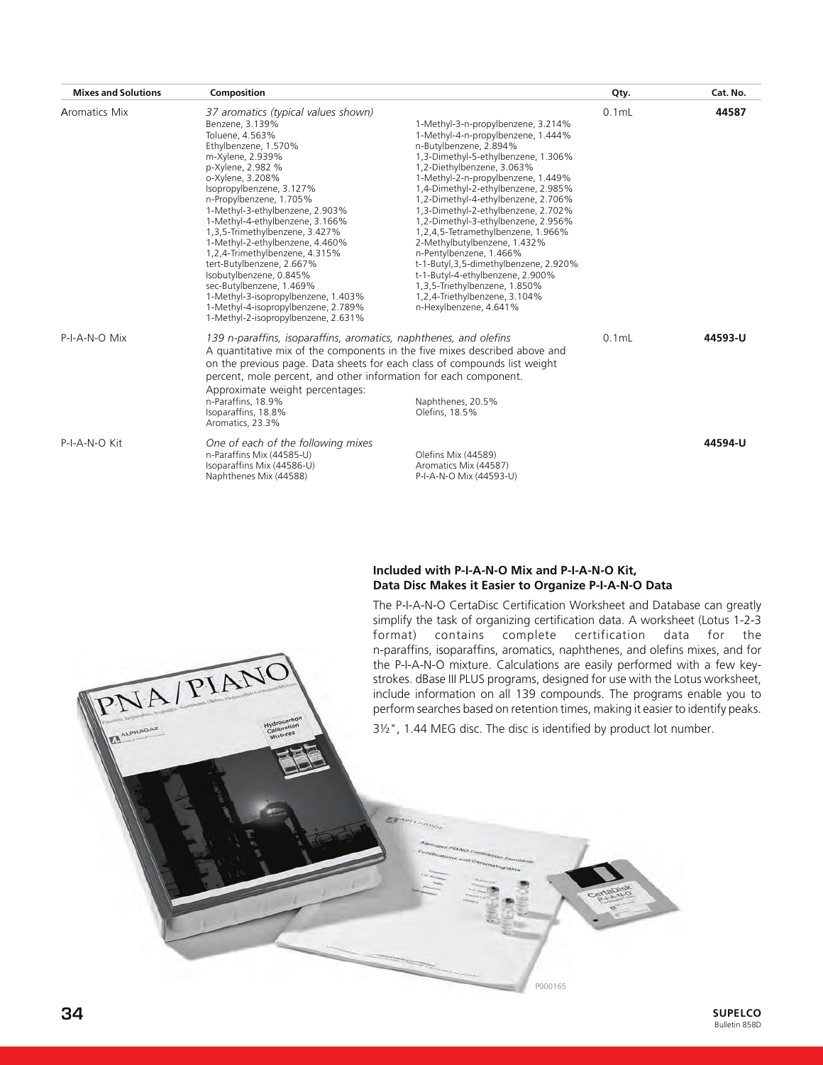| <b>Mixes and Solutions</b> | Composition                                                                                                                                                                                                                                                                                                                                                                                                                                                                                                                                                                                                 |                                                                                                                                                                                                                                                                                                                                                                                                                                                                                                                                                                                                                                                       | Qty.     | Cat. No. |
|----------------------------|-------------------------------------------------------------------------------------------------------------------------------------------------------------------------------------------------------------------------------------------------------------------------------------------------------------------------------------------------------------------------------------------------------------------------------------------------------------------------------------------------------------------------------------------------------------------------------------------------------------|-------------------------------------------------------------------------------------------------------------------------------------------------------------------------------------------------------------------------------------------------------------------------------------------------------------------------------------------------------------------------------------------------------------------------------------------------------------------------------------------------------------------------------------------------------------------------------------------------------------------------------------------------------|----------|----------|
| <b>Aromatics Mix</b>       | 37 aromatics (typical values shown)<br>Benzene, 3.139%<br>Toluene, 4.563%<br>Ethylbenzene, 1.570%<br>m-Xylene, 2.939%<br>p-Xylene, 2.982 %<br>o-Xylene, 3.208%<br>Isopropylbenzene, 3.127%<br>n-Propylbenzene, 1.705%<br>1-Methyl-3-ethylbenzene, 2.903%<br>1-Methyl-4-ethylbenzene, 3.166%<br>1,3,5-Trimethylbenzene, 3.427%<br>1-Methyl-2-ethylbenzene, 4.460%<br>1,2,4-Trimethylbenzene, 4.315%<br>tert-Butylbenzene, 2.667%<br>Isobutylbenzene, 0.845%<br>sec-Butylbenzene, 1.469%<br>1-Methyl-3-isopropylbenzene, 1.403%<br>1-Methyl-4-isopropylbenzene, 2.789%<br>1-Methyl-2-isopropylbenzene, 2.631% | 1-Methyl-3-n-propylbenzene, 3.214%<br>1-Methyl-4-n-propylbenzene, 1.444%<br>n-Butylbenzene, 2.894%<br>1,3-Dimethyl-5-ethylbenzene, 1.306%<br>1,2-Diethylbenzene, 3.063%<br>1-Methyl-2-n-propylbenzene, 1.449%<br>1,4-Dimethyl-2-ethylbenzene, 2.985%<br>1,2-Dimethyl-4-ethylbenzene, 2.706%<br>1,3-Dimethyl-2-ethylbenzene, 2.702%<br>1,2-Dimethyl-3-ethylbenzene, 2.956%<br>1,2,4,5-Tetramethylbenzene, 1.966%<br>2-Methylbutylbenzene, 1.432%<br>n-Pentylbenzene, 1.466%<br>t-1-Butyl, 3, 5-dimethylbenzene, 2.920%<br>t-1-Butyl-4-ethylbenzene, 2.900%<br>1,3,5-Triethylbenzene, 1.850%<br>1,2,4-Triethylbenzene, 3.104%<br>n-Hexylbenzene, 4.641% | $0.1$ mL | 44587    |
| P-I-A-N-O Mix              | 139 n-paraffins, isoparaffins, aromatics, naphthenes, and olefins<br>A quantitative mix of the components in the five mixes described above and<br>on the previous page. Data sheets for each class of compounds list weight<br>percent, mole percent, and other information for each component.<br>Approximate weight percentages:<br>n-Paraffins, 18.9%<br>Isoparaffins, 18.8%<br>Aromatics, 23.3%                                                                                                                                                                                                        | Naphthenes, 20.5%<br>Olefins, 18.5%                                                                                                                                                                                                                                                                                                                                                                                                                                                                                                                                                                                                                   | $0.1$ mL | 44593-U  |
| P-I-A-N-O Kit              | One of each of the following mixes<br>n-Paraffins Mix (44585-U)<br>Isoparaffins Mix (44586-U)<br>Naphthenes Mix (44588)                                                                                                                                                                                                                                                                                                                                                                                                                                                                                     | Olefins Mix (44589)<br>Aromatics Mix (44587)<br>P-I-A-N-O Mix (44593-U)                                                                                                                                                                                                                                                                                                                                                                                                                                                                                                                                                                               |          | 44594-U  |

#### **Included with P-I-A-N-O Mix and P-I-A-N-O Kit, Data Disc Makes it Easier to Organize P-I-A-N-O Data**

The P-I-A-N-O CertaDisc Certification Worksheet and Database can greatly simplify the task of organizing certification data. A worksheet (Lotus 1-2-3 format) contains complete certification data for the n-paraffins, isoparaffins, aromatics, naphthenes, and olefins mixes, and for the P-I-A-N-O mixture. Calculations are easily performed with a few keystrokes. dBase III PLUS programs, designed for use with the Lotus worksheet, include information on all 139 compounds. The programs enable you to perform searches based on retention times, making it easier to identify peaks.

3½", 1.44 MEG disc. The disc is identified by product lot number.

P000165 P000165

PNA/PIANO

٢J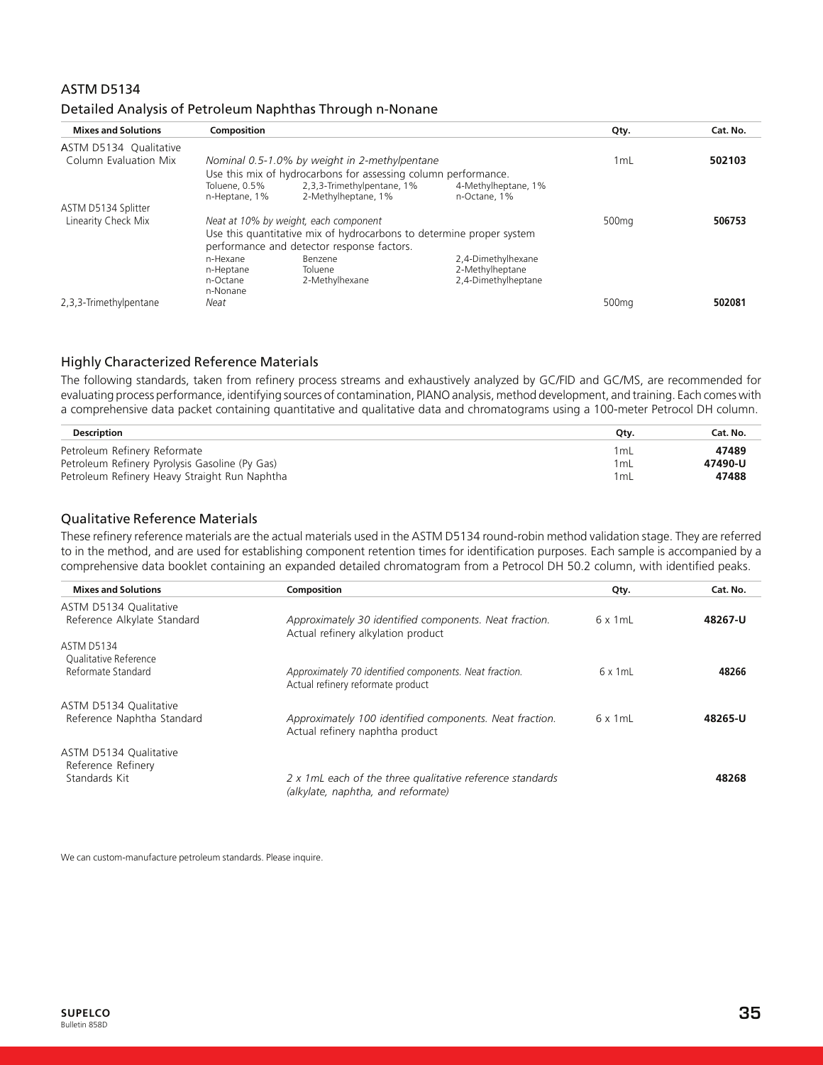# ASTM D5134

| Detailed Analysis of Petroleum Naphthas Through n-Nonane |  |  |  |
|----------------------------------------------------------|--|--|--|
|----------------------------------------------------------|--|--|--|

| <b>Mixes and Solutions</b> | Composition                    |                                                                      |                                     | Qty.              | Cat. No. |
|----------------------------|--------------------------------|----------------------------------------------------------------------|-------------------------------------|-------------------|----------|
| ASTM D5134 Qualitative     |                                |                                                                      |                                     |                   |          |
| Column Evaluation Mix      |                                | Nominal 0.5-1.0% by weight in 2-methylpentane                        |                                     | 1 <sub>mL</sub>   | 502103   |
|                            |                                | Use this mix of hydrocarbons for assessing column performance.       |                                     |                   |          |
|                            | Toluene, 0.5%<br>n-Heptane, 1% | 2,3,3-Trimethylpentane, 1%<br>2-Methylheptane, 1%                    | 4-Methylheptane, 1%<br>n-Octane, 1% |                   |          |
| ASTM D5134 Splitter        |                                |                                                                      |                                     |                   |          |
| Linearity Check Mix        |                                | Neat at 10% by weight, each component                                |                                     | 500 <sub>mg</sub> | 506753   |
|                            |                                | Use this quantitative mix of hydrocarbons to determine proper system |                                     |                   |          |
|                            |                                | performance and detector response factors.                           |                                     |                   |          |
|                            | n-Hexane                       | Benzene                                                              | 2,4-Dimethylhexane                  |                   |          |
|                            | n-Heptane                      | Toluene                                                              | 2-Methylheptane                     |                   |          |
|                            | n-Octane                       | 2-Methylhexane                                                       | 2,4-Dimethylheptane                 |                   |          |
|                            | n-Nonane                       |                                                                      |                                     |                   |          |
| 2,3,3-Trimethylpentane     | Neat                           |                                                                      |                                     | 500 <sub>mg</sub> | 502081   |

# Highly Characterized Reference Materials

The following standards, taken from refinery process streams and exhaustively analyzed by GC/FID and GC/MS, are recommended for evaluating process performance, identifying sources of contamination, PIANO analysis, method development, and training. Each comes with a comprehensive data packet containing quantitative and qualitative data and chromatograms using a 100-meter Petrocol DH column.

| Description                                    | Qtv.            | Cat. No. |
|------------------------------------------------|-----------------|----------|
| Petroleum Refinery Reformate                   | 1 <sub>mL</sub> | 47489    |
| Petroleum Refinery Pyrolysis Gasoline (Py Gas) | 1 <sub>mL</sub> | 47490-U  |
| Petroleum Refinery Heavy Straight Run Naphtha  | 1 <sub>mL</sub> | 47488    |

# Qualitative Reference Materials

These refinery reference materials are the actual materials used in the ASTM D5134 round-robin method validation stage. They are referred to in the method, and are used for establishing component retention times for identification purposes. Each sample is accompanied by a comprehensive data booklet containing an expanded detailed chromatogram from a Petrocol DH 50.2 column, with identified peaks.

| <b>Mixes and Solutions</b>                   | Composition                                                                                     | Qty.            | Cat. No. |
|----------------------------------------------|-------------------------------------------------------------------------------------------------|-----------------|----------|
| ASTM D5134 Qualitative                       |                                                                                                 |                 |          |
| Reference Alkylate Standard                  | Approximately 30 identified components. Neat fraction.<br>Actual refinery alkylation product    | $6 \times 1$ mL | 48267-U  |
| <b>ASTM D5134</b>                            |                                                                                                 |                 |          |
| Qualitative Reference                        |                                                                                                 |                 |          |
| Reformate Standard                           | Approximately 70 identified components. Neat fraction.<br>Actual refinery reformate product     | $6 \times 1$ mL | 48266    |
| ASTM D5134 Qualitative                       |                                                                                                 |                 |          |
| Reference Naphtha Standard                   | Approximately 100 identified components. Neat fraction.<br>Actual refinery naphtha product      | $6 \times 1$ mL | 48265-U  |
| ASTM D5134 Qualitative<br>Reference Refinery |                                                                                                 |                 |          |
| Standards Kit                                | 2 x 1mL each of the three qualitative reference standards<br>(alkylate, naphtha, and reformate) |                 | 48268    |

We can custom-manufacture petroleum standards. Please inquire.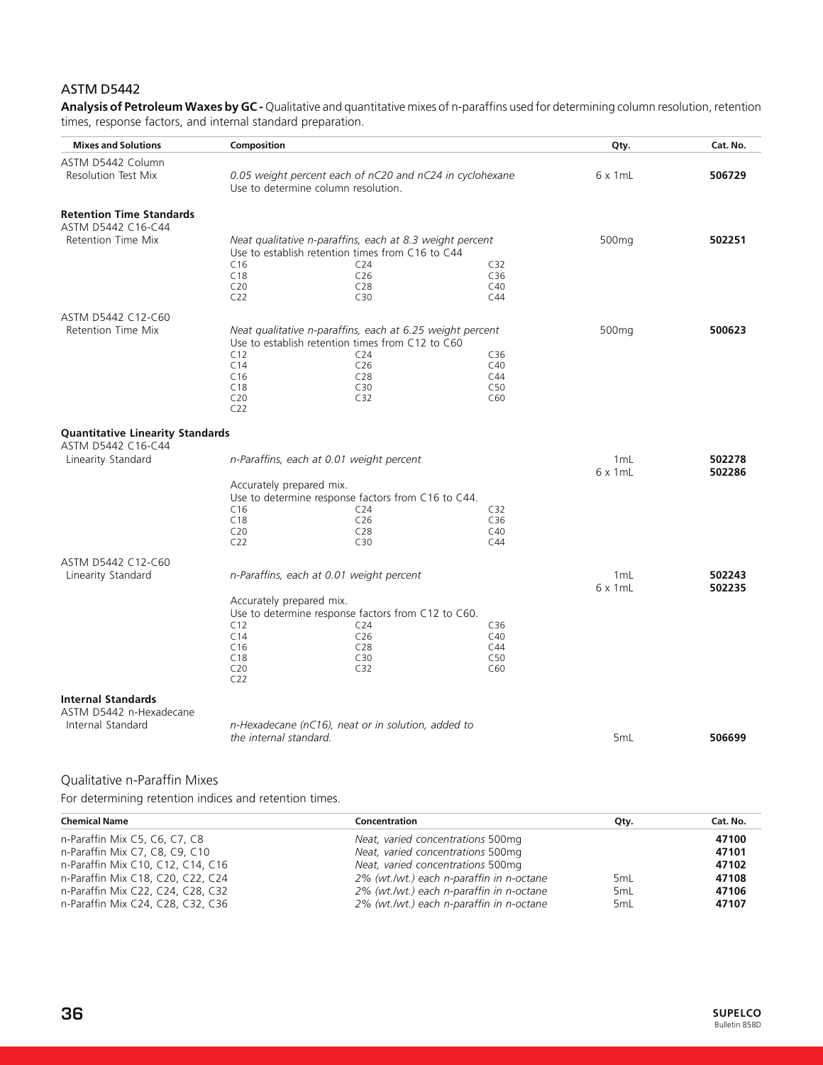# ASTM D5442

**Analysis of Petroleum Waxes by GC -** Qualitative and quantitative mixes of n-paraffins used for determining column resolution, retention times, response factors, and internal standard preparation.

| <b>Mixes and Solutions</b>              | Composition              |                                                                     |                 | Qty.              | Cat. No. |
|-----------------------------------------|--------------------------|---------------------------------------------------------------------|-----------------|-------------------|----------|
| ASTM D5442 Column                       |                          |                                                                     |                 |                   |          |
| <b>Resolution Test Mix</b>              |                          | 0.05 weight percent each of nC20 and nC24 in cyclohexane            |                 | $6 \times 1$ mL   | 506729   |
|                                         |                          | Use to determine column resolution.                                 |                 |                   |          |
| <b>Retention Time Standards</b>         |                          |                                                                     |                 |                   |          |
| ASTM D5442 C16-C44                      |                          |                                                                     |                 |                   |          |
| <b>Retention Time Mix</b>               |                          | Neat qualitative n-paraffins, each at 8.3 weight percent            |                 | 500 <sub>mg</sub> | 502251   |
|                                         | C16                      | Use to establish retention times from C16 to C44<br>C <sub>24</sub> | C32             |                   |          |
|                                         | C18                      | C26                                                                 | C36             |                   |          |
|                                         | C20                      | C28                                                                 | C40             |                   |          |
|                                         | C22                      | C30                                                                 | C44             |                   |          |
| ASTM D5442 C12-C60                      |                          |                                                                     |                 |                   |          |
| Retention Time Mix                      |                          | Neat qualitative n-paraffins, each at 6.25 weight percent           |                 | 500mg             | 500623   |
|                                         |                          | Use to establish retention times from C12 to C60                    |                 |                   |          |
|                                         | C12                      | C <sub>24</sub>                                                     | C36             |                   |          |
|                                         | C14                      | C <sub>26</sub>                                                     | C40<br>C44      |                   |          |
|                                         | C16<br>C18               | C <sub>28</sub><br>C30                                              | C50             |                   |          |
|                                         | C20                      | C32                                                                 | C60             |                   |          |
|                                         | C <sub>22</sub>          |                                                                     |                 |                   |          |
| <b>Quantitative Linearity Standards</b> |                          |                                                                     |                 |                   |          |
| ASTM D5442 C16-C44                      |                          |                                                                     |                 |                   |          |
| Linearity Standard                      |                          | n-Paraffins, each at 0.01 weight percent                            |                 | 1mL               | 502278   |
|                                         |                          |                                                                     |                 | $6 \times 1$ mL   | 502286   |
|                                         | Accurately prepared mix. |                                                                     |                 |                   |          |
|                                         |                          | Use to determine response factors from C16 to C44.                  |                 |                   |          |
|                                         | C16                      | C <sub>24</sub>                                                     | C <sub>32</sub> |                   |          |
|                                         | C18<br>C20               | C26<br>C <sub>28</sub>                                              | C36<br>C40      |                   |          |
|                                         | C22                      | C30                                                                 | C44             |                   |          |
| ASTM D5442 C12-C60                      |                          |                                                                     |                 |                   |          |
| Linearity Standard                      |                          | n-Paraffins, each at 0.01 weight percent                            |                 | 1mL               | 502243   |
|                                         |                          |                                                                     |                 | $6 \times 1mL$    | 502235   |
|                                         | Accurately prepared mix. |                                                                     |                 |                   |          |
|                                         |                          | Use to determine response factors from C12 to C60.                  |                 |                   |          |
|                                         | C12                      | C <sub>24</sub>                                                     | C36             |                   |          |
|                                         | C14                      | C26                                                                 | C40             |                   |          |
|                                         | C16<br>C18               | C28<br>C30                                                          | C44<br>C50      |                   |          |
|                                         | C20                      | C <sub>32</sub>                                                     | C60             |                   |          |
|                                         | C22                      |                                                                     |                 |                   |          |
| <b>Internal Standards</b>               |                          |                                                                     |                 |                   |          |
| ASTM D5442 n-Hexadecane                 |                          |                                                                     |                 |                   |          |
| Internal Standard                       |                          | n-Hexadecane (nC16), neat or in solution, added to                  |                 |                   |          |
|                                         | the internal standard.   |                                                                     |                 | 5mL               | 506699   |
|                                         |                          |                                                                     |                 |                   |          |
|                                         |                          |                                                                     |                 |                   |          |

# Qualitative n-Paraffin Mixes

For determining retention indices and retention times.

| <b>Chemical Name</b>              | Concentration                            | Qty.            | Cat. No. |
|-----------------------------------|------------------------------------------|-----------------|----------|
| n-Paraffin Mix C5, C6, C7, C8     | Neat, varied concentrations 500mg        |                 | 47100    |
| n-Paraffin Mix C7, C8, C9, C10    | Neat, varied concentrations 500mg        |                 | 47101    |
| n-Paraffin Mix C10, C12, C14, C16 | Neat, varied concentrations 500mg        |                 | 47102    |
| n-Paraffin Mix C18, C20, C22, C24 | 2% (wt./wt.) each n-paraffin in n-octane | 5 <sub>mL</sub> | 47108    |
| n-Paraffin Mix C22, C24, C28, C32 | 2% (wt./wt.) each n-paraffin in n-octane | 5 <sub>mL</sub> | 47106    |
| n-Paraffin Mix C24, C28, C32, C36 | 2% (wt./wt.) each n-paraffin in n-octane | 5 <sub>mL</sub> | 47107    |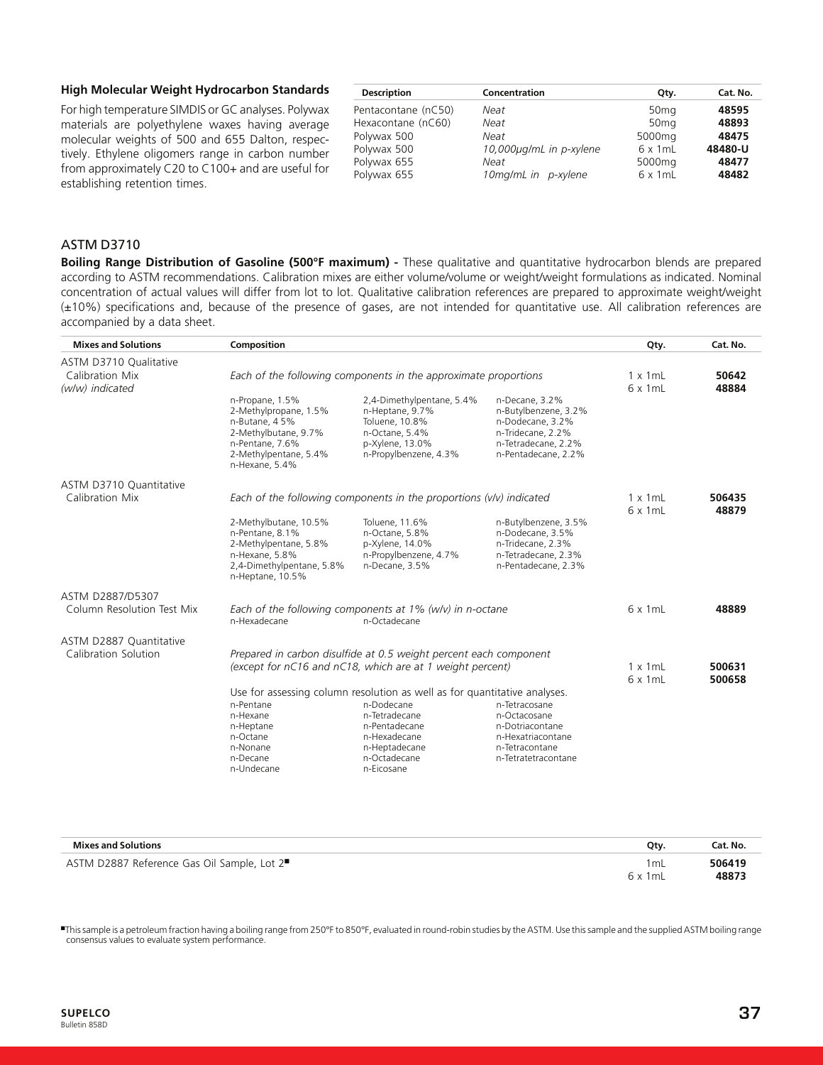#### **High Molecular Weight Hydrocarbon Standards**

For high temperature SIMDIS or GC analyses. Polywax materials are polyethylene waxes having average molecular weights of 500 and 655 Dalton, respectively. Ethylene oligomers range in carbon number from approximately C20 to C100+ and are useful for establishing retention times.

| <b>Description</b>  | Concentration           | Qtv.               | Cat. No. |
|---------------------|-------------------------|--------------------|----------|
| Pentacontane (nC50) | Neat                    | 50 <sub>mg</sub>   | 48595    |
| Hexacontane (nC60)  | Neat                    | 50 <sub>mg</sub>   | 48893    |
| Polywax 500         | Neat                    | 5000 <sub>mq</sub> | 48475    |
| Polywax 500         | 10,000µg/mL in p-xylene | $6 \times 1$ mL    | 48480-U  |
| Polywax 655         | Neat                    | 5000 <sub>mq</sub> | 48477    |
| Polywax 655         | 10mg/mL in p-xylene     | $6 \times 1$ mL    | 48482    |
|                     |                         |                    |          |

# ASTM D3710

**Boiling Range Distribution of Gasoline (500°F maximum) -** These qualitative and quantitative hydrocarbon blends are prepared according to ASTM recommendations. Calibration mixes are either volume/volume or weight/weight formulations as indicated. Nominal concentration of actual values will differ from lot to lot. Qualitative calibration references are prepared to approximate weight/weight (±10%) specifications and, because of the presence of gases, are not intended for quantitative use. All calibration references are accompanied by a data sheet.

| <b>Mixes and Solutions</b>                                   | Composition                                                                                                                                     |                                                                                                                              |                                                                                                                               | Qty.            | Cat. No.       |
|--------------------------------------------------------------|-------------------------------------------------------------------------------------------------------------------------------------------------|------------------------------------------------------------------------------------------------------------------------------|-------------------------------------------------------------------------------------------------------------------------------|-----------------|----------------|
| ASTM D3710 Qualitative<br>Calibration Mix<br>(w/w) indicated | Each of the following components in the approximate proportions                                                                                 |                                                                                                                              |                                                                                                                               |                 | 50642<br>48884 |
|                                                              | n-Propane, 1.5%<br>2-Methylpropane, 1.5%<br>n-Butane, 45%<br>2-Methylbutane, 9.7%<br>n-Pentane, 7.6%<br>2-Methylpentane, 5.4%<br>n-Hexane, 5.4% | 2,4-Dimethylpentane, 5.4%<br>n-Heptane, 9.7%<br>Toluene, 10.8%<br>n-Octane, 5.4%<br>p-Xylene, 13.0%<br>n-Propylbenzene, 4.3% | n-Decane, 3.2%<br>n-Butylbenzene, 3.2%<br>n-Dodecane, 3.2%<br>n-Tridecane, 2.2%<br>n-Tetradecane, 2.2%<br>n-Pentadecane, 2.2% |                 |                |
| ASTM D3710 Quantitative                                      |                                                                                                                                                 |                                                                                                                              |                                                                                                                               |                 |                |
| Calibration Mix                                              |                                                                                                                                                 | Each of the following components in the proportions (v/v) indicated                                                          |                                                                                                                               | $1 \times 1$ mL | 506435         |
|                                                              | 2-Methylbutane, 10.5%<br>n-Pentane, 8.1%<br>2-Methylpentane, 5.8%<br>n-Hexane, 5.8%<br>2,4-Dimethylpentane, 5.8%<br>n-Heptane, 10.5%            | Toluene, 11.6%<br>n-Octane, 5.8%<br>p-Xylene, 14.0%<br>n-Propylbenzene, 4.7%<br>n-Decane, 3.5%                               | n-Butylbenzene, 3.5%<br>n-Dodecane, 3.5%<br>n-Tridecane, 2.3%<br>n-Tetradecane, 2.3%<br>n-Pentadecane, 2.3%                   | $6 \times 1$ mL | 48879          |
| ASTM D2887/D5307                                             |                                                                                                                                                 |                                                                                                                              |                                                                                                                               |                 |                |
| Column Resolution Test Mix                                   | n-Hexadecane                                                                                                                                    | Each of the following components at $1\%$ (w/v) in n-octane<br>n-Octadecane                                                  |                                                                                                                               | $6 \times 1$ mL | 48889          |
| ASTM D2887 Quantitative<br>Calibration Solution              |                                                                                                                                                 | Prepared in carbon disulfide at 0.5 weight percent each component                                                            |                                                                                                                               |                 |                |
|                                                              |                                                                                                                                                 | (except for nC16 and nC18, which are at 1 weight percent)                                                                    |                                                                                                                               | $1 \times 1$ mL | 500631         |
|                                                              |                                                                                                                                                 | Use for assessing column resolution as well as for quantitative analyses.                                                    |                                                                                                                               | $6 \times 1$ mL | 500658         |
|                                                              | n-Pentane                                                                                                                                       | n-Dodecane                                                                                                                   | n-Tetracosane                                                                                                                 |                 |                |
|                                                              | n-Hexane<br>n-Heptane<br>n-Octane<br>n-Nonane                                                                                                   | n-Tetradecane<br>n-Pentadecane<br>n-Hexadecane<br>n-Heptadecane                                                              | n-Octacosane<br>n-Dotriacontane<br>n-Hexatriacontane<br>n-Tetracontane                                                        |                 |                |
|                                                              | n-Decane<br>n-Undecane                                                                                                                          | n-Octadecane<br>n-Eicosane                                                                                                   | n-Tetratetracontane                                                                                                           |                 |                |

| <b>Mixes and Solutions</b>                              | Otv.                    | Cat. No.        |
|---------------------------------------------------------|-------------------------|-----------------|
| ASTM D2887 Reference Gas Oil Sample, Lot 2 <sup>■</sup> | 1 mL<br>$6 \times 1$ mL | 506419<br>48873 |

■This sample is a petroleum fraction having a boiling range from 250°F to 850°F, evaluated in round-robin studies by the ASTM. Use this sample and the supplied ASTM boiling range consensus values to evaluate system performance.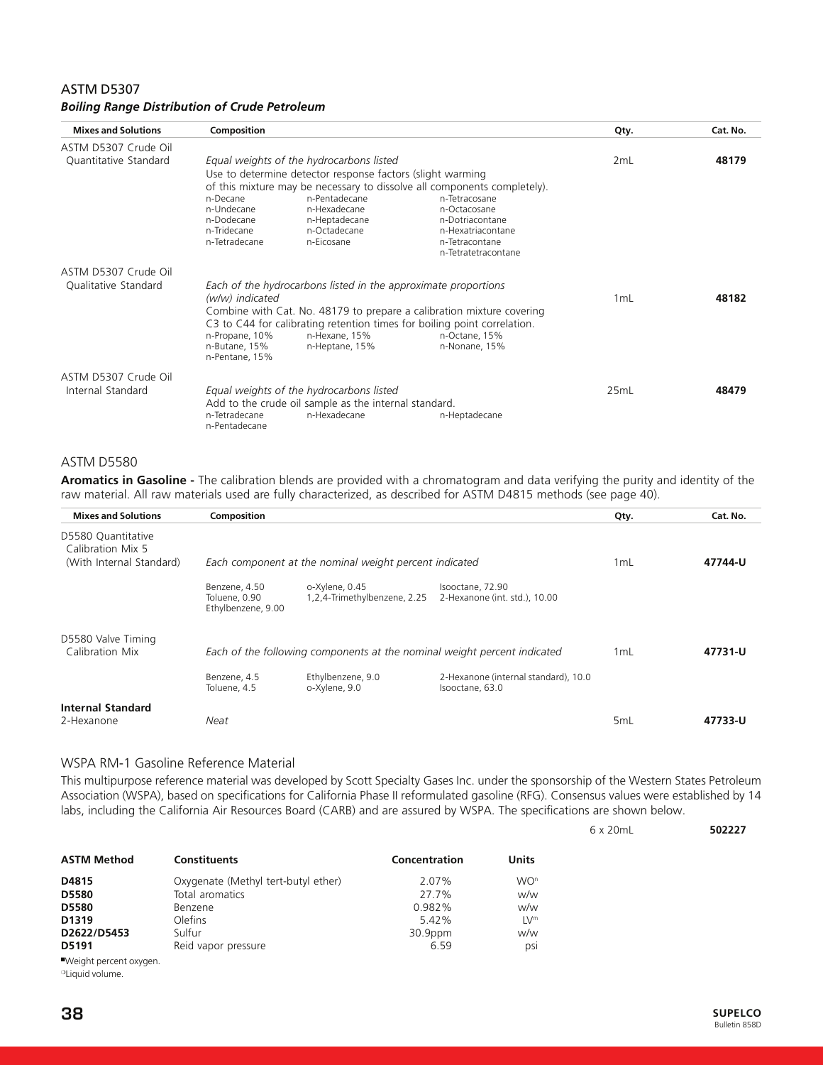# ASTM D5307 *Boiling Range Distribution of Crude Petroleum*

| <b>Mixes and Solutions</b>                   | Composition                                                          |                                                                                                                                                                                        |                                                                                                                                                                                            | Qty. | Cat. No. |
|----------------------------------------------|----------------------------------------------------------------------|----------------------------------------------------------------------------------------------------------------------------------------------------------------------------------------|--------------------------------------------------------------------------------------------------------------------------------------------------------------------------------------------|------|----------|
| ASTM D5307 Crude Oil                         |                                                                      |                                                                                                                                                                                        |                                                                                                                                                                                            |      |          |
| Quantitative Standard                        | n-Decane<br>n-Undecane<br>n-Dodecane<br>n-Tridecane<br>n-Tetradecane | Equal weights of the hydrocarbons listed<br>Use to determine detector response factors (slight warming<br>n-Pentadecane<br>n-Hexadecane<br>n-Heptadecane<br>n-Octadecane<br>n-Eicosane | of this mixture may be necessary to dissolve all components completely).<br>n-Tetracosane<br>n-Octacosane<br>n-Dotriacontane<br>n-Hexatriacontane<br>n-Tetracontane<br>n-Tetratetracontane | 2mL  | 48179    |
| ASTM D5307 Crude Oil<br>Qualitative Standard | (w/w) indicated<br>n-Propane, 10%<br>n-Butane, 15%<br>n-Pentane, 15% | Each of the hydrocarbons listed in the approximate proportions<br>n-Hexane, 15%<br>n-Heptane, 15%                                                                                      | Combine with Cat. No. 48179 to prepare a calibration mixture covering<br>C3 to C44 for calibrating retention times for boiling point correlation.<br>n-Octane, 15%<br>n-Nonane, 15%        | 1 mL | 48182    |
| ASTM D5307 Crude Oil<br>Internal Standard    | n-Tetradecane<br>n-Pentadecane                                       | Equal weights of the hydrocarbons listed<br>Add to the crude oil sample as the internal standard.<br>n-Hexadecane                                                                      | n-Heptadecane                                                                                                                                                                              | 25mL | 48479    |

#### ASTM D5580

**Aromatics in Gasoline -** The calibration blends are provided with a chromatogram and data verifying the purity and identity of the raw material. All raw materials used are fully characterized, as described for ASTM D4815 methods (see page 40).

| <b>Mixes and Solutions</b>                                          | Composition                                          |                                                                          |                                                         | Qty. | Cat. No. |
|---------------------------------------------------------------------|------------------------------------------------------|--------------------------------------------------------------------------|---------------------------------------------------------|------|----------|
| D5580 Quantitative<br>Calibration Mix 5<br>(With Internal Standard) |                                                      | Each component at the nominal weight percent indicated                   |                                                         | 1 mL | 47744-U  |
|                                                                     | Benzene, 4.50<br>Toluene, 0.90<br>Ethylbenzene, 9.00 | o-Xylene, 0.45<br>1,2,4-Trimethylbenzene, 2.25                           | Isooctane, 72.90<br>2-Hexanone (int. std.), 10.00       |      |          |
| D5580 Valve Timing<br>Calibration Mix                               |                                                      | Each of the following components at the nominal weight percent indicated |                                                         | 1 mL | 47731-U  |
|                                                                     | Benzene, 4.5<br>Toluene, 4.5                         | Ethylbenzene, 9.0<br>o-Xylene, 9.0                                       | 2-Hexanone (internal standard), 10.0<br>Isooctane, 63.0 |      |          |
| <b>Internal Standard</b><br>2-Hexanone                              | Neat                                                 |                                                                          |                                                         | 5mL  | 47733-U  |

#### WSPA RM-1 Gasoline Reference Material

This multipurpose reference material was developed by Scott Specialty Gases Inc. under the sponsorship of the Western States Petroleum Association (WSPA), based on specifications for California Phase II reformulated gasoline (RFG). Consensus values were established by 14 labs, including the California Air Resources Board (CARB) and are assured by WSPA. The specifications are shown below.

| <b>ASTM Method</b>                                                                                                                                                                                                                    | <b>Constituents</b>                 | Concentration | <b>Units</b>    |
|---------------------------------------------------------------------------------------------------------------------------------------------------------------------------------------------------------------------------------------|-------------------------------------|---------------|-----------------|
| D4815                                                                                                                                                                                                                                 | Oxygenate (Methyl tert-butyl ether) | 2.07%         | WO <sup>n</sup> |
| <b>D5580</b>                                                                                                                                                                                                                          | Total aromatics                     | 27.7%         | w/w             |
| <b>D5580</b>                                                                                                                                                                                                                          | Benzene                             | 0.982%        | w/w             |
| D1319                                                                                                                                                                                                                                 | Olefins                             | $5.42\%$      | LV™             |
| D2622/D5453                                                                                                                                                                                                                           | Sulfur                              | 30.9ppm       | w/w             |
| D5191                                                                                                                                                                                                                                 | Reid vapor pressure                 | 6.59          | DSI             |
| $\blacksquare$ Matrix that the concentration of the contract of the contract of the contract of the contract of the contract of the contract of the contract of the contract of the contract of the contract of the contract of the c |                                     |               |                 |

■Weight percent oxygen. ❍Liquid volume.

6 x 20mL **502227**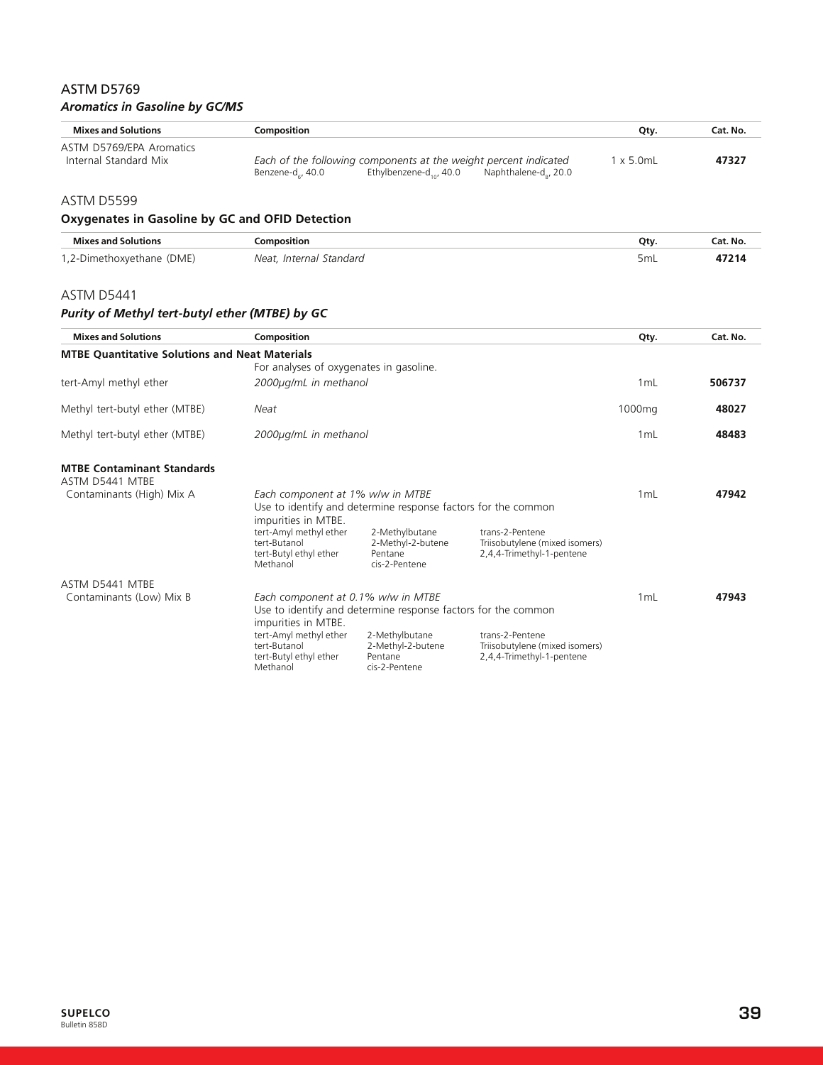# ASTM D5769 *Aromatics in Gasoline by GC/MS*

| <b>Mixes and Solutions</b>                        | Composition                                                                                                                                      | Qty.              | Cat. No. |
|---------------------------------------------------|--------------------------------------------------------------------------------------------------------------------------------------------------|-------------------|----------|
| ASTM D5769/EPA Aromatics<br>Internal Standard Mix | Each of the following components at the weight percent indicated<br>Ethylbenzene-d $_{\rm tot}$ 40.0<br>Benzene-d , 40.0<br>Naphthalene-d., 20.0 | $1 \times 5.0$ mL | 47327    |

# ASTM D5599

# **Oxygenates in Gasoline by GC and OFID Detection**

| <b>Mixes and Solutions</b> | omposition              | Οtν                             | Cat. No |
|----------------------------|-------------------------|---------------------------------|---------|
| 1,2-Dimethoxyethane (DME)  | Neat, Internal Standard | the contract of the contract of |         |

#### ASTM D5441

# *Purity of Methyl tert-butyl ether (MTBE) by GC*

| <b>Mixes and Solutions</b>                            | Composition                                                                                                              |                                                                 |                                                                                | Qty.   | Cat. No. |
|-------------------------------------------------------|--------------------------------------------------------------------------------------------------------------------------|-----------------------------------------------------------------|--------------------------------------------------------------------------------|--------|----------|
| <b>MTBE Quantitative Solutions and Neat Materials</b> |                                                                                                                          |                                                                 |                                                                                |        |          |
|                                                       | For analyses of oxygenates in gasoline.                                                                                  |                                                                 |                                                                                |        |          |
| tert-Amyl methyl ether                                | 2000µg/mL in methanol                                                                                                    |                                                                 |                                                                                | 1mL    | 506737   |
| Methyl tert-butyl ether (MTBE)                        | Neat                                                                                                                     |                                                                 |                                                                                | 1000mg | 48027    |
| Methyl tert-butyl ether (MTBE)                        | 2000µg/mL in methanol                                                                                                    |                                                                 |                                                                                | 1mL    | 48483    |
| <b>MTBE Contaminant Standards</b><br>ASTM D5441 MTBE  |                                                                                                                          |                                                                 |                                                                                |        |          |
| Contaminants (High) Mix A                             | Each component at 1% w/w in MTBE<br>Use to identify and determine response factors for the common<br>impurities in MTBE. |                                                                 |                                                                                | 1mL    | 47942    |
|                                                       | tert-Amyl methyl ether<br>tert-Butanol<br>tert-Butyl ethyl ether<br>Methanol                                             | 2-Methylbutane<br>2-Methyl-2-butene<br>Pentane<br>cis-2-Pentene | trans-2-Pentene<br>Triisobutylene (mixed isomers)<br>2,4,4-Trimethyl-1-pentene |        |          |
| ASTM D5441 MTBE                                       |                                                                                                                          |                                                                 |                                                                                |        |          |
| Contaminants (Low) Mix B                              | Each component at 0.1% w/w in MTBE                                                                                       |                                                                 |                                                                                | 1mL    | 47943    |
|                                                       | impurities in MTBE.                                                                                                      | Use to identify and determine response factors for the common   |                                                                                |        |          |
|                                                       | tert-Amyl methyl ether<br>tert-Butanol<br>tert-Butyl ethyl ether<br>Methanol                                             | 2-Methylbutane<br>2-Methyl-2-butene<br>Pentane<br>cis-2-Pentene | trans-2-Pentene<br>Triisobutylene (mixed isomers)<br>2,4,4-Trimethyl-1-pentene |        |          |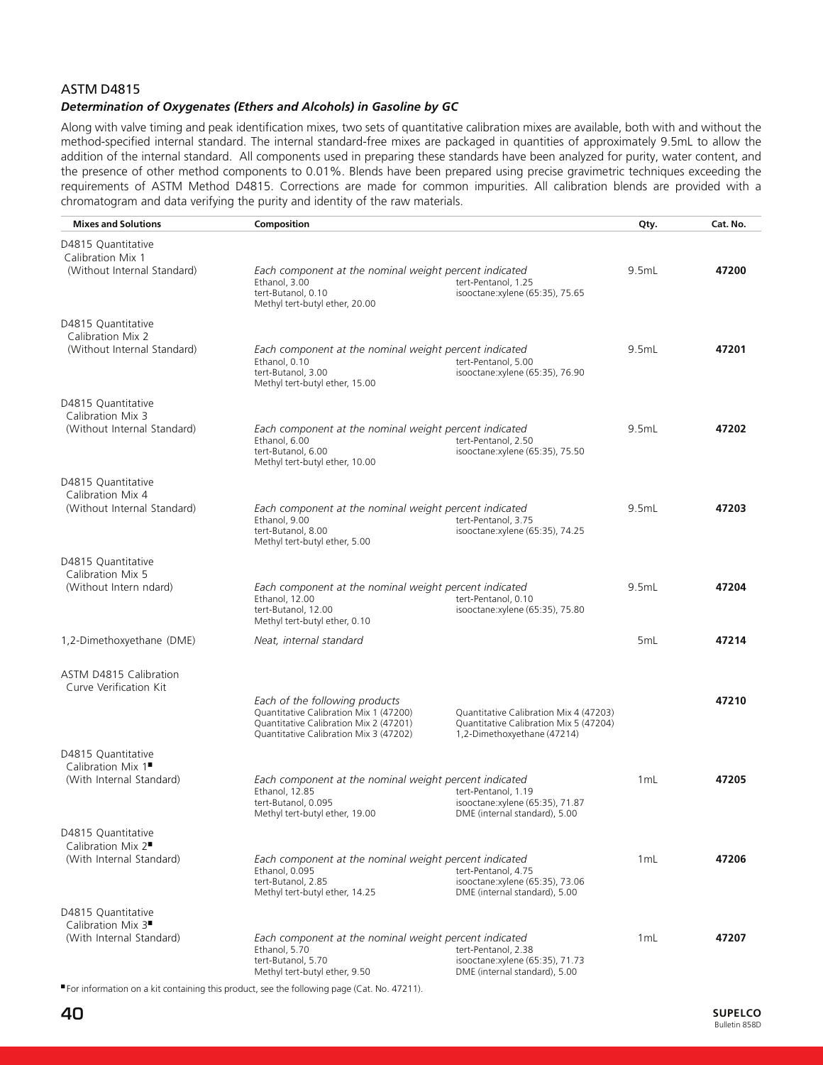# ASTM D4815

# *Determination of Oxygenates (Ethers and Alcohols) in Gasoline by GC*

Along with valve timing and peak identification mixes, two sets of quantitative calibration mixes are available, both with and without the method-specified internal standard. The internal standard-free mixes are packaged in quantities of approximately 9.5mL to allow the addition of the internal standard. All components used in preparing these standards have been analyzed for purity, water content, and the presence of other method components to 0.01%. Blends have been prepared using precise gravimetric techniques exceeding the requirements of ASTM Method D4815. Corrections are made for common impurities. All calibration blends are provided with a chromatogram and data verifying the purity and identity of the raw materials.

| D4815 Quantitative<br>Calibration Mix 1<br>(Without Internal Standard)<br>Each component at the nominal weight percent indicated<br>9.5mL<br>Ethanol, 3.00<br>tert-Pentanol, 1.25<br>tert-Butanol, 0.10<br>isooctane:xylene (65:35), 75.65<br>Methyl tert-butyl ether, 20.00<br>D4815 Quantitative<br>Calibration Mix 2<br>(Without Internal Standard)<br>9.5mL<br>47201<br>Each component at the nominal weight percent indicated<br>Ethanol, 0.10<br>tert-Pentanol, 5.00<br>tert-Butanol, 3.00<br>isooctane:xylene (65:35), 76.90<br>Methyl tert-butyl ether, 15.00<br>D4815 Quantitative<br>Calibration Mix 3<br>(Without Internal Standard)<br>9.5mL<br>Each component at the nominal weight percent indicated<br>Ethanol, 6.00<br>tert-Pentanol, 2.50<br>tert-Butanol, 6.00<br>isooctane:xylene (65:35), 75.50<br>Methyl tert-butyl ether, 10.00<br>D4815 Quantitative<br>Calibration Mix 4<br>(Without Internal Standard)<br>Each component at the nominal weight percent indicated<br>9.5mL<br>Ethanol, 9.00<br>tert-Pentanol, 3.75<br>tert-Butanol, 8.00<br>isooctane:xylene (65:35), 74.25<br>Methyl tert-butyl ether, 5.00<br>D4815 Quantitative<br>Calibration Mix 5<br>(Without Intern ndard)<br>9.5mL<br>Each component at the nominal weight percent indicated<br>Ethanol, 12.00<br>tert-Pentanol, 0.10<br>tert-Butanol, 12.00<br>isooctane:xylene (65:35), 75.80<br>Methyl tert-butyl ether, 0.10<br>1,2-Dimethoxyethane (DME)<br>Neat, internal standard<br>5 <sub>mL</sub><br>ASTM D4815 Calibration<br>Curve Verification Kit<br>Each of the following products<br>47210<br>Quantitative Calibration Mix 1 (47200)<br>Quantitative Calibration Mix 4 (47203)<br>Quantitative Calibration Mix 2 (47201)<br>Quantitative Calibration Mix 5 (47204)<br>Quantitative Calibration Mix 3 (47202)<br>1,2-Dimethoxyethane (47214)<br>D4815 Quantitative<br>Calibration Mix 1<br>(With Internal Standard)<br>Each component at the nominal weight percent indicated<br>1 <sub>mL</sub><br>Ethanol, 12.85<br>tert-Pentanol, 1.19<br>tert-Butanol, 0.095<br>isooctane:xylene (65:35), 71.87<br>Methyl tert-butyl ether, 19.00<br>DME (internal standard), 5.00<br>D4815 Quantitative<br>Calibration Mix 2 <sup>■</sup><br>(With Internal Standard)<br>Each component at the nominal weight percent indicated<br>1 <sub>mL</sub><br>Ethanol, 0.095<br>tert-Pentanol, 4.75<br>tert-Butanol, 2.85<br>isooctane:xylene (65:35), 73.06<br>Methyl tert-butyl ether, 14.25<br>DME (internal standard), 5.00<br>D4815 Quantitative<br>Calibration Mix 3 <sup>■</sup><br>(With Internal Standard)<br>Each component at the nominal weight percent indicated<br>1 <sub>mL</sub><br>Ethanol, 5.70<br>tert-Pentanol, 2.38 | <b>Mixes and Solutions</b> | Composition        |                                 | Qty. | Cat. No. |
|----------------------------------------------------------------------------------------------------------------------------------------------------------------------------------------------------------------------------------------------------------------------------------------------------------------------------------------------------------------------------------------------------------------------------------------------------------------------------------------------------------------------------------------------------------------------------------------------------------------------------------------------------------------------------------------------------------------------------------------------------------------------------------------------------------------------------------------------------------------------------------------------------------------------------------------------------------------------------------------------------------------------------------------------------------------------------------------------------------------------------------------------------------------------------------------------------------------------------------------------------------------------------------------------------------------------------------------------------------------------------------------------------------------------------------------------------------------------------------------------------------------------------------------------------------------------------------------------------------------------------------------------------------------------------------------------------------------------------------------------------------------------------------------------------------------------------------------------------------------------------------------------------------------------------------------------------------------------------------------------------------------------------------------------------------------------------------------------------------------------------------------------------------------------------------------------------------------------------------------------------------------------------------------------------------------------------------------------------------------------------------------------------------------------------------------------------------------------------------------------------------------------------------------------------------------------------------------------------------------------------------------------------------------------------------------------------------------------|----------------------------|--------------------|---------------------------------|------|----------|
|                                                                                                                                                                                                                                                                                                                                                                                                                                                                                                                                                                                                                                                                                                                                                                                                                                                                                                                                                                                                                                                                                                                                                                                                                                                                                                                                                                                                                                                                                                                                                                                                                                                                                                                                                                                                                                                                                                                                                                                                                                                                                                                                                                                                                                                                                                                                                                                                                                                                                                                                                                                                                                                                                                                      |                            |                    |                                 |      | 47200    |
|                                                                                                                                                                                                                                                                                                                                                                                                                                                                                                                                                                                                                                                                                                                                                                                                                                                                                                                                                                                                                                                                                                                                                                                                                                                                                                                                                                                                                                                                                                                                                                                                                                                                                                                                                                                                                                                                                                                                                                                                                                                                                                                                                                                                                                                                                                                                                                                                                                                                                                                                                                                                                                                                                                                      |                            |                    |                                 |      |          |
|                                                                                                                                                                                                                                                                                                                                                                                                                                                                                                                                                                                                                                                                                                                                                                                                                                                                                                                                                                                                                                                                                                                                                                                                                                                                                                                                                                                                                                                                                                                                                                                                                                                                                                                                                                                                                                                                                                                                                                                                                                                                                                                                                                                                                                                                                                                                                                                                                                                                                                                                                                                                                                                                                                                      |                            |                    |                                 |      |          |
|                                                                                                                                                                                                                                                                                                                                                                                                                                                                                                                                                                                                                                                                                                                                                                                                                                                                                                                                                                                                                                                                                                                                                                                                                                                                                                                                                                                                                                                                                                                                                                                                                                                                                                                                                                                                                                                                                                                                                                                                                                                                                                                                                                                                                                                                                                                                                                                                                                                                                                                                                                                                                                                                                                                      |                            |                    |                                 |      |          |
|                                                                                                                                                                                                                                                                                                                                                                                                                                                                                                                                                                                                                                                                                                                                                                                                                                                                                                                                                                                                                                                                                                                                                                                                                                                                                                                                                                                                                                                                                                                                                                                                                                                                                                                                                                                                                                                                                                                                                                                                                                                                                                                                                                                                                                                                                                                                                                                                                                                                                                                                                                                                                                                                                                                      |                            |                    |                                 |      |          |
|                                                                                                                                                                                                                                                                                                                                                                                                                                                                                                                                                                                                                                                                                                                                                                                                                                                                                                                                                                                                                                                                                                                                                                                                                                                                                                                                                                                                                                                                                                                                                                                                                                                                                                                                                                                                                                                                                                                                                                                                                                                                                                                                                                                                                                                                                                                                                                                                                                                                                                                                                                                                                                                                                                                      |                            |                    |                                 |      | 47202    |
|                                                                                                                                                                                                                                                                                                                                                                                                                                                                                                                                                                                                                                                                                                                                                                                                                                                                                                                                                                                                                                                                                                                                                                                                                                                                                                                                                                                                                                                                                                                                                                                                                                                                                                                                                                                                                                                                                                                                                                                                                                                                                                                                                                                                                                                                                                                                                                                                                                                                                                                                                                                                                                                                                                                      |                            |                    |                                 |      |          |
|                                                                                                                                                                                                                                                                                                                                                                                                                                                                                                                                                                                                                                                                                                                                                                                                                                                                                                                                                                                                                                                                                                                                                                                                                                                                                                                                                                                                                                                                                                                                                                                                                                                                                                                                                                                                                                                                                                                                                                                                                                                                                                                                                                                                                                                                                                                                                                                                                                                                                                                                                                                                                                                                                                                      |                            |                    |                                 |      | 47203    |
|                                                                                                                                                                                                                                                                                                                                                                                                                                                                                                                                                                                                                                                                                                                                                                                                                                                                                                                                                                                                                                                                                                                                                                                                                                                                                                                                                                                                                                                                                                                                                                                                                                                                                                                                                                                                                                                                                                                                                                                                                                                                                                                                                                                                                                                                                                                                                                                                                                                                                                                                                                                                                                                                                                                      |                            |                    |                                 |      |          |
|                                                                                                                                                                                                                                                                                                                                                                                                                                                                                                                                                                                                                                                                                                                                                                                                                                                                                                                                                                                                                                                                                                                                                                                                                                                                                                                                                                                                                                                                                                                                                                                                                                                                                                                                                                                                                                                                                                                                                                                                                                                                                                                                                                                                                                                                                                                                                                                                                                                                                                                                                                                                                                                                                                                      |                            |                    |                                 |      | 47204    |
|                                                                                                                                                                                                                                                                                                                                                                                                                                                                                                                                                                                                                                                                                                                                                                                                                                                                                                                                                                                                                                                                                                                                                                                                                                                                                                                                                                                                                                                                                                                                                                                                                                                                                                                                                                                                                                                                                                                                                                                                                                                                                                                                                                                                                                                                                                                                                                                                                                                                                                                                                                                                                                                                                                                      |                            |                    |                                 |      | 47214    |
|                                                                                                                                                                                                                                                                                                                                                                                                                                                                                                                                                                                                                                                                                                                                                                                                                                                                                                                                                                                                                                                                                                                                                                                                                                                                                                                                                                                                                                                                                                                                                                                                                                                                                                                                                                                                                                                                                                                                                                                                                                                                                                                                                                                                                                                                                                                                                                                                                                                                                                                                                                                                                                                                                                                      |                            |                    |                                 |      |          |
|                                                                                                                                                                                                                                                                                                                                                                                                                                                                                                                                                                                                                                                                                                                                                                                                                                                                                                                                                                                                                                                                                                                                                                                                                                                                                                                                                                                                                                                                                                                                                                                                                                                                                                                                                                                                                                                                                                                                                                                                                                                                                                                                                                                                                                                                                                                                                                                                                                                                                                                                                                                                                                                                                                                      |                            |                    |                                 |      |          |
|                                                                                                                                                                                                                                                                                                                                                                                                                                                                                                                                                                                                                                                                                                                                                                                                                                                                                                                                                                                                                                                                                                                                                                                                                                                                                                                                                                                                                                                                                                                                                                                                                                                                                                                                                                                                                                                                                                                                                                                                                                                                                                                                                                                                                                                                                                                                                                                                                                                                                                                                                                                                                                                                                                                      |                            |                    |                                 |      |          |
|                                                                                                                                                                                                                                                                                                                                                                                                                                                                                                                                                                                                                                                                                                                                                                                                                                                                                                                                                                                                                                                                                                                                                                                                                                                                                                                                                                                                                                                                                                                                                                                                                                                                                                                                                                                                                                                                                                                                                                                                                                                                                                                                                                                                                                                                                                                                                                                                                                                                                                                                                                                                                                                                                                                      |                            |                    |                                 |      | 47205    |
|                                                                                                                                                                                                                                                                                                                                                                                                                                                                                                                                                                                                                                                                                                                                                                                                                                                                                                                                                                                                                                                                                                                                                                                                                                                                                                                                                                                                                                                                                                                                                                                                                                                                                                                                                                                                                                                                                                                                                                                                                                                                                                                                                                                                                                                                                                                                                                                                                                                                                                                                                                                                                                                                                                                      |                            |                    |                                 |      |          |
|                                                                                                                                                                                                                                                                                                                                                                                                                                                                                                                                                                                                                                                                                                                                                                                                                                                                                                                                                                                                                                                                                                                                                                                                                                                                                                                                                                                                                                                                                                                                                                                                                                                                                                                                                                                                                                                                                                                                                                                                                                                                                                                                                                                                                                                                                                                                                                                                                                                                                                                                                                                                                                                                                                                      |                            |                    |                                 |      |          |
|                                                                                                                                                                                                                                                                                                                                                                                                                                                                                                                                                                                                                                                                                                                                                                                                                                                                                                                                                                                                                                                                                                                                                                                                                                                                                                                                                                                                                                                                                                                                                                                                                                                                                                                                                                                                                                                                                                                                                                                                                                                                                                                                                                                                                                                                                                                                                                                                                                                                                                                                                                                                                                                                                                                      |                            |                    |                                 |      | 47206    |
|                                                                                                                                                                                                                                                                                                                                                                                                                                                                                                                                                                                                                                                                                                                                                                                                                                                                                                                                                                                                                                                                                                                                                                                                                                                                                                                                                                                                                                                                                                                                                                                                                                                                                                                                                                                                                                                                                                                                                                                                                                                                                                                                                                                                                                                                                                                                                                                                                                                                                                                                                                                                                                                                                                                      |                            |                    |                                 |      |          |
| Methyl tert-butyl ether, 9.50<br>DME (internal standard), 5.00                                                                                                                                                                                                                                                                                                                                                                                                                                                                                                                                                                                                                                                                                                                                                                                                                                                                                                                                                                                                                                                                                                                                                                                                                                                                                                                                                                                                                                                                                                                                                                                                                                                                                                                                                                                                                                                                                                                                                                                                                                                                                                                                                                                                                                                                                                                                                                                                                                                                                                                                                                                                                                                       |                            | tert-Butanol, 5.70 | isooctane:xylene (65:35), 71.73 |      | 47207    |

■ For information on a kit containing this product, see the following page (Cat. No. 47211).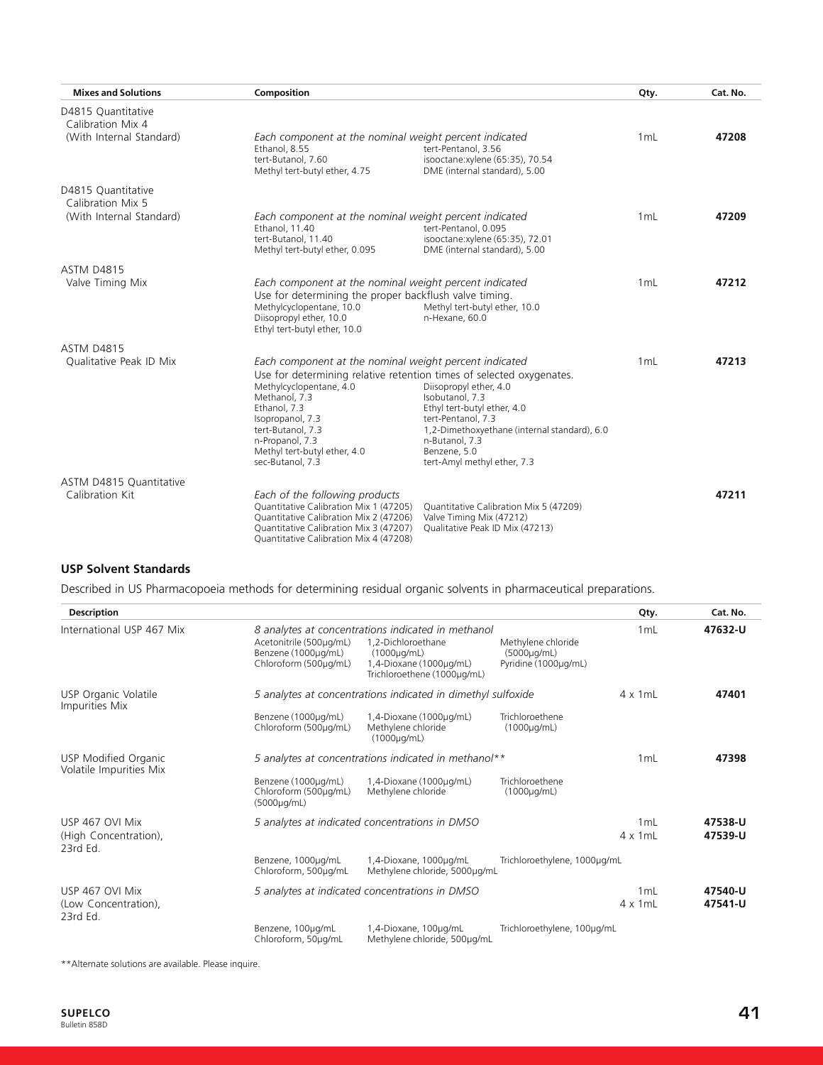| <b>Mixes and Solutions</b>                                          | Composition                                                                                                                                                                                            |                                                                                                                                                                                       | Qty. | Cat. No. |
|---------------------------------------------------------------------|--------------------------------------------------------------------------------------------------------------------------------------------------------------------------------------------------------|---------------------------------------------------------------------------------------------------------------------------------------------------------------------------------------|------|----------|
| D4815 Quantitative<br>Calibration Mix 4<br>(With Internal Standard) | Each component at the nominal weight percent indicated<br>Ethanol, 8.55<br>tert-Butanol, 7.60<br>Methyl tert-butyl ether, 4.75                                                                         | tert-Pentanol, 3.56<br>isooctane:xylene (65:35), 70.54<br>DME (internal standard), 5.00                                                                                               | 1 mL | 47208    |
| D4815 Quantitative<br>Calibration Mix 5<br>(With Internal Standard) | Each component at the nominal weight percent indicated<br>Ethanol, 11.40<br>tert-Butanol, 11.40<br>Methyl tert-butyl ether, 0.095                                                                      | tert-Pentanol, 0.095<br>isooctane:xylene (65:35), 72.01<br>DME (internal standard), 5.00                                                                                              | 1 mL | 47209    |
| <b>ASTM D4815</b><br>Valve Timing Mix                               | Each component at the nominal weight percent indicated<br>Use for determining the proper backflush valve timing.<br>Methylcyclopentane, 10.0<br>Diisopropyl ether, 10.0                                | Methyl tert-butyl ether, 10.0<br>n-Hexane, 60.0                                                                                                                                       | 1 mL | 47212    |
| <b>ASTM D4815</b><br>Qualitative Peak ID Mix                        | Ethyl tert-butyl ether, 10.0<br>Each component at the nominal weight percent indicated<br>Use for determining relative retention times of selected oxygenates.<br>Methylcyclopentane, 4.0              | Diisopropyl ether, 4.0                                                                                                                                                                | 1 mL | 47213    |
|                                                                     | Methanol, 7.3<br>Ethanol, 7.3<br>Isopropanol, 7.3<br>tert-Butanol, 7.3<br>n-Propanol, 7.3<br>Methyl tert-butyl ether, 4.0<br>sec-Butanol, 7.3                                                          | Isobutanol, 7.3<br>Ethyl tert-butyl ether, 4.0<br>tert-Pentanol, 7.3<br>1,2-Dimethoxyethane (internal standard), 6.0<br>n-Butanol, 7.3<br>Benzene, 5.0<br>tert-Amyl methyl ether, 7.3 |      |          |
| ASTM D4815 Quantitative<br>Calibration Kit                          | Each of the following products<br>Quantitative Calibration Mix 1 (47205)<br>Quantitative Calibration Mix 2 (47206)<br>Quantitative Calibration Mix 3 (47207)<br>Quantitative Calibration Mix 4 (47208) | Quantitative Calibration Mix 5 (47209)<br>Valve Timing Mix (47212)<br>Qualitative Peak ID Mix (47213)                                                                                 |      | 47211    |

#### **USP Solvent Standards**

Described in US Pharmacopoeia methods for determining residual organic solvents in pharmaceutical preparations.

| <b>Description</b>                                   |                                                                         |                                                                                                                                                        |                                                           | Qty.                    | Cat. No.           |
|------------------------------------------------------|-------------------------------------------------------------------------|--------------------------------------------------------------------------------------------------------------------------------------------------------|-----------------------------------------------------------|-------------------------|--------------------|
| International USP 467 Mix                            | Acetonitrile (500µg/mL)<br>Benzene (1000µg/mL)<br>Chloroform (500µg/mL) | 8 analytes at concentrations indicated in methanol<br>1,2-Dichloroethane<br>$(1000\mu g/mL)$<br>1,4-Dioxane (1000µg/mL)<br>Trichloroethene (1000µg/mL) | Methylene chloride<br>(5000µg/mL)<br>Pyridine (1000µg/mL) | 1 mL                    | 47632-U            |
| USP Organic Volatile<br>Impurities Mix               |                                                                         | 5 analytes at concentrations indicated in dimethyl sulfoxide                                                                                           |                                                           | $4 \times 1$ mL         | 47401              |
|                                                      | Benzene (1000µg/mL)<br>Chloroform (500µg/mL)                            | 1,4-Dioxane (1000µg/mL)<br>Methylene chloride<br>$(1000\mu q/mL)$                                                                                      | Trichloroethene<br>$(1000\mu q/mL)$                       |                         |                    |
| USP Modified Organic<br>Volatile Impurities Mix      | 5 analytes at concentrations indicated in methanol**                    |                                                                                                                                                        | 1mL                                                       | 47398                   |                    |
|                                                      | Benzene (1000µg/mL)<br>Chloroform (500µg/mL)<br>(5000µg/mL)             | 1,4-Dioxane (1000µg/mL)<br>Methylene chloride                                                                                                          | Trichloroethene<br>$(1000\mu q/mL)$                       |                         |                    |
| USP 467 OVI Mix<br>(High Concentration),<br>23rd Ed. |                                                                         | 5 analytes at indicated concentrations in DMSO                                                                                                         |                                                           | 1mL<br>$4 \times 1$ mL  | 47538-U<br>47539-U |
|                                                      | Benzene, 1000µg/mL<br>Chloroform, 500µg/mL                              | 1,4-Dioxane, 1000ug/mL<br>Methylene chloride, 5000ug/mL                                                                                                | Trichloroethylene, 1000µg/mL                              |                         |                    |
| USP 467 OVI Mix<br>(Low Concentration),<br>23rd Ed.  |                                                                         | 5 analytes at indicated concentrations in DMSO                                                                                                         |                                                           | 1 mL<br>$4 \times 1$ mL | 47540-U<br>47541-U |
|                                                      | Benzene, 100µg/mL<br>Chloroform, 50µg/mL                                | 1,4-Dioxane, 100µg/mL<br>Methylene chloride, 500µg/mL                                                                                                  | Trichloroethylene, 100µg/mL                               |                         |                    |

\*\*Alternate solutions are available. Please inquire.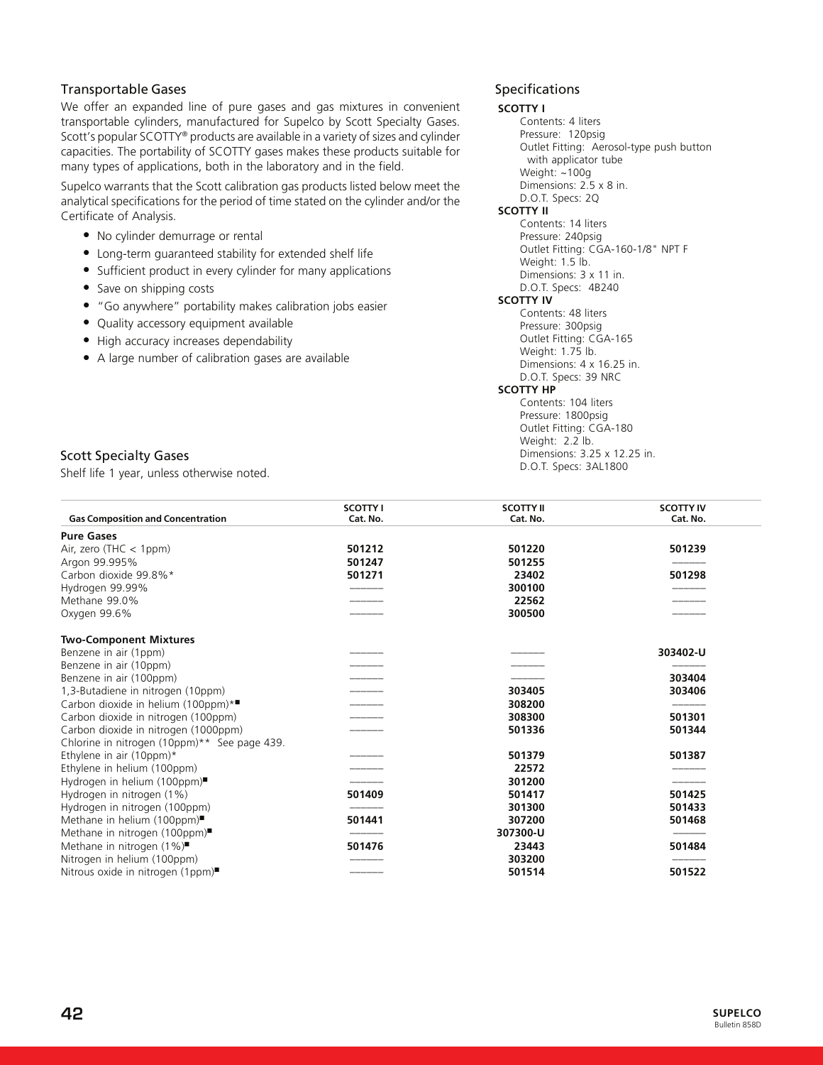# Transportable Gases

We offer an expanded line of pure gases and gas mixtures in convenient transportable cylinders, manufactured for Supelco by Scott Specialty Gases. Scott's popular SCOTTY® products are available in a variety of sizes and cylinder capacities. The portability of SCOTTY gases makes these products suitable for many types of applications, both in the laboratory and in the field.

Supelco warrants that the Scott calibration gas products listed below meet the analytical specifications for the period of time stated on the cylinder and/or the Certificate of Analysis.

- No cylinder demurrage or rental
- Long-term guaranteed stability for extended shelf life
- Sufficient product in every cylinder for many applications
- Save on shipping costs
- "Go anywhere" portability makes calibration jobs easier
- Quality accessory equipment available
- High accuracy increases dependability
- A large number of calibration gases are available

### Specifications

#### **SCOTTY I**

Contents: 4 liters Pressure: 120psig Outlet Fitting: Aerosol-type push button with applicator tube Weight: ~100g Dimensions: 2.5 x 8 in. D.O.T. Specs: 2Q **SCOTTY II** Contents: 14 liters Pressure: 240psig Outlet Fitting: CGA-160-1/8" NPT F Weight: 1.5 lb. Dimensions: 3 x 11 in. D.O.T. Specs: 4B240 **SCOTTY IV** Contents: 48 liters Pressure: 300psig Outlet Fitting: CGA-165 Weight: 1.75 lb. Dimensions: 4 x 16.25 in. D.O.T. Specs: 39 NRC **SCOTTY HP** Contents: 104 liters Pressure: 1800psig Outlet Fitting: CGA-180

Weight: 2.2 lb.

Dimensions: 3.25 x 12.25 in. D.O.T. Specs: 3AL1800

Scott Specialty Gases

Shelf life 1 year, unless otherwise noted.

| <b>Gas Composition and Concentration</b>     | <b>SCOTTY I</b><br>Cat. No. | <b>SCOTTY II</b><br>Cat. No. | <b>SCOTTY IV</b><br>Cat. No. |
|----------------------------------------------|-----------------------------|------------------------------|------------------------------|
| <b>Pure Gases</b>                            |                             |                              |                              |
| Air, zero (THC $<$ 1ppm)                     | 501212                      | 501220                       | 501239                       |
| Argon 99.995%                                | 501247                      | 501255                       |                              |
| Carbon dioxide 99.8%*                        | 501271                      | 23402                        | 501298                       |
| Hydrogen 99.99%                              |                             | 300100                       |                              |
| Methane 99.0%                                |                             | 22562                        |                              |
| Oxygen 99.6%                                 |                             | 300500                       |                              |
| <b>Two-Component Mixtures</b>                |                             |                              |                              |
| Benzene in air (1ppm)                        |                             |                              | 303402-U                     |
| Benzene in air (10ppm)                       |                             |                              |                              |
| Benzene in air (100ppm)                      |                             |                              | 303404                       |
| 1,3-Butadiene in nitrogen (10ppm)            |                             | 303405                       | 303406                       |
| Carbon dioxide in helium (100ppm)*■          |                             | 308200                       |                              |
| Carbon dioxide in nitrogen (100ppm)          |                             | 308300                       | 501301                       |
| Carbon dioxide in nitrogen (1000ppm)         |                             | 501336                       | 501344                       |
| Chlorine in nitrogen (10ppm)** See page 439. |                             |                              |                              |
| Ethylene in air $(10ppm)^*$                  |                             | 501379                       | 501387                       |
| Ethylene in helium (100ppm)                  |                             | 22572                        |                              |
| Hydrogen in helium (100ppm)■                 |                             | 301200                       |                              |
| Hydrogen in nitrogen (1%)                    | 501409                      | 501417                       | 501425                       |
| Hydrogen in nitrogen (100ppm)                |                             | 301300                       | 501433                       |
| Methane in helium (100ppm)                   | 501441                      | 307200                       | 501468                       |
| Methane in nitrogen (100ppm)■                |                             | 307300-U                     |                              |
| Methane in nitrogen (1%)                     | 501476                      | 23443                        | 501484                       |
| Nitrogen in helium (100ppm)                  |                             | 303200                       |                              |
| Nitrous oxide in nitrogen (1ppm)■            |                             | 501514                       | 501522                       |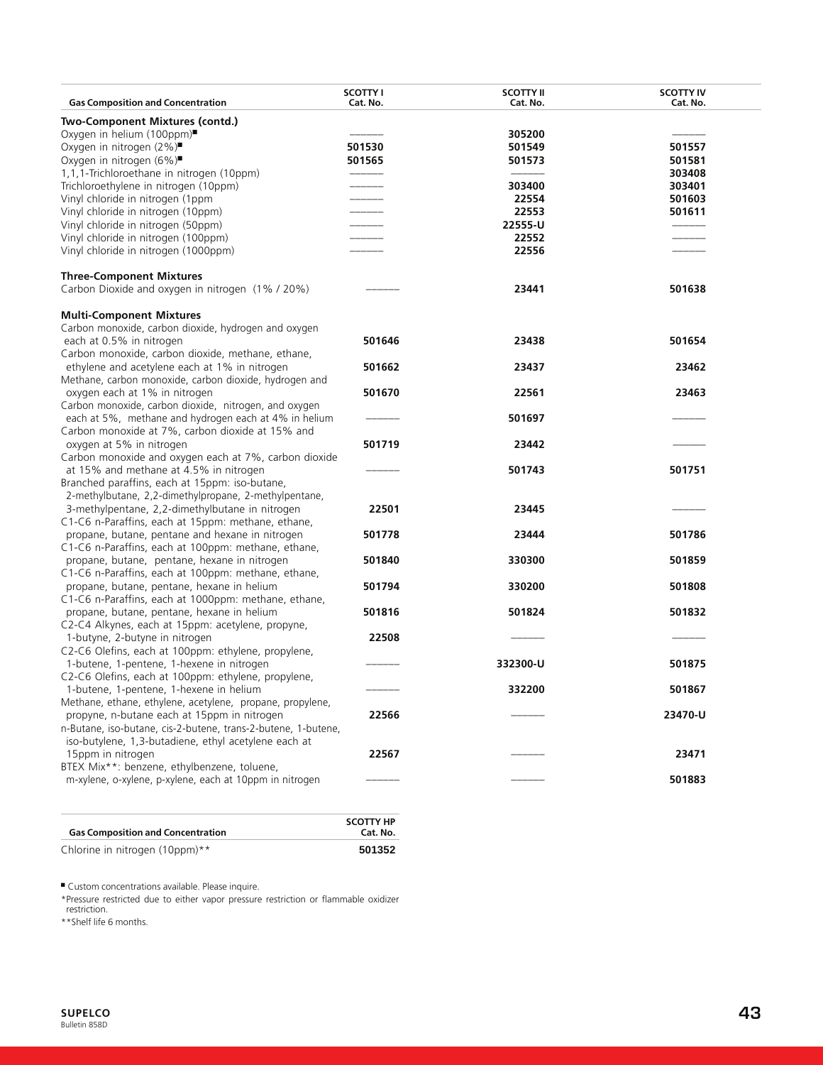|                                                                                                    | <b>SCOTTY I</b> | <b>SCOTTY II</b> | <b>SCOTTY IV</b> |
|----------------------------------------------------------------------------------------------------|-----------------|------------------|------------------|
| <b>Gas Composition and Concentration</b>                                                           | Cat. No.        | Cat. No.         | Cat. No.         |
| Two-Component Mixtures (contd.)                                                                    |                 |                  |                  |
| Oxygen in helium (100ppm)■                                                                         |                 | 305200           |                  |
| Oxygen in nitrogen (2%)■                                                                           | 501530          | 501549           | 501557           |
| Oxygen in nitrogen (6%)                                                                            | 501565          | 501573           | 501581           |
| 1,1,1-Trichloroethane in nitrogen (10ppm)                                                          |                 |                  | 303408           |
| Trichloroethylene in nitrogen (10ppm)                                                              |                 | 303400           | 303401           |
| Vinyl chloride in nitrogen (1ppm                                                                   | ______          | 22554<br>22553   | 501603           |
| Vinyl chloride in nitrogen (10ppm)<br>Vinyl chloride in nitrogen (50ppm)                           |                 | 22555-U          | 501611           |
| Vinyl chloride in nitrogen (100ppm)                                                                |                 | 22552            |                  |
| Vinyl chloride in nitrogen (1000ppm)                                                               |                 | 22556            |                  |
| <b>Three-Component Mixtures</b>                                                                    |                 |                  |                  |
| Carbon Dioxide and oxygen in nitrogen (1% / 20%)                                                   |                 | 23441            | 501638           |
| <b>Multi-Component Mixtures</b>                                                                    |                 |                  |                  |
| Carbon monoxide, carbon dioxide, hydrogen and oxygen                                               |                 |                  |                  |
| each at 0.5% in nitrogen                                                                           | 501646          | 23438            | 501654           |
| Carbon monoxide, carbon dioxide, methane, ethane,<br>ethylene and acetylene each at 1% in nitrogen |                 |                  |                  |
| Methane, carbon monoxide, carbon dioxide, hydrogen and                                             | 501662          | 23437            | 23462            |
| oxygen each at 1% in nitrogen                                                                      | 501670          | 22561            | 23463            |
| Carbon monoxide, carbon dioxide, nitrogen, and oxygen                                              |                 |                  |                  |
| each at 5%, methane and hydrogen each at 4% in helium                                              |                 | 501697           |                  |
| Carbon monoxide at 7%, carbon dioxide at 15% and                                                   |                 |                  |                  |
| oxygen at 5% in nitrogen                                                                           | 501719          | 23442            |                  |
| Carbon monoxide and oxygen each at 7%, carbon dioxide                                              |                 |                  |                  |
| at 15% and methane at 4.5% in nitrogen                                                             |                 | 501743           | 501751           |
| Branched paraffins, each at 15ppm: iso-butane,                                                     |                 |                  |                  |
| 2-methylbutane, 2,2-dimethylpropane, 2-methylpentane,                                              |                 |                  |                  |
| 3-methylpentane, 2,2-dimethylbutane in nitrogen                                                    | 22501           | 23445            |                  |
| C1-C6 n-Paraffins, each at 15ppm: methane, ethane,                                                 |                 |                  |                  |
| propane, butane, pentane and hexane in nitrogen                                                    | 501778          | 23444            | 501786           |
| C1-C6 n-Paraffins, each at 100ppm: methane, ethane,                                                |                 |                  |                  |
| propane, butane, pentane, hexane in nitrogen                                                       | 501840          | 330300           | 501859           |
| C1-C6 n-Paraffins, each at 100ppm: methane, ethane,                                                |                 |                  | 501808           |
| propane, butane, pentane, hexane in helium<br>C1-C6 n-Paraffins, each at 1000ppm: methane, ethane, | 501794          | 330200           |                  |
| propane, butane, pentane, hexane in helium                                                         | 501816          | 501824           | 501832           |
| C2-C4 Alkynes, each at 15ppm: acetylene, propyne,                                                  |                 |                  |                  |
| 1-butyne, 2-butyne in nitrogen                                                                     | 22508           |                  |                  |
| C2-C6 Olefins, each at 100ppm: ethylene, propylene,                                                |                 |                  |                  |
| 1-butene, 1-pentene, 1-hexene in nitrogen                                                          |                 | 332300-U         | 501875           |
| C2-C6 Olefins, each at 100ppm: ethylene, propylene,                                                |                 |                  |                  |
| 1-butene, 1-pentene, 1-hexene in helium                                                            |                 | 332200           | 501867           |
| Methane, ethane, ethylene, acetylene, propane, propylene,                                          |                 |                  |                  |
| propyne, n-butane each at 15ppm in nitrogen                                                        | 22566           |                  | 23470-U          |
| n-Butane, iso-butane, cis-2-butene, trans-2-butene, 1-butene,                                      |                 |                  |                  |
| iso-butylene, 1,3-butadiene, ethyl acetylene each at                                               |                 |                  |                  |
| 15ppm in nitrogen                                                                                  | 22567           |                  | 23471            |
| BTEX Mix**: benzene, ethylbenzene, toluene,                                                        |                 |                  |                  |
| m-xylene, o-xylene, p-xylene, each at 10ppm in nitrogen                                            |                 |                  | 501883           |

| <b>Gas Composition and Concentration</b> | <b>SCOTTY HP</b><br>Cat. No. |
|------------------------------------------|------------------------------|
| Chlorine in nitrogen (10ppm)**           | 501352                       |

■ Custom concentrations available. Please inquire.

\*Pressure restricted due to either vapor pressure restriction or flammable oxidizer restriction.

\*\*Shelf life 6 months.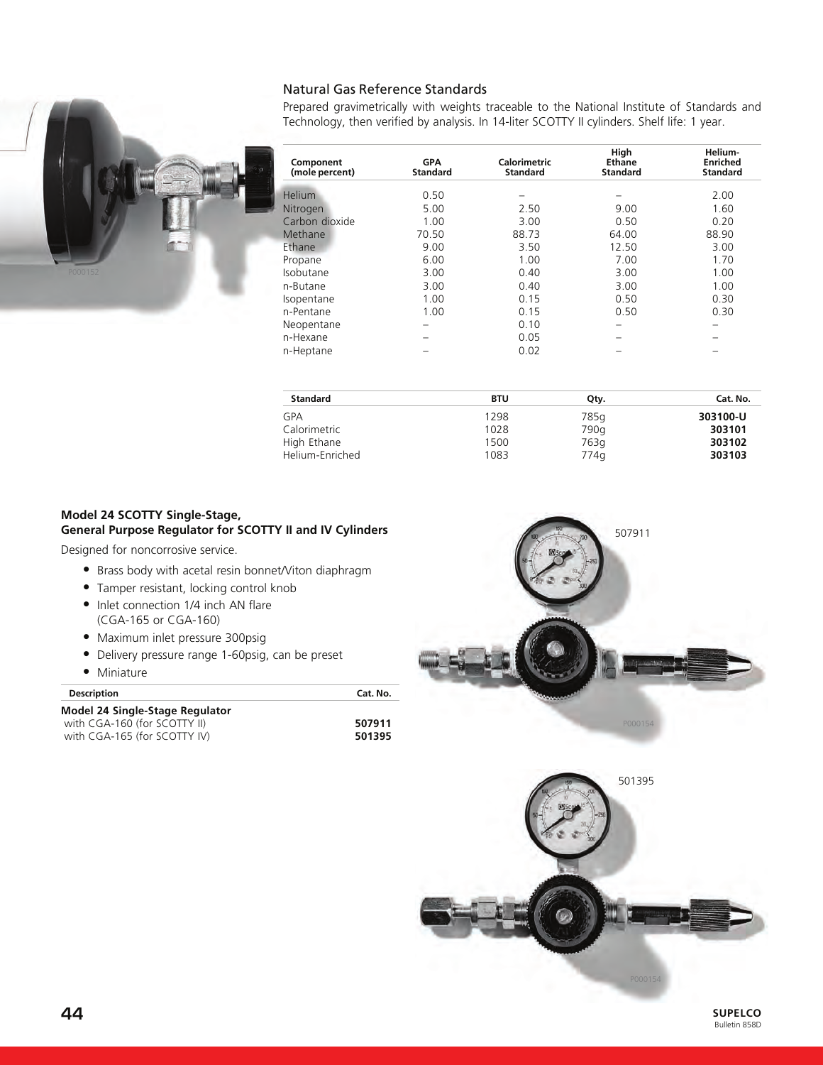# Natural Gas Reference Standards

Prepared gravimetrically with weights traceable to the National Institute of Standards and Technology, then verified by analysis. In 14-liter SCOTTY II cylinders. Shelf life: 1 year.

| Component<br>(mole percent) | <b>GPA</b><br><b>Standard</b> | <b>Calorimetric</b><br><b>Standard</b> | High<br>Ethane<br><b>Standard</b> | Helium-<br><b>Enriched</b><br><b>Standard</b> |
|-----------------------------|-------------------------------|----------------------------------------|-----------------------------------|-----------------------------------------------|
| <b>Helium</b>               | 0.50                          |                                        |                                   | 2.00                                          |
| Nitrogen                    | 5.00                          | 2.50                                   | 9.00                              | 1.60                                          |
| Carbon dioxide              | 1.00                          | 3.00                                   | 0.50                              | 0.20                                          |
| Methane                     | 70.50                         | 88.73                                  | 64.00                             | 88.90                                         |
| Ethane                      | 9.00                          | 3.50                                   | 12.50                             | 3.00                                          |
| Propane                     | 6.00                          | 1.00                                   | 7.00                              | 1.70                                          |
| Isobutane                   | 3.00                          | 0.40                                   | 3.00                              | 1.00                                          |
| n-Butane                    | 3.00                          | 0.40                                   | 3.00                              | 1.00                                          |
| Isopentane                  | 1.00                          | 0.15                                   | 0.50                              | 0.30                                          |
| n-Pentane                   | 1.00                          | 0.15                                   | 0.50                              | 0.30                                          |
| Neopentane                  | -                             | 0.10                                   | -                                 | -                                             |
| n-Hexane                    |                               | 0.05                                   |                                   |                                               |
| n-Heptane                   |                               | 0.02                                   |                                   |                                               |

| <b>Standard</b> | BTU  | Qtv. | Cat. No. |
|-----------------|------|------|----------|
| GPA             | 1298 | 785g | 303100-U |
| Calorimetric    | 1028 | 790q | 303101   |
| High Ethane     | 1500 | 763a | 303102   |
| Helium-Enriched | 1083 | 774q | 303103   |

#### **Model 24 SCOTTY Single-Stage, General Purpose Regulator for SCOTTY II and IV Cylinders**

Designed for noncorrosive service.

- Brass body with acetal resin bonnet/Viton diaphragm
- Tamper resistant, locking control knob
- Inlet connection 1/4 inch AN flare (CGA-165 or CGA-160)
- Maximum inlet pressure 300psig
- Delivery pressure range 1-60psig, can be preset
- Miniature

| <b>Description</b>                     | Cat. No. |
|----------------------------------------|----------|
| <b>Model 24 Single-Stage Regulator</b> |          |
| with CGA-160 (for SCOTTY II)           | 507911   |
| with CGA-165 (for SCOTTY IV)           | 501395   |

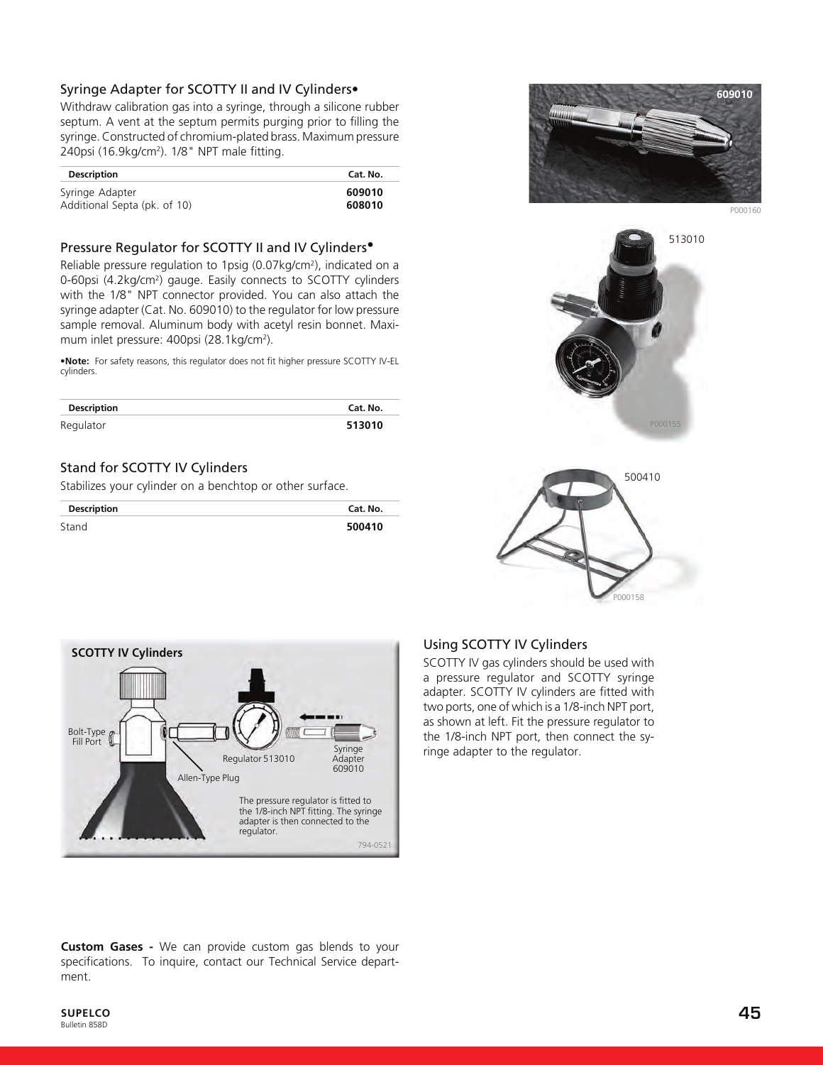# Syringe Adapter for SCOTTY II and IV Cylinders•

Withdraw calibration gas into a syringe, through a silicone rubber septum. A vent at the septum permits purging prior to filling the syringe. Constructed of chromium-plated brass. Maximum pressure 240psi (16.9kg/cm<sup>2</sup>). 1/8" NPT male fitting.

| <b>Description</b>           | Cat. No. |
|------------------------------|----------|
| Syringe Adapter              | 609010   |
| Additional Septa (pk. of 10) | 608010   |

#### Pressure Regulator for SCOTTY II and IV Cylinders•

Reliable pressure regulation to 1psig (0.07kg/cm2), indicated on a 0-60psi (4.2kg/cm<sup>2</sup>) gauge. Easily connects to SCOTTY cylinders with the 1/8" NPT connector provided. You can also attach the syringe adapter (Cat. No. 609010) to the regulator for low pressure sample removal. Aluminum body with acetyl resin bonnet. Maximum inlet pressure: 400psi (28.1kg/cm<sup>2</sup>).

•**Note:** For safety reasons, this regulator does not fit higher pressure SCOTTY IV-EL cylinders.

| <b>Description</b> | Cat. No. |
|--------------------|----------|
| Regulator          | 513010   |

# Stand for SCOTTY IV Cylinders

Stabilizes your cylinder on a benchtop or other surface.

| <b>Description</b> | Cat. No. |
|--------------------|----------|
| Stand              | 500410   |



P000160







# Using SCOTTY IV Cylinders

SCOTTY IV gas cylinders should be used with a pressure regulator and SCOTTY syringe adapter. SCOTTY IV cylinders are fitted with two ports, one of which is a 1/8-inch NPT port, as shown at left. Fit the pressure regulator to the 1/8-inch NPT port, then connect the syringe adapter to the regulator.

**Custom Gases -** We can provide custom gas blends to your specifications. To inquire, contact our Technical Service department.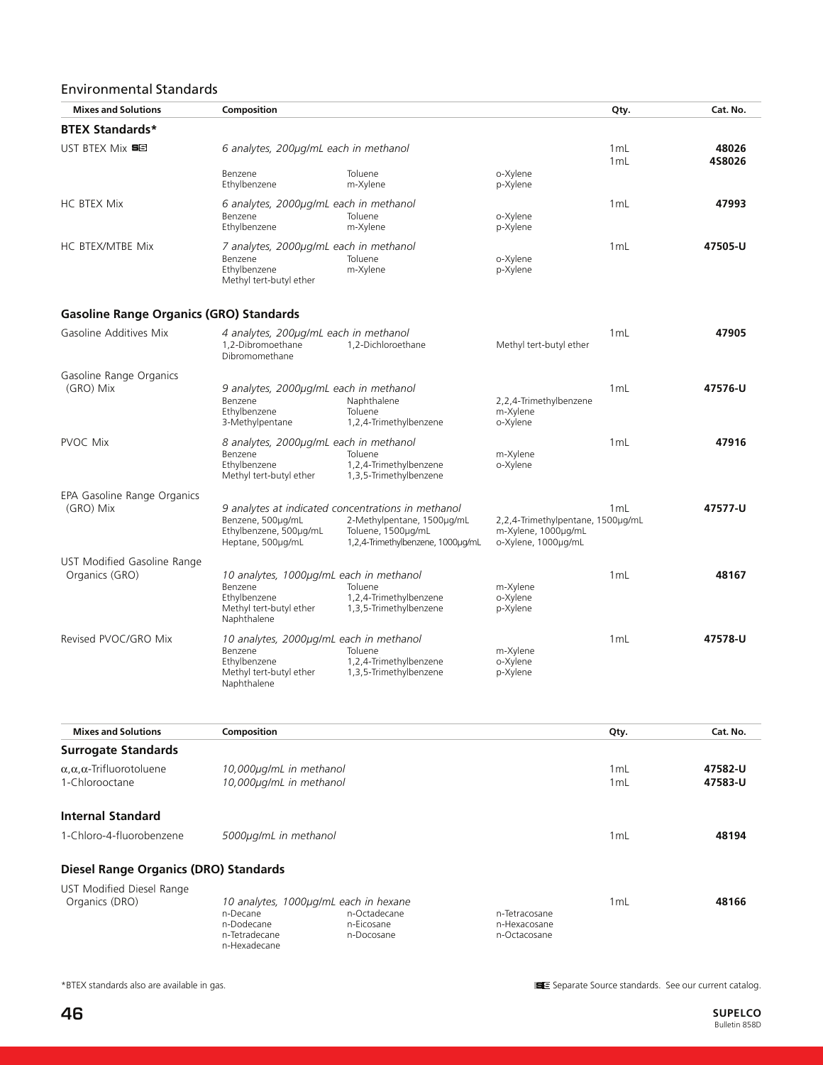# Environmental Standards

| <b>Mixes and Solutions</b>                     | Composition                                                                                                  |                                                                                                                                             |                                                                                 | Qty.                   | Cat. No.        |
|------------------------------------------------|--------------------------------------------------------------------------------------------------------------|---------------------------------------------------------------------------------------------------------------------------------------------|---------------------------------------------------------------------------------|------------------------|-----------------|
| <b>BTEX Standards*</b>                         |                                                                                                              |                                                                                                                                             |                                                                                 |                        |                 |
| UST BTEX Mix 58                                | 6 analytes, 200µg/mL each in methanol                                                                        |                                                                                                                                             |                                                                                 | 1 <sub>mL</sub><br>1mL | 48026<br>4S8026 |
|                                                | Benzene<br>Ethylbenzene                                                                                      | Toluene<br>m-Xylene                                                                                                                         | o-Xylene<br>p-Xylene                                                            |                        |                 |
| <b>HC BTEX Mix</b>                             | 6 analytes, 2000µg/mL each in methanol<br>Benzene<br>Ethylbenzene                                            | Toluene<br>m-Xylene                                                                                                                         | o-Xylene<br>p-Xylene                                                            | 1mL                    | 47993           |
| HC BTEX/MTBE Mix                               | 7 analytes, 2000µg/mL each in methanol<br>Benzene<br>Ethylbenzene<br>Methyl tert-butyl ether                 | Toluene<br>m-Xylene                                                                                                                         | o-Xylene<br>p-Xylene                                                            | 1 mL                   | 47505-U         |
| <b>Gasoline Range Organics (GRO) Standards</b> |                                                                                                              |                                                                                                                                             |                                                                                 |                        |                 |
| Gasoline Additives Mix                         | 4 analytes, 200µg/mL each in methanol<br>1.2-Dibromoethane<br>Dibromomethane                                 | 1,2-Dichloroethane                                                                                                                          | Methyl tert-butyl ether                                                         | 1 <sub>mL</sub>        | 47905           |
| Gasoline Range Organics<br>(GRO) Mix           | 9 analytes, 2000µg/mL each in methanol<br>Benzene<br>Ethylbenzene<br>3-Methylpentane                         | Naphthalene<br>Toluene<br>1,2,4-Trimethylbenzene                                                                                            | 2,2,4-Trimethylbenzene<br>m-Xylene<br>o-Xylene                                  | 1mL                    | 47576-U         |
| <b>PVOC Mix</b>                                | 8 analytes, 2000µg/mL each in methanol<br>Benzene<br>Ethylbenzene<br>Methyl tert-butyl ether                 | Toluene<br>1,2,4-Trimethylbenzene<br>1,3,5-Trimethylbenzene                                                                                 | m-Xylene<br>o-Xylene                                                            | 1 mL                   | 47916           |
| EPA Gasoline Range Organics<br>(GRO) Mix       | Benzene, 500µg/mL<br>Ethylbenzene, 500µg/mL<br>Heptane, 500µg/mL                                             | 9 analytes at indicated concentrations in methanol<br>2-Methylpentane, 1500ug/mL<br>Toluene, 1500µg/mL<br>1,2,4-Trimethylbenzene, 1000ug/mL | 2,2,4-Trimethylpentane, 1500µg/mL<br>m-Xylene, 1000µg/mL<br>o-Xylene, 1000µg/mL | 1 mL                   | 47577-U         |
| UST Modified Gasoline Range<br>Organics (GRO)  | 10 analytes, 1000µg/mL each in methanol<br>Benzene<br>Ethylbenzene<br>Methyl tert-butyl ether<br>Naphthalene | Toluene<br>1,2,4-Trimethylbenzene<br>1,3,5-Trimethylbenzene                                                                                 | m-Xylene<br>o-Xvlene<br>p-Xylene                                                | 1mL                    | 48167           |
| Revised PVOC/GRO Mix                           | 10 analytes, 2000µg/mL each in methanol<br>Benzene<br>Ethylbenzene<br>Methyl tert-butyl ether<br>Naphthalene | Toluene<br>1,2,4-Trimethylbenzene<br>1,3,5-Trimethylbenzene                                                                                 | m-Xylene<br>o-Xylene<br>p-Xylene                                                | 1mL                    | 47578-U         |

| <b>Mixes and Solutions</b>                       | Composition             |                                       |               | Qty. | Cat. No. |
|--------------------------------------------------|-------------------------|---------------------------------------|---------------|------|----------|
| <b>Surrogate Standards</b>                       |                         |                                       |               |      |          |
| $\alpha$ , $\alpha$ , $\alpha$ -Trifluorotoluene | 10,000µg/mL in methanol |                                       |               | 1mL  | 47582-U  |
| 1-Chlorooctane                                   |                         | 10,000µg/mL in methanol               |               |      | 47583-U  |
| <b>Internal Standard</b>                         |                         |                                       |               |      |          |
| 1-Chloro-4-fluorobenzene                         | 5000µg/mL in methanol   |                                       |               | 1mL  | 48194    |
| Diesel Range Organics (DRO) Standards            |                         |                                       |               |      |          |
| UST Modified Diesel Range                        |                         |                                       |               |      |          |
| Organics (DRO)                                   |                         | 10 analytes, 1000µg/mL each in hexane |               | 1mL  | 48166    |
|                                                  | n-Decane                | n-Octadecane                          | n-Tetracosane |      |          |
|                                                  | n-Dodecane              | n-Eicosane                            | n-Hexacosane  |      |          |
|                                                  | n-Tetradecane           | n-Docosane                            | n-Octacosane  |      |          |

n-Hexadecane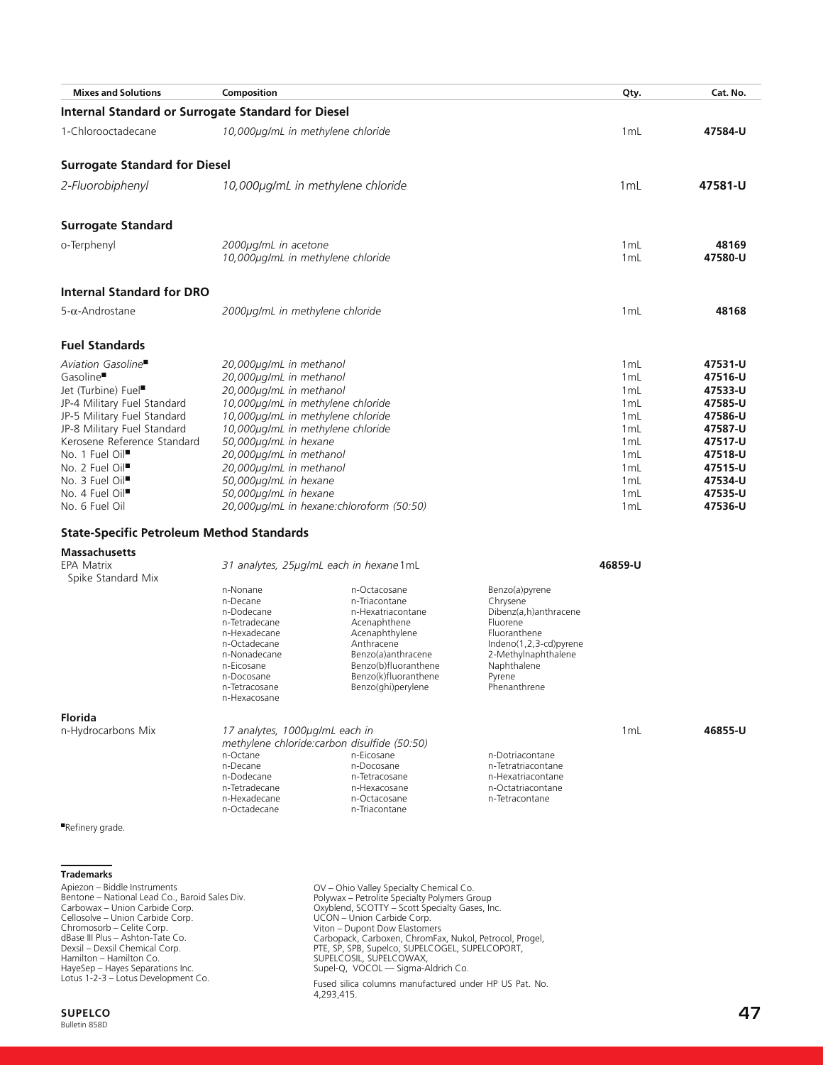| <b>Mixes and Solutions</b>                                | Composition                                                       |                                              |                                       | Qty.                   | Cat. No.           |
|-----------------------------------------------------------|-------------------------------------------------------------------|----------------------------------------------|---------------------------------------|------------------------|--------------------|
| <b>Internal Standard or Surrogate Standard for Diesel</b> |                                                                   |                                              |                                       |                        |                    |
| 1-Chlorooctadecane                                        | 10,000µg/mL in methylene chloride                                 |                                              |                                       | 1mL                    | 47584-U            |
| <b>Surrogate Standard for Diesel</b>                      |                                                                   |                                              |                                       |                        |                    |
| 2-Fluorobiphenyl                                          | 10,000µg/mL in methylene chloride                                 |                                              |                                       | 1 <sub>mL</sub>        | 47581-U            |
|                                                           |                                                                   |                                              |                                       |                        |                    |
| <b>Surrogate Standard</b>                                 |                                                                   |                                              |                                       |                        |                    |
| o-Terphenyl                                               | 2000µg/mL in acetone<br>10,000µg/mL in methylene chloride         |                                              |                                       | 1mL<br>1mL             | 48169<br>47580-U   |
| <b>Internal Standard for DRO</b>                          |                                                                   |                                              |                                       |                        |                    |
| $5-\alpha$ -Androstane                                    | 2000µg/mL in methylene chloride                                   |                                              |                                       | 1mL                    | 48168              |
| <b>Fuel Standards</b>                                     |                                                                   |                                              |                                       |                        |                    |
| Aviation Gasoline■                                        | 20,000µg/mL in methanol                                           |                                              |                                       | 1 <sub>mL</sub>        | 47531-U            |
| Gasoline <sup>■</sup>                                     | 20,000µg/mL in methanol                                           |                                              |                                       | 1mL                    | 47516-U            |
| Jet (Turbine) Fuel■                                       | 20,000µg/mL in methanol                                           |                                              |                                       | 1mL                    | 47533-U            |
| JP-4 Military Fuel Standard                               | 10,000µg/mL in methylene chloride                                 |                                              |                                       | 1mL                    | 47585-U            |
| JP-5 Military Fuel Standard                               | 10,000µg/mL in methylene chloride                                 |                                              |                                       | 1mL                    | 47586-U            |
| JP-8 Military Fuel Standard                               | 10,000µg/mL in methylene chloride                                 |                                              |                                       | 1mL                    | 47587-U            |
| Kerosene Reference Standard                               | 50,000µg/mL in hexane                                             |                                              |                                       | 1mL                    | 47517-U            |
| No. 1 Fuel Oil <sup>■</sup>                               | 20,000µg/mL in methanol                                           |                                              |                                       | 1mL                    | 47518-U            |
| No. 2 Fuel Oil <sup>■</sup>                               | 20,000µg/mL in methanol                                           |                                              |                                       | 1mL                    | 47515-U            |
| No. 3 Fuel Oil <sup>■</sup>                               | 50,000µg/mL in hexane                                             |                                              |                                       | 1mL                    | 47534-U            |
| No. 4 Fuel Oil <sup>■</sup><br>No. 6 Fuel Oil             | 50,000µg/mL in hexane<br>20,000µg/mL in hexane:chloroform (50:50) |                                              |                                       | 1 <sub>mL</sub><br>1mL | 47535-U<br>47536-U |
| <b>State-Specific Petroleum Method Standards</b>          |                                                                   |                                              |                                       |                        |                    |
| <b>Massachusetts</b>                                      |                                                                   |                                              |                                       |                        |                    |
| <b>EPA Matrix</b><br>Spike Standard Mix                   | 31 analytes, 25µg/mL each in hexane1mL                            |                                              |                                       | 46859-U                |                    |
|                                                           | n-Nonane                                                          | n-Octacosane                                 | Benzo(a)pyrene                        |                        |                    |
|                                                           | n-Decane                                                          | n-Triacontane                                | Chrysene                              |                        |                    |
|                                                           | n-Dodecane<br>n-Tetradecane                                       | n-Hexatriacontane<br>Acenaphthene            | Dibenz(a,h)anthracene<br>Fluorene     |                        |                    |
|                                                           | n-Hexadecane                                                      | Acenaphthylene                               | Fluoranthene                          |                        |                    |
|                                                           | n-Octadecane                                                      | Anthracene                                   | Indeno(1,2,3-cd)pyrene                |                        |                    |
|                                                           | n-Nonadecane                                                      | Benzo(a)anthracene                           | 2-Methylnaphthalene                   |                        |                    |
|                                                           | n-Eicosane<br>n-Docosane                                          | Benzo(b)fluoranthene<br>Benzo(k)fluoranthene | Naphthalene<br>Pyrene                 |                        |                    |
|                                                           | n-Tetracosane<br>n-Hexacosane                                     | Benzo(ghi)perylene                           | Phenanthrene                          |                        |                    |
| <b>Florida</b>                                            |                                                                   |                                              |                                       |                        |                    |
| n-Hydrocarbons Mix                                        | 17 analytes, 1000µg/mL each in                                    |                                              |                                       | 1mL                    | 46855-U            |
|                                                           | methylene chloride:carbon disulfide (50:50)                       |                                              |                                       |                        |                    |
|                                                           | n-Octane<br>n-Decane                                              | n-Eicosane<br>n-Docosane                     | n-Dotriacontane<br>n-Tetratriacontane |                        |                    |
|                                                           | n-Dodecane                                                        | n-Tetracosane                                | n-Hexatriacontane                     |                        |                    |
|                                                           | n-Tetradecane                                                     | n-Hexacosane                                 | n-Octatriacontane                     |                        |                    |
|                                                           | n-Hexadecane<br>n-Octadecane                                      | n-Octacosane<br>n-Triacontane                | n-Tetracontane                        |                        |                    |
| Refinery grade.                                           |                                                                   |                                              |                                       |                        |                    |
|                                                           |                                                                   |                                              |                                       |                        |                    |
|                                                           |                                                                   |                                              |                                       |                        |                    |

OV – Ohio Valley Specialty Chemical Co.<br>Polywax – Petrolite Specialty Polymers Group<br>Oxyblend, SCOTTY – Scott Specialty Gases, Inc.<br>UCON – Union Carbide Corp.<br>UCON – Union Carbide Corp.<br>Viton – Dupont Dow Elastomers<br>Starbo

Fused silica columns manufactured under HP US Pat. No. 4,293,415.

**Trademarks** Apiezon – Biddle Instruments<br>Bentone – National Lead Co., Baroid Sales Div.<br>Carbowax – Union Carbide Corp.<br>Cellosolve – Union Carbide Corp.<br>Chromosorb – Celite Corp.<br>dBase III Plus – Ashton-Tate Co.<br>Dexsil – Dexsil Chemica Hamilton – Hamilton Co. HayeSep – Hayes Separations Inc. Lotus 1-2-3 – Lotus Development Co.

**SUPELCO 47**